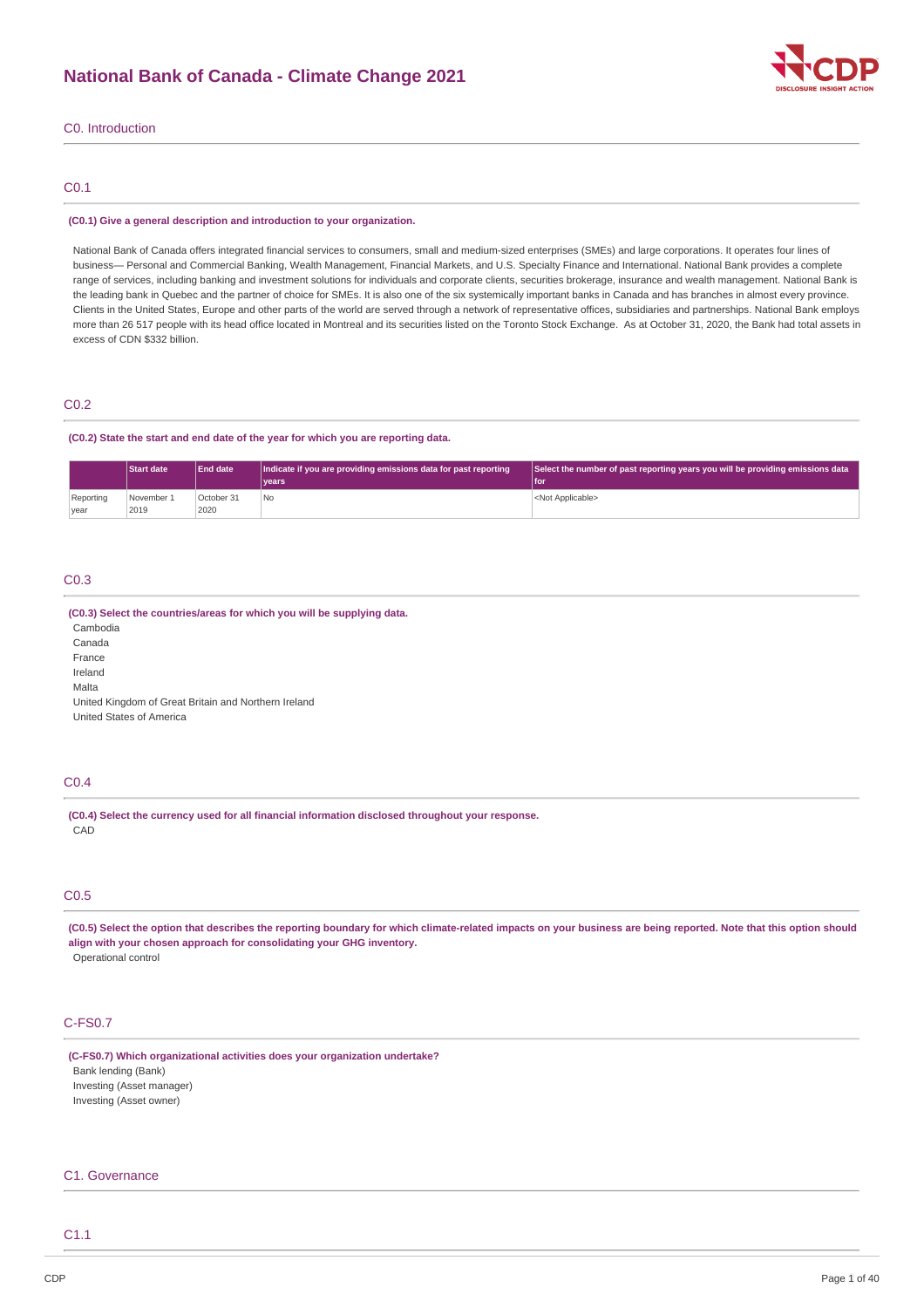# **National Bank of Canada - Climate Change 2021**



### C0. Introduction

### C0.1

#### **(C0.1) Give a general description and introduction to your organization.**

National Bank of Canada offers integrated financial services to consumers, small and medium-sized enterprises (SMEs) and large corporations. It operates four lines of business— Personal and Commercial Banking, Wealth Management, Financial Markets, and U.S. Specialty Finance and International. National Bank provides a complete range of services, including banking and investment solutions for individuals and corporate clients, securities brokerage, insurance and wealth management. National Bank is the leading bank in Quebec and the partner of choice for SMEs. It is also one of the six systemically important banks in Canada and has branches in almost every province. Clients in the United States, Europe and other parts of the world are served through a network of representative offices, subsidiaries and partnerships. National Bank employs more than 26 517 people with its head office located in Montreal and its securities listed on the Toronto Stock Exchange. As at October 31, 2020, the Bank had total assets in excess of CDN \$332 billion.

### C0.2

#### **(C0.2) State the start and end date of the year for which you are reporting data.**

|           | <b>Start date</b> | <b>End date</b> | Indicate if you are providing emissions data for past reporting | Select the number of past reporting years you will be providing emissions data |
|-----------|-------------------|-----------------|-----------------------------------------------------------------|--------------------------------------------------------------------------------|
|           |                   |                 | <b>Vears</b>                                                    | l for                                                                          |
| Reporting | November 1        | October 31      | <b>No</b>                                                       | <not applicable=""></not>                                                      |
| vear      | 2019              | 2020            |                                                                 |                                                                                |

### C0.3

#### **(C0.3) Select the countries/areas for which you will be supplying data.**

Cambodia Canada

France

Ireland

Malta

United Kingdom of Great Britain and Northern Ireland United States of America

### C0.4

**(C0.4) Select the currency used for all financial information disclosed throughout your response.** CAD

# C0.5

(C0.5) Select the option that describes the reporting boundary for which climate-related impacts on your business are being reported. Note that this option should **align with your chosen approach for consolidating your GHG inventory.** Operational control

### C-FS0.7

**(C-FS0.7) Which organizational activities does your organization undertake?** Bank lending (Bank) Investing (Asset manager) Investing (Asset owner)

### C1. Governance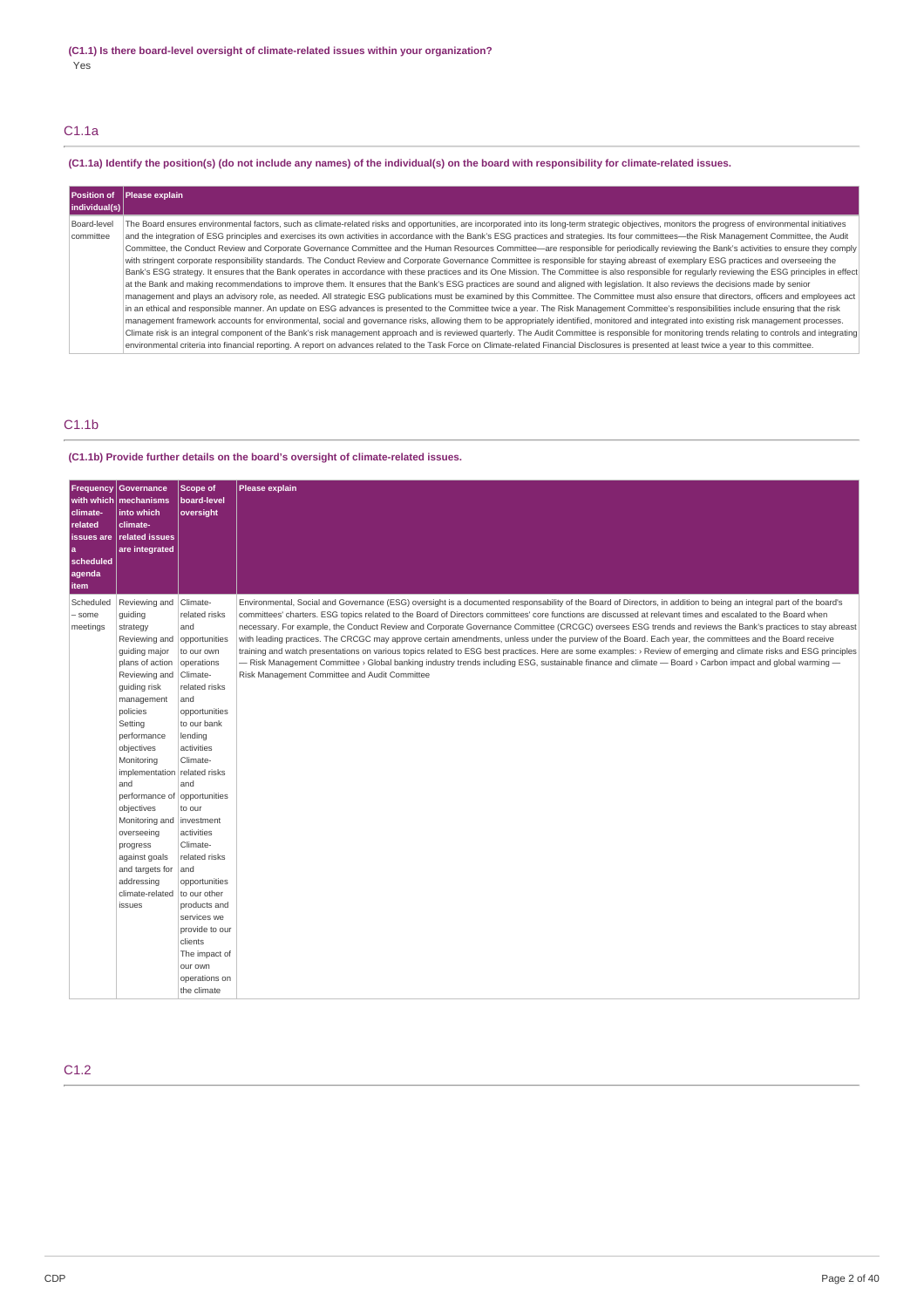# C1.1a

# (C1.1a) Identify the position(s) (do not include any names) of the individual(s) on the board with responsibility for climate-related issues.

| Position of<br>individual(s) | <b>Please explain</b>                                                                                                                                                                                  |
|------------------------------|--------------------------------------------------------------------------------------------------------------------------------------------------------------------------------------------------------|
| Board-level                  | The Board ensures environmental factors, such as climate-related risks and opportunities, are incorporated into its long-term strategic objectives, monitors the progress of environmental initiatives |
| committee                    | and the integration of ESG principles and exercises its own activities in accordance with the Bank's ESG practices and strategies. Its four committees—the Risk Management Committee, the Audit        |
|                              | Committee, the Conduct Review and Corporate Governance Committee and the Human Resources Committee—are responsible for periodically reviewing the Bank's activities to ensure they comply              |
|                              | with stringent corporate responsibility standards. The Conduct Review and Corporate Governance Committee is responsible for staying abreast of exemplary ESG practices and overseeing the              |
|                              | Bank's ESG strategy. It ensures that the Bank operates in accordance with these practices and its One Mission. The Committee is also responsible for regularly reviewing the ESG principles in effect  |
|                              | at the Bank and making recommendations to improve them. It ensures that the Bank's ESG practices are sound and aligned with legislation. It also reviews the decisions made by senior                  |
|                              | management and plays an advisory role, as needed. All strategic ESG publications must be examined by this Committee. The Committee must also ensure that directors, officers and employees act         |
|                              | in an ethical and responsible manner. An update on ESG advances is presented to the Committee twice a year. The Risk Management Committee's responsibilities include ensuring that the risk            |
|                              | management framework accounts for environmental, social and governance risks, allowing them to be appropriately identified, monitored and integrated into existing risk management processes.          |
|                              | Climate risk is an integral component of the Bank's risk management approach and is reviewed quarterly. The Audit Committee is responsible for monitoring trends relating to controls and integrating  |
|                              | environmental criteria into financial reporting. A report on advances related to the Task Force on Climate-related Financial Disclosures is presented at least twice a year to this committee.         |

# C1.1b

### **(C1.1b) Provide further details on the board's oversight of climate-related issues.**

| with which<br>climate-<br>related<br>issues are<br>l a<br>scheduled<br>agenda<br>item | <b>Frequency Governance</b><br>mechanisms<br>into which<br>climate-<br>related issues<br>are integrated                                                                                                                                                                                                                                                                                        | Scope of<br>board-level<br>oversight                                                                                                                                                                                                                                                                                                                                                                                                                               | Please explain                                                                                                                                                                                                                                                                                                                                                                                                                                                                                                                                                                                                                                                                                                                                                                                                                                                                                                                                                                                                                                           |
|---------------------------------------------------------------------------------------|------------------------------------------------------------------------------------------------------------------------------------------------------------------------------------------------------------------------------------------------------------------------------------------------------------------------------------------------------------------------------------------------|--------------------------------------------------------------------------------------------------------------------------------------------------------------------------------------------------------------------------------------------------------------------------------------------------------------------------------------------------------------------------------------------------------------------------------------------------------------------|----------------------------------------------------------------------------------------------------------------------------------------------------------------------------------------------------------------------------------------------------------------------------------------------------------------------------------------------------------------------------------------------------------------------------------------------------------------------------------------------------------------------------------------------------------------------------------------------------------------------------------------------------------------------------------------------------------------------------------------------------------------------------------------------------------------------------------------------------------------------------------------------------------------------------------------------------------------------------------------------------------------------------------------------------------|
| Scheduled<br>- some<br>meetings                                                       | Reviewing and<br>quiding<br>strategy<br>Reviewing and<br>guiding major<br>plans of action<br>Reviewing and<br>guiding risk<br>management<br>policies<br>Setting<br>performance<br>objectives<br>Monitoring<br>implementation<br>and<br>performance of<br>objectives<br>Monitoring and<br>overseeing<br>progress<br>against goals<br>and targets for<br>addressing<br>climate-related<br>issues | Climate-<br>related risks<br>and<br>opportunities<br>to our own<br>operations<br>Climate-<br>related risks<br>and<br>opportunities<br>to our bank<br>lending<br>activities<br>Climate-<br>related risks<br>and<br>opportunities<br>to our<br>investment<br>activities<br>Climate-<br>related risks<br>and<br>opportunities<br>to our other<br>products and<br>services we<br>provide to our<br>clients<br>The impact of<br>our own<br>operations on<br>the climate | Environmental, Social and Governance (ESG) oversight is a documented responsability of the Board of Directors, in addition to being an integral part of the board's<br>committees' charters. ESG topics related to the Board of Directors committees' core functions are discussed at relevant times and escalated to the Board when<br>necessary. For example, the Conduct Review and Corporate Governance Committee (CRCGC) oversees ESG trends and reviews the Bank's practices to stay abreast<br>with leading practices. The CRCGC may approve certain amendments, unless under the purview of the Board. Each year, the committees and the Board receive<br>training and watch presentations on various topics related to ESG best practices. Here are some examples: > Review of emerging and climate risks and ESG principles<br>$-$ Risk Management Committee › Global banking industry trends including ESG, sustainable finance and climate $-$ Board › Carbon impact and global warming $-$<br>Risk Management Committee and Audit Committee |

C1.2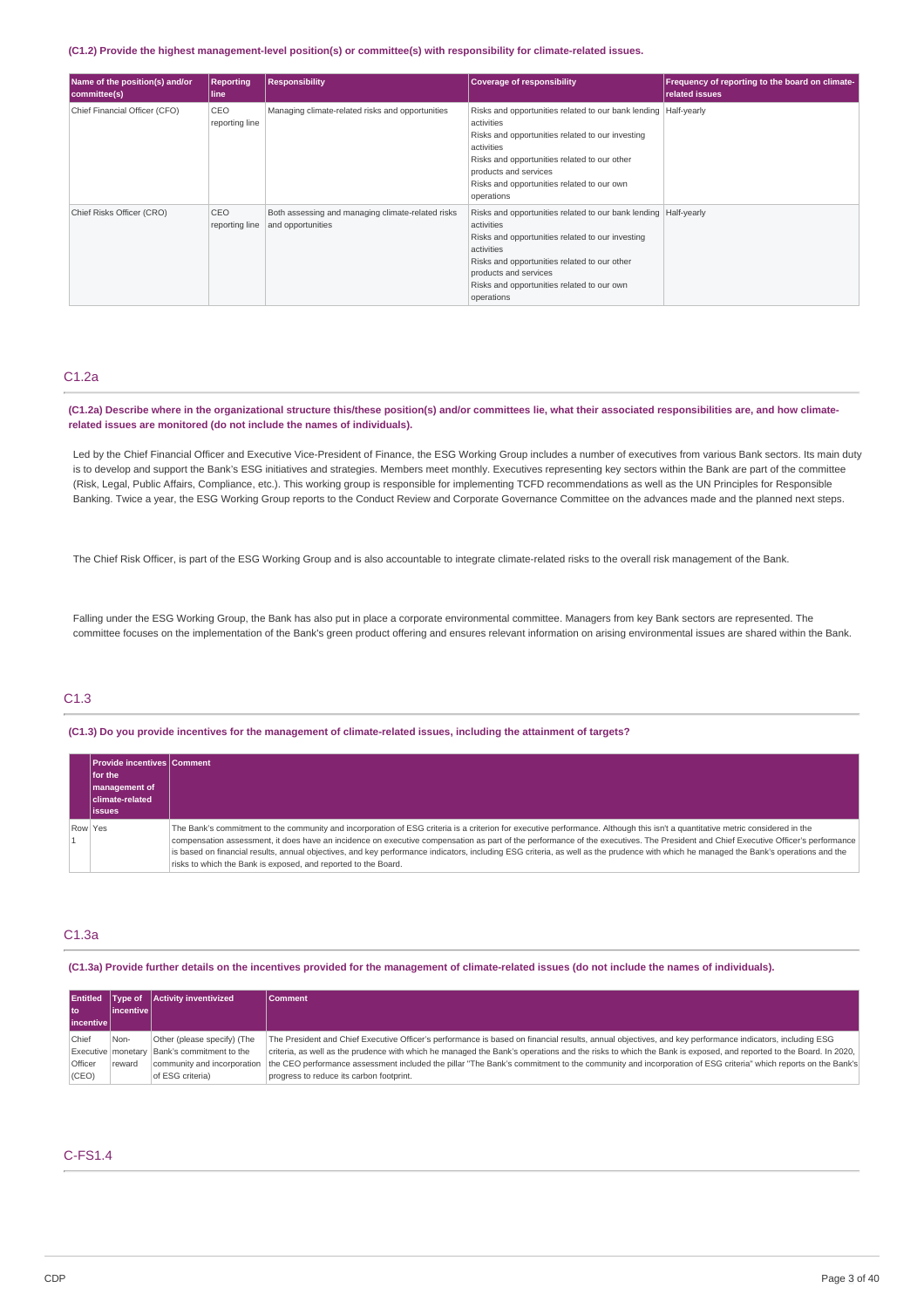#### **(C1.2) Provide the highest management-level position(s) or committee(s) with responsibility for climate-related issues.**

| Name of the position(s) and/or<br>committee(s) | <b>Reporting</b><br>line | <b>Responsibility</b>                                                  | <b>Coverage of responsibility</b>                                                                                                                                                                                                                                                      | <b>Frequency of reporting to the board on climate-</b><br>related issues |
|------------------------------------------------|--------------------------|------------------------------------------------------------------------|----------------------------------------------------------------------------------------------------------------------------------------------------------------------------------------------------------------------------------------------------------------------------------------|--------------------------------------------------------------------------|
| Chief Financial Officer (CFO)                  | CEO<br>reporting line    | Managing climate-related risks and opportunities                       | Risks and opportunities related to our bank lending   Half-yearly<br>activities<br>Risks and opportunities related to our investing<br>activities<br>Risks and opportunities related to our other<br>products and services<br>Risks and opportunities related to our own<br>operations |                                                                          |
| Chief Risks Officer (CRO)                      | CEO<br>reporting line    | Both assessing and managing climate-related risks<br>and opportunities | Risks and opportunities related to our bank lending   Half-yearly<br>activities<br>Risks and opportunities related to our investing<br>activities<br>Risks and opportunities related to our other<br>products and services<br>Risks and opportunities related to our own<br>operations |                                                                          |

### C1.2a

(C1.2a) Describe where in the organizational structure this/these position(s) and/or committees lie, what their associated responsibilities are, and how climate**related issues are monitored (do not include the names of individuals).**

Led by the Chief Financial Officer and Executive Vice-President of Finance, the ESG Working Group includes a number of executives from various Bank sectors. Its main duty is to develop and support the Bank's ESG initiatives and strategies. Members meet monthly. Executives representing key sectors within the Bank are part of the committee (Risk, Legal, Public Affairs, Compliance, etc.). This working group is responsible for implementing TCFD recommendations as well as the UN Principles for Responsible Banking. Twice a year, the ESG Working Group reports to the Conduct Review and Corporate Governance Committee on the advances made and the planned next steps.

The Chief Risk Officer, is part of the ESG Working Group and is also accountable to integrate climate-related risks to the overall risk management of the Bank.

Falling under the ESG Working Group, the Bank has also put in place a corporate environmental committee. Managers from key Bank sectors are represented. The committee focuses on the implementation of the Bank's green product offering and ensures relevant information on arising environmental issues are shared within the Bank.

### C1.3

(C1.3) Do you provide incentives for the management of climate-related issues, including the attainment of targets?

|         | Provide incentives Comment |                                                                                                                                                                                       |
|---------|----------------------------|---------------------------------------------------------------------------------------------------------------------------------------------------------------------------------------|
|         | <b>Ifor the</b>            |                                                                                                                                                                                       |
|         | management of              |                                                                                                                                                                                       |
|         | <b>climate-related</b>     |                                                                                                                                                                                       |
|         | <b>lissues</b>             |                                                                                                                                                                                       |
| Row Yes |                            | The Bank's commitment to the community and incorporation of ESG criteria is a criterion for executive performance. Although this isn't a quantitative metric considered in the        |
|         |                            | compensation assessment, it does have an incidence on executive compensation as part of the performance of the executives. The President and Chief Executive Officer's performance    |
|         |                            | is based on financial results, annual objectives, and key performance indicators, including ESG criteria, as well as the prudence with which he managed the Bank's operations and the |
|         |                            | risks to which the Bank is exposed, and reported to the Board.                                                                                                                        |

### C1.3a

(C1.3a) Provide further details on the incentives provided for the management of climate-related issues (do not include the names of individuals).

|               |             | Entitled   Type of   Activity inventivized      | <b>Comment</b>                                                                                                                                                |
|---------------|-------------|-------------------------------------------------|---------------------------------------------------------------------------------------------------------------------------------------------------------------|
| l to          | lincentivel |                                                 |                                                                                                                                                               |
| l incentive l |             |                                                 |                                                                                                                                                               |
| Chief         | Non-        | Other (please specify) (The                     | The President and Chief Executive Officer's performance is based on financial results, annual objectives, and key performance indicators, including ESG       |
|               |             | Executive   monetary   Bank's commitment to the | criteria, as well as the prudence with which he managed the Bank's operations and the risks to which the Bank is exposed, and reported to the Board. In 2020, |
| Officer       | reward      | community and incorporation                     | the CEO performance assessment included the pillar "The Bank's commitment to the community and incorporation of ESG criteria" which reports on the Bank's     |
| (CEO)         |             | of ESG criteria)                                | progress to reduce its carbon footprint.                                                                                                                      |

### C-FS1.4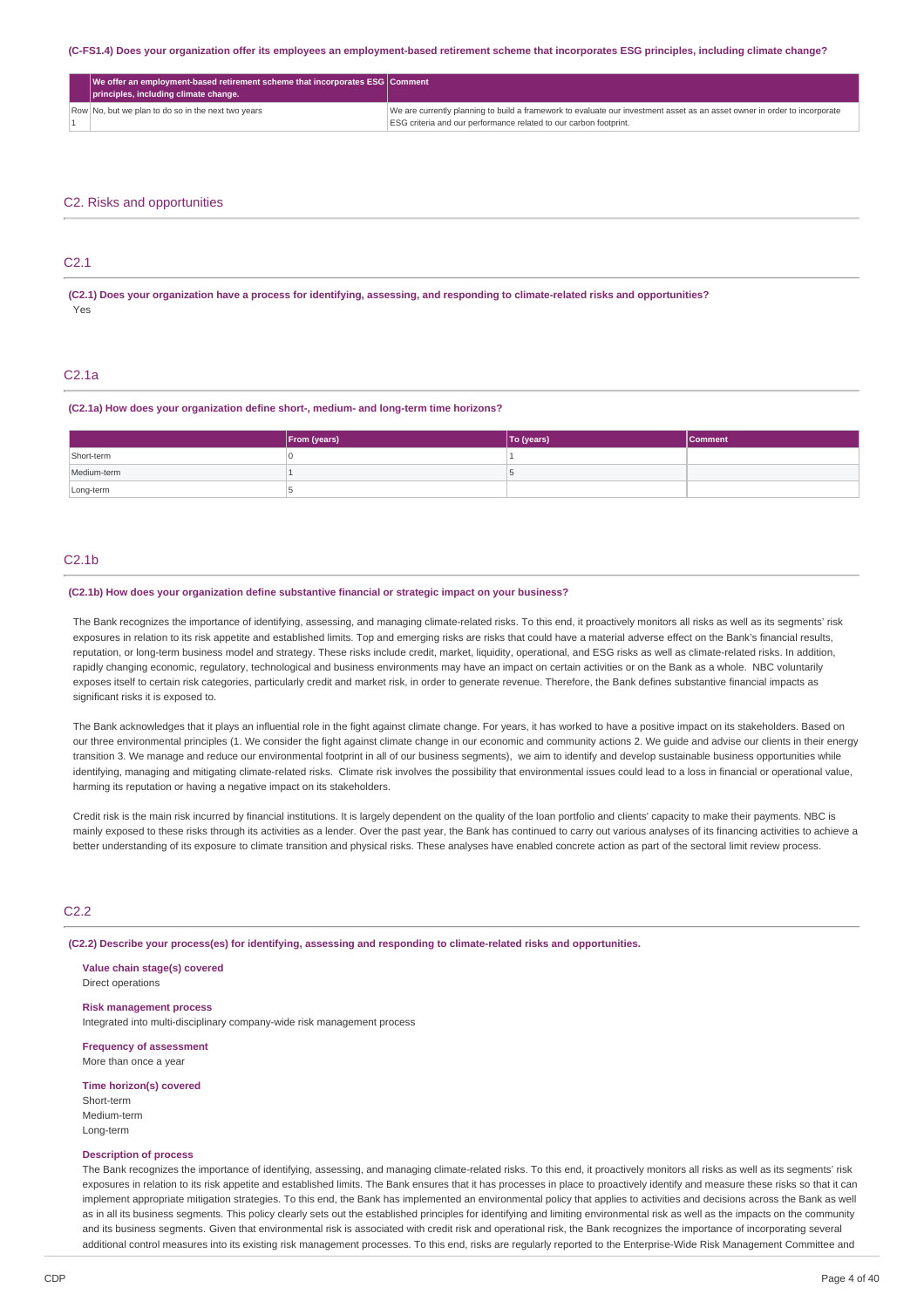(C-FS1.4) Does your organization offer its employees an employment-based retirement scheme that incorporates ESG principles, including climate change?

| $\sqrt{ }$ We offer an employment-based retirement scheme that incorporates ESG Comment $\sqrt{ }$<br>principles, including climate change. |                                                                                                                           |
|---------------------------------------------------------------------------------------------------------------------------------------------|---------------------------------------------------------------------------------------------------------------------------|
| Row No, but we plan to do so in the next two years                                                                                          | We are currently planning to build a framework to evaluate our investment asset as an asset owner in order to incorporate |
|                                                                                                                                             | ESG criteria and our performance related to our carbon footprint.                                                         |

### C2. Risks and opportunities

# C2.1

(C2.1) Does your organization have a process for identifying, assessing, and responding to climate-related risks and opportunities? Yes

### C2.1a

#### **(C2.1a) How does your organization define short-, medium- and long-term time horizons?**

|             | From (years) | To (years) | <b>Comment</b> |
|-------------|--------------|------------|----------------|
| Short-term  |              |            |                |
| Medium-term |              |            |                |
| Long-term   |              |            |                |

### $C2.1<sub>b</sub>$

#### **(C2.1b) How does your organization define substantive financial or strategic impact on your business?**

The Bank recognizes the importance of identifying, assessing, and managing climate-related risks. To this end, it proactively monitors all risks as well as its segments' risk exposures in relation to its risk appetite and established limits. Top and emerging risks are risks that could have a material adverse effect on the Bank's financial results, reputation, or long-term business model and strategy. These risks include credit, market, liquidity, operational, and ESG risks as well as climate-related risks. In addition, rapidly changing economic, regulatory, technological and business environments may have an impact on certain activities or on the Bank as a whole. NBC voluntarily exposes itself to certain risk categories, particularly credit and market risk, in order to generate revenue. Therefore, the Bank defines substantive financial impacts as significant risks it is exposed to.

The Bank acknowledges that it plays an influential role in the fight against climate change. For years, it has worked to have a positive impact on its stakeholders. Based on our three environmental principles (1. We consider the fight against climate change in our economic and community actions 2. We guide and advise our clients in their energy transition 3. We manage and reduce our environmental footprint in all of our business segments), we aim to identify and develop sustainable business opportunities while identifying, managing and mitigating climate-related risks. Climate risk involves the possibility that environmental issues could lead to a loss in financial or operational value, harming its reputation or having a negative impact on its stakeholders.

Credit risk is the main risk incurred by financial institutions. It is largely dependent on the quality of the loan portfolio and clients' capacity to make their payments. NBC is mainly exposed to these risks through its activities as a lender. Over the past year, the Bank has continued to carry out various analyses of its financing activities to achieve a better understanding of its exposure to climate transition and physical risks. These analyses have enabled concrete action as part of the sectoral limit review process.

### C2.2

**(C2.2) Describe your process(es) for identifying, assessing and responding to climate-related risks and opportunities.**

**Value chain stage(s) covered** Direct operations **Risk management process**

Integrated into multi-disciplinary company-wide risk management process

**Frequency of assessment** More than once a year

**Time horizon(s) covered**

Short-term Medium-term Long-term

#### **Description of process**

The Bank recognizes the importance of identifying, assessing, and managing climate-related risks. To this end, it proactively monitors all risks as well as its segments' risk exposures in relation to its risk appetite and established limits. The Bank ensures that it has processes in place to proactively identify and measure these risks so that it can implement appropriate mitigation strategies. To this end, the Bank has implemented an environmental policy that applies to activities and decisions across the Bank as well as in all its business segments. This policy clearly sets out the established principles for identifying and limiting environmental risk as well as the impacts on the community and its business segments. Given that environmental risk is associated with credit risk and operational risk, the Bank recognizes the importance of incorporating several additional control measures into its existing risk management processes. To this end, risks are regularly reported to the Enterprise-Wide Risk Management Committee and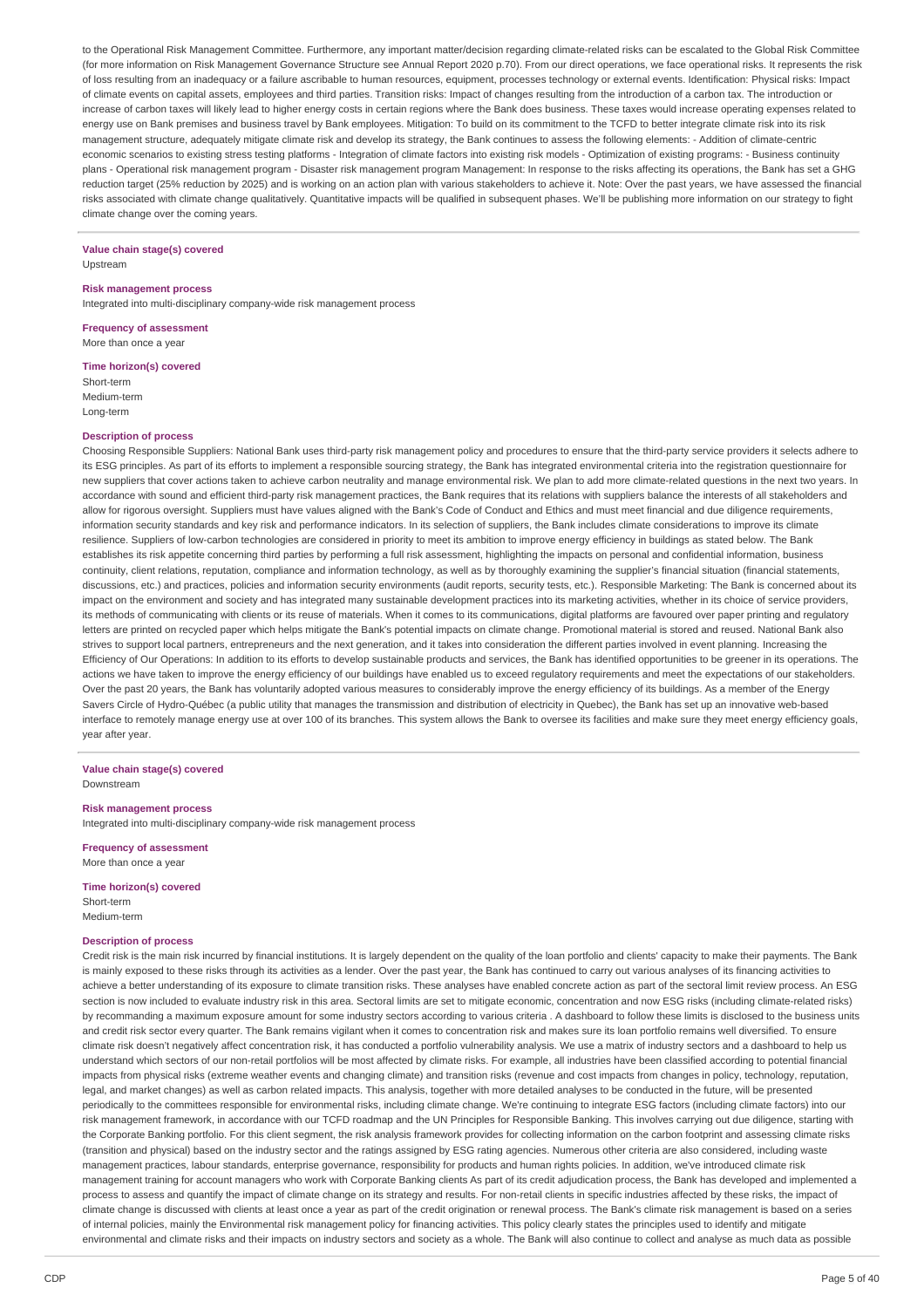to the Operational Risk Management Committee. Furthermore, any important matter/decision regarding climate-related risks can be escalated to the Global Risk Committee (for more information on Risk Management Governance Structure see Annual Report 2020 p.70). From our direct operations, we face operational risks. It represents the risk of loss resulting from an inadequacy or a failure ascribable to human resources, equipment, processes technology or external events. Identification: Physical risks: Impact of climate events on capital assets, employees and third parties. Transition risks: Impact of changes resulting from the introduction of a carbon tax. The introduction or increase of carbon taxes will likely lead to higher energy costs in certain regions where the Bank does business. These taxes would increase operating expenses related to energy use on Bank premises and business travel by Bank employees. Mitigation: To build on its commitment to the TCFD to better integrate climate risk into its risk management structure, adequately mitigate climate risk and develop its strategy, the Bank continues to assess the following elements: - Addition of climate-centric economic scenarios to existing stress testing platforms - Integration of climate factors into existing risk models - Optimization of existing programs: - Business continuity plans - Operational risk management program - Disaster risk management program Management: In response to the risks affecting its operations, the Bank has set a GHG reduction target (25% reduction by 2025) and is working on an action plan with various stakeholders to achieve it. Note: Over the past years, we have assessed the financial risks associated with climate change qualitatively. Quantitative impacts will be qualified in subsequent phases. We'll be publishing more information on our strategy to fight climate change over the coming years.

### **Value chain stage(s) covered**

Upstream

### **Risk management process**

Integrated into multi-disciplinary company-wide risk management process

**Frequency of assessment** More than once a year

**Time horizon(s) covered**

Short-term Medium-term Long-term

#### **Description of process**

Choosing Responsible Suppliers: National Bank uses third-party risk management policy and procedures to ensure that the third-party service providers it selects adhere to its ESG principles. As part of its efforts to implement a responsible sourcing strategy, the Bank has integrated environmental criteria into the registration questionnaire for new suppliers that cover actions taken to achieve carbon neutrality and manage environmental risk. We plan to add more climate-related questions in the next two years. In accordance with sound and efficient third-party risk management practices, the Bank requires that its relations with suppliers balance the interests of all stakeholders and allow for rigorous oversight. Suppliers must have values aligned with the Bank's Code of Conduct and Ethics and must meet financial and due diligence requirements, information security standards and key risk and performance indicators. In its selection of suppliers, the Bank includes climate considerations to improve its climate resilience. Suppliers of low-carbon technologies are considered in priority to meet its ambition to improve energy efficiency in buildings as stated below. The Bank establishes its risk appetite concerning third parties by performing a full risk assessment, highlighting the impacts on personal and confidential information, business continuity, client relations, reputation, compliance and information technology, as well as by thoroughly examining the supplier's financial situation (financial statements, discussions, etc.) and practices, policies and information security environments (audit reports, security tests, etc.). Responsible Marketing: The Bank is concerned about its impact on the environment and society and has integrated many sustainable development practices into its marketing activities, whether in its choice of service providers, its methods of communicating with clients or its reuse of materials. When it comes to its communications, digital platforms are favoured over paper printing and regulatory letters are printed on recycled paper which helps mitigate the Bank's potential impacts on climate change. Promotional material is stored and reused. National Bank also strives to support local partners, entrepreneurs and the next generation, and it takes into consideration the different parties involved in event planning. Increasing the Efficiency of Our Operations: In addition to its efforts to develop sustainable products and services, the Bank has identified opportunities to be greener in its operations. The actions we have taken to improve the energy efficiency of our buildings have enabled us to exceed regulatory requirements and meet the expectations of our stakeholders. Over the past 20 years, the Bank has voluntarily adopted various measures to considerably improve the energy efficiency of its buildings. As a member of the Energy Savers Circle of Hydro-Québec (a public utility that manages the transmission and distribution of electricity in Quebec), the Bank has set up an innovative web-based interface to remotely manage energy use at over 100 of its branches. This system allows the Bank to oversee its facilities and make sure they meet energy efficiency goals, year after year.

#### **Value chain stage(s) covered** Downstream

#### **Risk management process**

Integrated into multi-disciplinary company-wide risk management process

**Frequency of assessment** More than once a year

#### **Time horizon(s) covered**

Short-term Medium-term

#### **Description of process**

Credit risk is the main risk incurred by financial institutions. It is largely dependent on the quality of the loan portfolio and clients' capacity to make their payments. The Bank is mainly exposed to these risks through its activities as a lender. Over the past year, the Bank has continued to carry out various analyses of its financing activities to achieve a better understanding of its exposure to climate transition risks. These analyses have enabled concrete action as part of the sectoral limit review process. An ESG section is now included to evaluate industry risk in this area. Sectoral limits are set to mitigate economic, concentration and now ESG risks (including climate-related risks) by recommanding a maximum exposure amount for some industry sectors according to various criteria . A dashboard to follow these limits is disclosed to the business units and credit risk sector every quarter. The Bank remains vigilant when it comes to concentration risk and makes sure its loan portfolio remains well diversified. To ensure climate risk doesn't negatively affect concentration risk, it has conducted a portfolio vulnerability analysis. We use a matrix of industry sectors and a dashboard to help us understand which sectors of our non-retail portfolios will be most affected by climate risks. For example, all industries have been classified according to potential financial impacts from physical risks (extreme weather events and changing climate) and transition risks (revenue and cost impacts from changes in policy, technology, reputation, legal, and market changes) as well as carbon related impacts. This analysis, together with more detailed analyses to be conducted in the future, will be presented periodically to the committees responsible for environmental risks, including climate change. We're continuing to integrate ESG factors (including climate factors) into our risk management framework, in accordance with our TCFD roadmap and the UN Principles for Responsible Banking. This involves carrying out due diligence, starting with the Corporate Banking portfolio. For this client segment, the risk analysis framework provides for collecting information on the carbon footprint and assessing climate risks (transition and physical) based on the industry sector and the ratings assigned by ESG rating agencies. Numerous other criteria are also considered, including waste management practices, labour standards, enterprise governance, responsibility for products and human rights policies. In addition, we've introduced climate risk management training for account managers who work with Corporate Banking clients As part of its credit adjudication process, the Bank has developed and implemented a process to assess and quantify the impact of climate change on its strategy and results. For non-retail clients in specific industries affected by these risks, the impact of climate change is discussed with clients at least once a year as part of the credit origination or renewal process. The Bank's climate risk management is based on a series of internal policies, mainly the Environmental risk management policy for financing activities. This policy clearly states the principles used to identify and mitigate environmental and climate risks and their impacts on industry sectors and society as a whole. The Bank will also continue to collect and analyse as much data as possible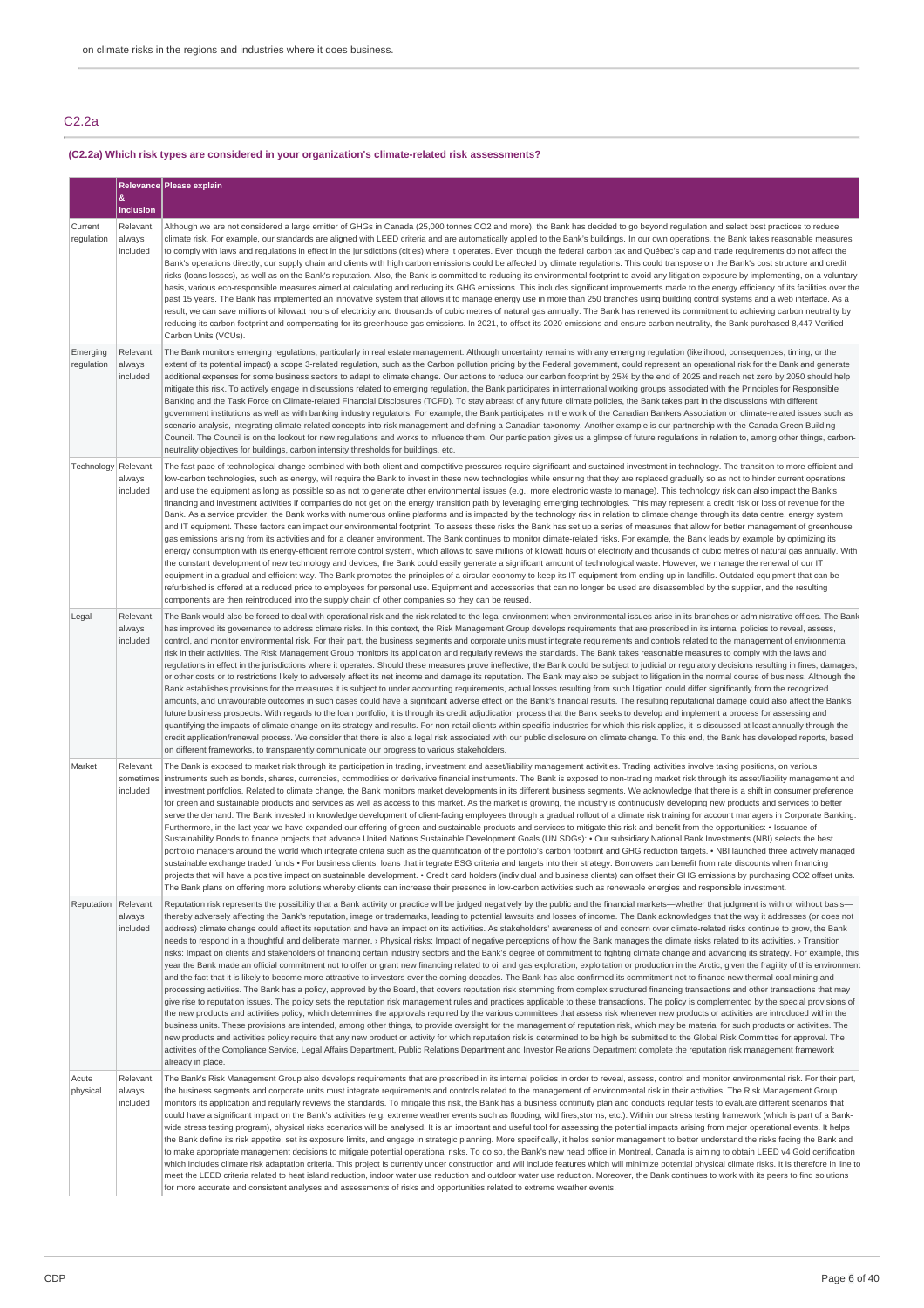# C2.2a

# **(C2.2a) Which risk types are considered in your organization's climate-related risk assessments?**

|                        |                                    | Relevance Please explain                                                                                                                                                                                                                                                                                                                                                                                                                                                                                                                                                                                                                                                                                                                                                                                                                                                                                                                                                                                                                                                                                                                                                                                                                                                                                                                                                                                                                                                                                                                                                                                                                                                                                                                                                                                                                                                                                                                                                                                                                                                                                                                                                                                                                                                                                                                                                                                                                                                                                                                                                        |  |
|------------------------|------------------------------------|---------------------------------------------------------------------------------------------------------------------------------------------------------------------------------------------------------------------------------------------------------------------------------------------------------------------------------------------------------------------------------------------------------------------------------------------------------------------------------------------------------------------------------------------------------------------------------------------------------------------------------------------------------------------------------------------------------------------------------------------------------------------------------------------------------------------------------------------------------------------------------------------------------------------------------------------------------------------------------------------------------------------------------------------------------------------------------------------------------------------------------------------------------------------------------------------------------------------------------------------------------------------------------------------------------------------------------------------------------------------------------------------------------------------------------------------------------------------------------------------------------------------------------------------------------------------------------------------------------------------------------------------------------------------------------------------------------------------------------------------------------------------------------------------------------------------------------------------------------------------------------------------------------------------------------------------------------------------------------------------------------------------------------------------------------------------------------------------------------------------------------------------------------------------------------------------------------------------------------------------------------------------------------------------------------------------------------------------------------------------------------------------------------------------------------------------------------------------------------------------------------------------------------------------------------------------------------|--|
|                        | &<br>inclusion                     |                                                                                                                                                                                                                                                                                                                                                                                                                                                                                                                                                                                                                                                                                                                                                                                                                                                                                                                                                                                                                                                                                                                                                                                                                                                                                                                                                                                                                                                                                                                                                                                                                                                                                                                                                                                                                                                                                                                                                                                                                                                                                                                                                                                                                                                                                                                                                                                                                                                                                                                                                                                 |  |
| Current<br>regulation  | Relevant,<br>always<br>included    | Although we are not considered a large emitter of GHGs in Canada (25,000 tonnes CO2 and more), the Bank has decided to go beyond regulation and select best practices to reduce<br>climate risk. For example, our standards are aligned with LEED criteria and are automatically applied to the Bank's buildings. In our own operations, the Bank takes reasonable measures<br>to comply with laws and regulations in effect in the jurisdictions (cities) where it operates. Even though the federal carbon tax and Québec's cap and trade requirements do not affect the<br>Bank's operations directly, our supply chain and clients with high carbon emissions could be affected by climate regulations. This could transpose on the Bank's cost structure and credit<br>risks (loans losses), as well as on the Bank's reputation. Also, the Bank is committed to reducing its environmental footprint to avoid any litigation exposure by implementing, on a voluntary<br>basis, various eco-responsible measures aimed at calculating and reducing its GHG emissions. This includes significant improvements made to the energy efficiency of its facilities over the<br>past 15 years. The Bank has implemented an innovative system that allows it to manage energy use in more than 250 branches using building control systems and a web interface. As a<br>result, we can save millions of kilowatt hours of electricity and thousands of cubic metres of natural gas annually. The Bank has renewed its commitment to achieving carbon neutrality by<br>reducing its carbon footprint and compensating for its greenhouse gas emissions. In 2021, to offset its 2020 emissions and ensure carbon neutrality, the Bank purchased 8,447 Verified<br>Carbon Units (VCUs).                                                                                                                                                                                                                                                                                                                                                                                                                                                                                                                                                                                                                                                                                                                                                                                              |  |
| Emerging<br>regulation | Relevant.<br>always<br>included    | The Bank monitors emerging regulations, particularly in real estate management. Although uncertainty remains with any emerging regulation (likelihood, consequences, timing, or the<br>extent of its potential impact) a scope 3-related regulation, such as the Carbon pollution pricing by the Federal government, could represent an operational risk for the Bank and generate<br>additional expenses for some business sectors to adapt to climate change. Our actions to reduce our carbon footprint by 25% by the end of 2025 and reach net zero by 2050 should help<br>mitigate this risk. To actively engage in discussions related to emerging regulation, the Bank participates in international working groups associated with the Principles for Responsible<br>Banking and the Task Force on Climate-related Financial Disclosures (TCFD). To stay abreast of any future climate policies, the Bank takes part in the discussions with different<br>government institutions as well as with banking industry regulators. For example, the Bank participates in the work of the Canadian Bankers Association on climate-related issues such as<br>scenario analysis, integrating climate-related concepts into risk management and defining a Canadian taxonomy. Another example is our partnership with the Canada Green Building<br>Council. The Council is on the lookout for new regulations and works to influence them. Our participation gives us a glimpse of future regulations in relation to, among other things, carbon-<br>neutrality objectives for buildings, carbon intensity thresholds for buildings, etc.                                                                                                                                                                                                                                                                                                                                                                                                                                                                                                                                                                                                                                                                                                                                                                                                                                                                                                                                       |  |
| Technology Relevant,   | always<br>included                 | The fast pace of technological change combined with both client and competitive pressures require significant and sustained investment in technology. The transition to more efficient and<br>low-carbon technologies, such as energy, will require the Bank to invest in these new technologies while ensuring that they are replaced gradually so as not to hinder current operations<br>and use the equipment as long as possible so as not to generate other environmental issues (e.g., more electronic waste to manage). This technology risk can also impact the Bank's<br>financing and investment activities if companies do not get on the energy transition path by leveraging emerging technologies. This may represent a credit risk or loss of revenue for the<br>Bank. As a service provider, the Bank works with numerous online platforms and is impacted by the technology risk in relation to climate change through its data centre, energy system<br>and IT equipment. These factors can impact our environmental footprint. To assess these risks the Bank has set up a series of measures that allow for better management of greenhouse<br>gas emissions arising from its activities and for a cleaner environment. The Bank continues to monitor climate-related risks. For example, the Bank leads by example by optimizing its<br>energy consumption with its energy-efficient remote control system, which allows to save millions of kilowatt hours of electricity and thousands of cubic metres of natural gas annually. With<br>the constant development of new technology and devices, the Bank could easily generate a significant amount of technological waste. However, we manage the renewal of our IT<br>equipment in a gradual and efficient way. The Bank promotes the principles of a circular economy to keep its IT equipment from ending up in landfills. Outdated equipment that can be<br>refurbished is offered at a reduced price to employees for personal use. Equipment and accessories that can no longer be used are disassembled by the supplier, and the resulting<br>components are then reintroduced into the supply chain of other companies so they can be reused.                                                                                                                                                                                                                                                                                                                                                   |  |
| Legal                  | Relevant,<br>always<br>included    | The Bank would also be forced to deal with operational risk and the risk related to the legal environment when environmental issues arise in its branches or administrative offices. The Bank<br>has improved its governance to address climate risks. In this context, the Risk Management Group develops requirements that are prescribed in its internal policies to reveal, assess,<br>control, and monitor environmental risk. For their part, the business segments and corporate units must integrate requirements and controls related to the management of environmental<br>risk in their activities. The Risk Management Group monitors its application and regularly reviews the standards. The Bank takes reasonable measures to comply with the laws and<br>regulations in effect in the jurisdictions where it operates. Should these measures prove ineffective, the Bank could be subject to judicial or regulatory decisions resulting in fines, damages,<br>or other costs or to restrictions likely to adversely affect its net income and damage its reputation. The Bank may also be subject to litigation in the normal course of business. Although the<br>Bank establishes provisions for the measures it is subject to under accounting requirements, actual losses resulting from such litigation could differ significantly from the recognized<br>amounts, and unfavourable outcomes in such cases could have a significant adverse effect on the Bank's financial results. The resulting reputational damage could also affect the Bank's<br>future business prospects. With regards to the loan portfolio, it is through its credit adjudication process that the Bank seeks to develop and implement a process for assessing and<br>quantifying the impacts of climate change on its strategy and results. For non-retail clients within specific industries for which this risk applies, it is discussed at least annually through the<br>credit application/renewal process. We consider that there is also a legal risk associated with our public disclosure on climate change. To this end, the Bank has developed reports, based<br>on different frameworks, to transparently communicate our progress to various stakeholders.                                                                                                                                                                                                                                                                                                            |  |
| Market                 | Relevant,<br>sometimes<br>included | The Bank is exposed to market risk through its participation in trading, investment and asset/liability management activities. Trading activities involve taking positions, on various<br>instruments such as bonds, shares, currencies, commodities or derivative financial instruments. The Bank is exposed to non-trading market risk through its asset/liability management and<br>investment portfolios. Related to climate change, the Bank monitors market developments in its different business segments. We acknowledge that there is a shift in consumer preference<br>for green and sustainable products and services as well as access to this market. As the market is growing, the industry is continuously developing new products and services to better<br>serve the demand. The Bank invested in knowledge development of client-facing employees through a gradual rollout of a climate risk training for account managers in Corporate Banking.<br>Furthermore, in the last year we have expanded our offering of green and sustainable products and services to mitigate this risk and benefit from the opportunities: • Issuance of<br>Sustainability Bonds to finance projects that advance United Nations Sustainable Development Goals (UN SDGs): . Our subsidiary National Bank Investments (NBI) selects the best<br>portfolio managers around the world which integrate criteria such as the quantification of the portfolio's carbon footprint and GHG reduction targets. • NBI launched three actively managed<br>sustainable exchange traded funds . For business clients, loans that integrate ESG criteria and targets into their strategy. Borrowers can benefit from rate discounts when financing<br>projects that will have a positive impact on sustainable development. • Credit card holders (individual and business clients) can offset their GHG emissions by purchasing CO2 offset units.<br>The Bank plans on offering more solutions whereby clients can increase their presence in low-carbon activities such as renewable energies and responsible investment.                                                                                                                                                                                                                                                                                                                                                                                                                                                                 |  |
| Reputation             | Relevant,<br>always<br>included    | Reputation risk represents the possibility that a Bank activity or practice will be judged negatively by the public and the financial markets--whether that judgment is with or without basis-<br>thereby adversely affecting the Bank's reputation, image or trademarks, leading to potential lawsuits and losses of income. The Bank acknowledges that the way it addresses (or does not<br>address) climate change could affect its reputation and have an impact on its activities. As stakeholders' awareness of and concern over climate-related risks continue to grow, the Bank<br>needs to respond in a thoughtful and deliberate manner. > Physical risks: Impact of negative perceptions of how the Bank manages the climate risks related to its activities. > Transition<br>risks: Impact on clients and stakeholders of financing certain industry sectors and the Bank's degree of commitment to fighting climate change and advancing its strategy. For example, this<br>year the Bank made an official commitment not to offer or grant new financing related to oil and gas exploration, exploitation or production in the Arctic, given the fragility of this environment<br>and the fact that it is likely to become more attractive to investors over the coming decades. The Bank has also confirmed its commitment not to finance new thermal coal mining and<br>processing activities. The Bank has a policy, approved by the Board, that covers reputation risk stemming from complex structured financing transactions and other transactions that may<br>give rise to reputation issues. The policy sets the reputation risk management rules and practices applicable to these transactions. The policy is complemented by the special provisions of<br>the new products and activities policy, which determines the approvals required by the various committees that assess risk whenever new products or activities are introduced within the<br>business units. These provisions are intended, among other things, to provide oversight for the management of reputation risk, which may be material for such products or activities. The<br>new products and activities policy require that any new product or activity for which reputation risk is determined to be high be submitted to the Global Risk Committee for approval. The<br>activities of the Compliance Service, Legal Affairs Department, Public Relations Department and Investor Relations Department complete the reputation risk management framework<br>already in place. |  |
| Acute<br>physical      | Relevant,<br>always<br>included    | The Bank's Risk Management Group also develops requirements that are prescribed in its internal policies in order to reveal, assess, control and monitor environmental risk. For their part,<br>the business segments and corporate units must integrate requirements and controls related to the management of environmental risk in their activities. The Risk Management Group<br>monitors its application and regularly reviews the standards. To mitigate this risk, the Bank has a business continuity plan and conducts regular tests to evaluate different scenarios that<br>could have a significant impact on the Bank's activities (e.g. extreme weather events such as flooding, wild fires,storms, etc.). Within our stress testing framework (which is part of a Bank-<br>wide stress testing program), physical risks scenarios will be analysed. It is an important and useful tool for assessing the potential impacts arising from major operational events. It helps<br>the Bank define its risk appetite, set its exposure limits, and engage in strategic planning. More specifically, it helps senior management to better understand the risks facing the Bank and<br>to make appropriate management decisions to mitigate potential operational risks. To do so, the Bank's new head office in Montreal, Canada is aiming to obtain LEED v4 Gold certification<br>which includes climate risk adaptation criteria. This project is currently under construction and will include features which will minimize potential physical climate risks. It is therefore in line to<br>meet the LEED criteria related to heat island reduction, indoor water use reduction and outdoor water use reduction. Moreover, the Bank continues to work with its peers to find solutions<br>for more accurate and consistent analyses and assessments of risks and opportunities related to extreme weather events.                                                                                                                                                                                                                                                                                                                                                                                                                                                                                                                                                                                                                                                     |  |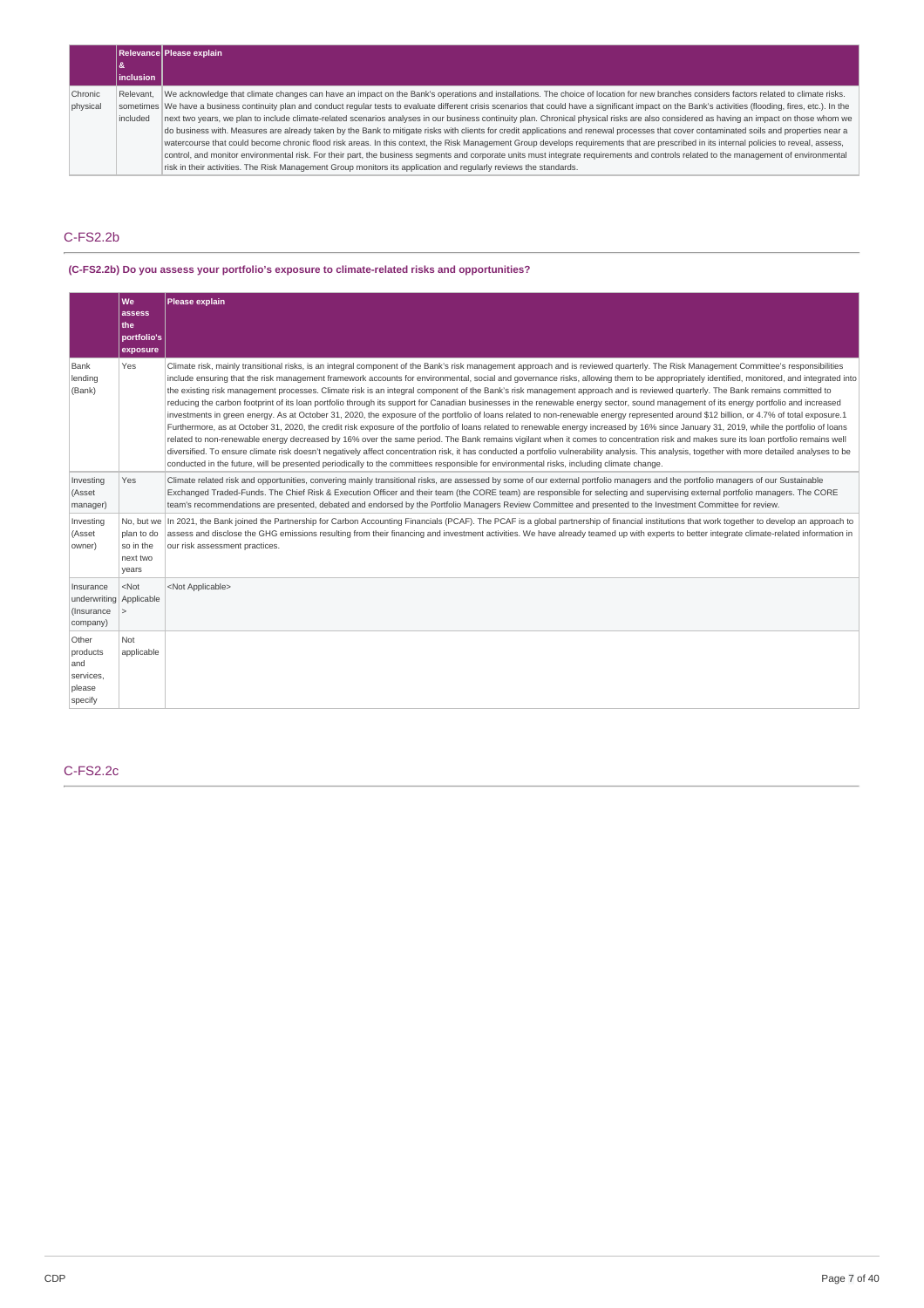|          |                  | <b>Relevance Please explain</b>                                                                                                                                                                             |
|----------|------------------|-------------------------------------------------------------------------------------------------------------------------------------------------------------------------------------------------------------|
|          |                  |                                                                                                                                                                                                             |
|          | <b>inclusion</b> |                                                                                                                                                                                                             |
| Chronic  | Relevant.        | We acknowledge that climate changes can have an impact on the Bank's operations and installations. The choice of location for new branches considers factors related to climate risks.                      |
| physical |                  | sometimes We have a business continuity plan and conduct regular tests to evaluate different crisis scenarios that could have a significant impact on the Bank's activities (flooding, fires, etc.). In the |
|          | l included       | next two years, we plan to include climate-related scenarios analyses in our business continuity plan. Chronical physical risks are also considered as having an impact on those whom we                    |
|          |                  | do business with. Measures are already taken by the Bank to mitigate risks with clients for credit applications and renewal processes that cover contaminated soils and properties near a                   |
|          |                  | watercourse that could become chronic flood risk areas. In this context, the Risk Management Group develops requirements that are prescribed in its internal policies to reveal, assess,                    |
|          |                  | control, and monitor environmental risk. For their part, the business segments and corporate units must integrate requirements and controls related to the management of environmental                      |
|          |                  | risk in their activities. The Risk Management Group monitors its application and regularly reviews the standards.                                                                                           |

# C-FS2.2b

### **(C-FS2.2b) Do you assess your portfolio's exposure to climate-related risks and opportunities?**

|                                                                | We<br>assess<br>lthe:<br>portfolio's<br>exposure           | Please explain                                                                                                                                                                                                                                                                                                                                                                                                                                                                                                                                                                                                                                                                                                                                                                                                                                                                                                                                                                                                                                                                                                                                                                                                                                                                                                                                                                                                                                                                                                                                                                                                                                                                               |
|----------------------------------------------------------------|------------------------------------------------------------|----------------------------------------------------------------------------------------------------------------------------------------------------------------------------------------------------------------------------------------------------------------------------------------------------------------------------------------------------------------------------------------------------------------------------------------------------------------------------------------------------------------------------------------------------------------------------------------------------------------------------------------------------------------------------------------------------------------------------------------------------------------------------------------------------------------------------------------------------------------------------------------------------------------------------------------------------------------------------------------------------------------------------------------------------------------------------------------------------------------------------------------------------------------------------------------------------------------------------------------------------------------------------------------------------------------------------------------------------------------------------------------------------------------------------------------------------------------------------------------------------------------------------------------------------------------------------------------------------------------------------------------------------------------------------------------------|
| Bank<br>lending<br>(Bank)                                      | Yes                                                        | Climate risk, mainly transitional risks, is an integral component of the Bank's risk management approach and is reviewed quarterly. The Risk Management Committee's responsibilities<br>include ensuring that the risk management framework accounts for environmental, social and governance risks, allowing them to be appropriately identified, monitored, and integrated into<br>the existing risk management processes. Climate risk is an integral component of the Bank's risk management approach and is reviewed quarterly. The Bank remains committed to<br>reducing the carbon footprint of its loan portfolio through its support for Canadian businesses in the renewable energy sector, sound management of its energy portfolio and increased<br>investments in green energy. As at October 31, 2020, the exposure of the portfolio of loans related to non-renewable energy represented around \$12 billion, or 4.7% of total exposure.1<br>Furthermore, as at October 31, 2020, the credit risk exposure of the portfolio of loans related to renewable energy increased by 16% since January 31, 2019, while the portfolio of loans<br>related to non-renewable energy decreased by 16% over the same period. The Bank remains vigilant when it comes to concentration risk and makes sure its loan portfolio remains well<br>diversified. To ensure climate risk doesn't negatively affect concentration risk, it has conducted a portfolio vulnerability analysis. This analysis, together with more detailed analyses to be<br>conducted in the future, will be presented periodically to the committees responsible for environmental risks, including climate change. |
| Investing<br>(Asset<br>manager)                                | Yes                                                        | Climate related risk and opportunities, convering mainly transitional risks, are assessed by some of our external portfolio managers and the portfolio managers of our Sustainable<br>Exchanged Traded-Funds. The Chief Risk & Execution Officer and their team (the CORE team) are responsible for selecting and supervising external portfolio managers. The CORE<br>team's recommendations are presented, debated and endorsed by the Portfolio Managers Review Committee and presented to the Investment Committee for review.                                                                                                                                                                                                                                                                                                                                                                                                                                                                                                                                                                                                                                                                                                                                                                                                                                                                                                                                                                                                                                                                                                                                                           |
| Investing<br>(Asset<br>owner)                                  | No. but we<br>plan to do<br>so in the<br>next two<br>years | In 2021, the Bank joined the Partnership for Carbon Accounting Financials (PCAF). The PCAF is a global partnership of financial institutions that work together to develop an approach to<br>assess and disclose the GHG emissions resulting from their financing and investment activities. We have already teamed up with experts to better integrate climate-related information in<br>our risk assessment practices.                                                                                                                                                                                                                                                                                                                                                                                                                                                                                                                                                                                                                                                                                                                                                                                                                                                                                                                                                                                                                                                                                                                                                                                                                                                                     |
| Insurance<br>underwriting Applicable<br>(Insurance<br>company) | $<$ Not<br>$\geq$                                          | <not applicable=""></not>                                                                                                                                                                                                                                                                                                                                                                                                                                                                                                                                                                                                                                                                                                                                                                                                                                                                                                                                                                                                                                                                                                                                                                                                                                                                                                                                                                                                                                                                                                                                                                                                                                                                    |
| Other<br>products<br>and<br>services,<br>please<br>specify     | Not<br>applicable                                          |                                                                                                                                                                                                                                                                                                                                                                                                                                                                                                                                                                                                                                                                                                                                                                                                                                                                                                                                                                                                                                                                                                                                                                                                                                                                                                                                                                                                                                                                                                                                                                                                                                                                                              |

# C-FS2.2c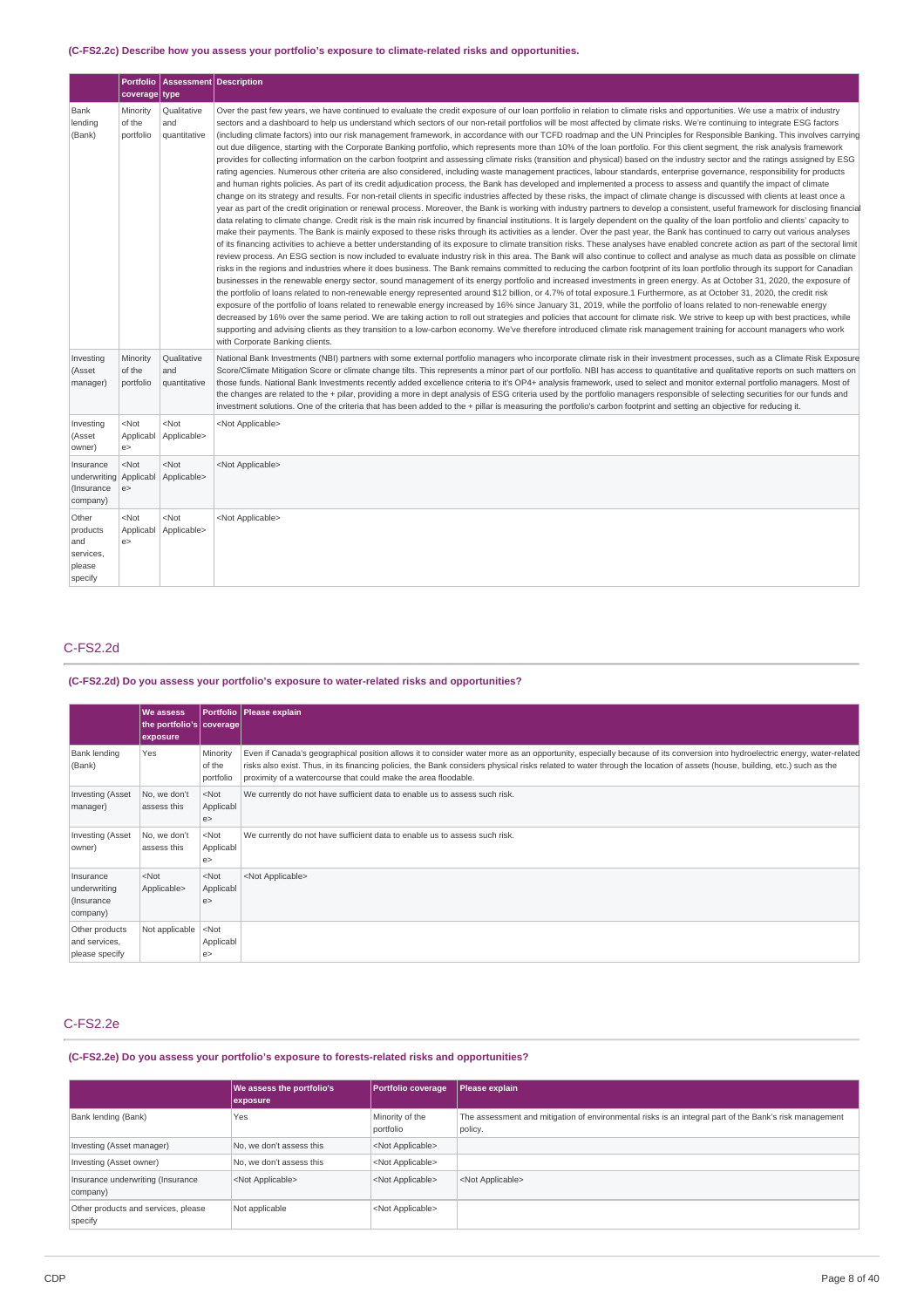### **(C-FS2.2c) Describe how you assess your portfolio's exposure to climate-related risks and opportunities.**

|                                                               | coverage type                         | Portfolio   Assessment   Description |                                                                                                                                                                                                                                                                                                                                                                                                                                                                                                                                                                                                                                                                                                                                                                                                                                                                                                                                                                                                                                                                                                                                                                                                                                                                                                                                                                                                                                                                                                                                                                                                                                                                                                                                                                                                                                                                                                                                                                                                                                                                                                                                                                                                                                                                                                                                                                                                                                                                                                                                                                                                                                                                                                                                                                                                                                                                                                                                                                                                                                                                                                                                                                                                                                                                                                                                                                                                                                                                                                           |
|---------------------------------------------------------------|---------------------------------------|--------------------------------------|-----------------------------------------------------------------------------------------------------------------------------------------------------------------------------------------------------------------------------------------------------------------------------------------------------------------------------------------------------------------------------------------------------------------------------------------------------------------------------------------------------------------------------------------------------------------------------------------------------------------------------------------------------------------------------------------------------------------------------------------------------------------------------------------------------------------------------------------------------------------------------------------------------------------------------------------------------------------------------------------------------------------------------------------------------------------------------------------------------------------------------------------------------------------------------------------------------------------------------------------------------------------------------------------------------------------------------------------------------------------------------------------------------------------------------------------------------------------------------------------------------------------------------------------------------------------------------------------------------------------------------------------------------------------------------------------------------------------------------------------------------------------------------------------------------------------------------------------------------------------------------------------------------------------------------------------------------------------------------------------------------------------------------------------------------------------------------------------------------------------------------------------------------------------------------------------------------------------------------------------------------------------------------------------------------------------------------------------------------------------------------------------------------------------------------------------------------------------------------------------------------------------------------------------------------------------------------------------------------------------------------------------------------------------------------------------------------------------------------------------------------------------------------------------------------------------------------------------------------------------------------------------------------------------------------------------------------------------------------------------------------------------------------------------------------------------------------------------------------------------------------------------------------------------------------------------------------------------------------------------------------------------------------------------------------------------------------------------------------------------------------------------------------------------------------------------------------------------------------------------------------------|
| Bank<br>lending<br>(Bank)                                     | Minority<br>of the<br>portfolio       | Qualitative<br>and<br>quantitative   | Over the past few years, we have continued to evaluate the credit exposure of our loan portfolio in relation to climate risks and opportunities. We use a matrix of industry<br>sectors and a dashboard to help us understand which sectors of our non-retail portfolios will be most affected by climate risks. We're continuing to integrate ESG factors<br>(including climate factors) into our risk management framework, in accordance with our TCFD roadmap and the UN Principles for Responsible Banking. This involves carrying<br>out due diligence, starting with the Corporate Banking portfolio, which represents more than 10% of the loan portfolio. For this client segment, the risk analysis framework<br>provides for collecting information on the carbon footprint and assessing climate risks (transition and physical) based on the industry sector and the ratings assigned by ESG<br>rating agencies. Numerous other criteria are also considered, including waste management practices, labour standards, enterprise governance, responsibility for products<br>and human rights policies. As part of its credit adjudication process, the Bank has developed and implemented a process to assess and quantify the impact of climate<br>change on its strategy and results. For non-retail clients in specific industries affected by these risks, the impact of climate change is discussed with clients at least once a<br>year as part of the credit origination or renewal process. Moreover, the Bank is working with industry partners to develop a consistent, useful framework for disclosing financial<br>data relating to climate change. Credit risk is the main risk incurred by financial institutions. It is largely dependent on the quality of the loan portfolio and clients' capacity to<br>make their payments. The Bank is mainly exposed to these risks through its activities as a lender. Over the past year, the Bank has continued to carry out various analyses<br>of its financing activities to achieve a better understanding of its exposure to climate transition risks. These analyses have enabled concrete action as part of the sectoral limit<br>review process. An ESG section is now included to evaluate industry risk in this area. The Bank will also continue to collect and analyse as much data as possible on climate<br>risks in the regions and industries where it does business. The Bank remains committed to reducing the carbon footprint of its loan portfolio through its support for Canadian<br>businesses in the renewable energy sector, sound management of its energy portfolio and increased investments in green energy. As at October 31, 2020, the exposure of<br>the portfolio of loans related to non-renewable energy represented around \$12 billion, or 4.7% of total exposure.1 Furthermore, as at October 31, 2020, the credit risk<br>exposure of the portfolio of loans related to renewable energy increased by 16% since January 31, 2019, while the portfolio of loans related to non-renewable energy<br>decreased by 16% over the same period. We are taking action to roll out strategies and policies that account for climate risk. We strive to keep up with best practices, while<br>supporting and advising clients as they transition to a low-carbon economy. We've therefore introduced climate risk management training for account managers who work<br>with Corporate Banking clients. |
| Investing<br>(Asset<br>manager)                               | Minority<br>of the<br>portfolio       | Qualitative<br>and<br>quantitative   | National Bank Investments (NBI) partners with some external portfolio managers who incorporate climate risk in their investment processes, such as a Climate Risk Exposure<br>Score/Climate Mitigation Score or climate change tilts. This represents a minor part of our portfolio. NBI has access to quantitative and qualitative reports on such matters on<br>those funds. National Bank Investments recently added excellence criteria to it's OP4+ analysis framework, used to select and monitor external portfolio managers. Most of<br>the changes are related to the + pilar, providing a more in dept analysis of ESG criteria used by the portfolio managers responsible of selecting securities for our funds and<br>investment solutions. One of the criteria that has been added to the + pillar is measuring the portfolio's carbon footprint and setting an objective for reducing it.                                                                                                                                                                                                                                                                                                                                                                                                                                                                                                                                                                                                                                                                                                                                                                                                                                                                                                                                                                                                                                                                                                                                                                                                                                                                                                                                                                                                                                                                                                                                                                                                                                                                                                                                                                                                                                                                                                                                                                                                                                                                                                                                                                                                                                                                                                                                                                                                                                                                                                                                                                                                   |
| Investing<br>(Asset<br>owner)                                 | <not<br>Applicabl<br/>e &gt;</not<br> | <not<br>Applicable&gt;</not<br>      | <not applicable=""></not>                                                                                                                                                                                                                                                                                                                                                                                                                                                                                                                                                                                                                                                                                                                                                                                                                                                                                                                                                                                                                                                                                                                                                                                                                                                                                                                                                                                                                                                                                                                                                                                                                                                                                                                                                                                                                                                                                                                                                                                                                                                                                                                                                                                                                                                                                                                                                                                                                                                                                                                                                                                                                                                                                                                                                                                                                                                                                                                                                                                                                                                                                                                                                                                                                                                                                                                                                                                                                                                                                 |
| Insurance<br>underwriting Applicabl<br>(Insurance<br>company) | $<$ Not<br>e                          | $<$ Not<br>Applicable>               | <not applicable=""></not>                                                                                                                                                                                                                                                                                                                                                                                                                                                                                                                                                                                                                                                                                                                                                                                                                                                                                                                                                                                                                                                                                                                                                                                                                                                                                                                                                                                                                                                                                                                                                                                                                                                                                                                                                                                                                                                                                                                                                                                                                                                                                                                                                                                                                                                                                                                                                                                                                                                                                                                                                                                                                                                                                                                                                                                                                                                                                                                                                                                                                                                                                                                                                                                                                                                                                                                                                                                                                                                                                 |
| Other<br>products<br>and<br>services,<br>please<br>specify    | <not<br>Applicabl<br/>e &gt;</not<br> | <not<br>Applicable&gt;</not<br>      | <not applicable=""></not>                                                                                                                                                                                                                                                                                                                                                                                                                                                                                                                                                                                                                                                                                                                                                                                                                                                                                                                                                                                                                                                                                                                                                                                                                                                                                                                                                                                                                                                                                                                                                                                                                                                                                                                                                                                                                                                                                                                                                                                                                                                                                                                                                                                                                                                                                                                                                                                                                                                                                                                                                                                                                                                                                                                                                                                                                                                                                                                                                                                                                                                                                                                                                                                                                                                                                                                                                                                                                                                                                 |

### C-FS2.2d

# **(C-FS2.2d) Do you assess your portfolio's exposure to water-related risks and opportunities?**

|                                                     | We assess<br>the portfolio's coverage<br>exposure |                                 | Portfolio Please explain                                                                                                                                                                                                                                                                                                                                                                                               |
|-----------------------------------------------------|---------------------------------------------------|---------------------------------|------------------------------------------------------------------------------------------------------------------------------------------------------------------------------------------------------------------------------------------------------------------------------------------------------------------------------------------------------------------------------------------------------------------------|
| Bank lending<br>(Bank)                              | Yes                                               | Minority<br>of the<br>portfolio | Even if Canada's geographical position allows it to consider water more as an opportunity, especially because of its conversion into hydroelectric energy, water-related<br>risks also exist. Thus, in its financing policies, the Bank considers physical risks related to water through the location of assets (house, building, etc.) such as the<br>proximity of a watercourse that could make the area floodable. |
| <b>Investing (Asset</b><br>manager)                 | No, we don't<br>assess this                       | $<$ Not<br>Applicabl<br>e       | We currently do not have sufficient data to enable us to assess such risk.                                                                                                                                                                                                                                                                                                                                             |
| <b>Investing (Asset</b><br>owner)                   | No, we don't<br>assess this                       | $<$ Not<br>Applicabl<br>e       | We currently do not have sufficient data to enable us to assess such risk.                                                                                                                                                                                                                                                                                                                                             |
| Insurance<br>underwriting<br>(Insurance<br>company) | $<$ Not<br>Applicable>                            | $<$ Not<br>Applicabl<br>e >     | <not applicable=""></not>                                                                                                                                                                                                                                                                                                                                                                                              |
| Other products<br>and services,<br>please specify   | Not applicable                                    | $<$ Not<br>Applicabl<br>e       |                                                                                                                                                                                                                                                                                                                                                                                                                        |

### C-FS2.2e

# **(C-FS2.2e) Do you assess your portfolio's exposure to forests-related risks and opportunities?**

|                                                | We assess the portfolio's<br>exposure | <b>Portfolio coverage</b>    | Please explain                                                                                                    |
|------------------------------------------------|---------------------------------------|------------------------------|-------------------------------------------------------------------------------------------------------------------|
| Bank lending (Bank)                            | Yes                                   | Minority of the<br>portfolio | The assessment and mitigation of environmental risks is an integral part of the Bank's risk management<br>policy. |
| Investing (Asset manager)                      | No, we don't assess this              | <not applicable=""></not>    |                                                                                                                   |
| Investing (Asset owner)                        | No, we don't assess this              | <not applicable=""></not>    |                                                                                                                   |
| Insurance underwriting (Insurance<br>company)  | <not applicable=""></not>             | <not applicable=""></not>    | <not applicable=""></not>                                                                                         |
| Other products and services, please<br>specify | Not applicable                        | <not applicable=""></not>    |                                                                                                                   |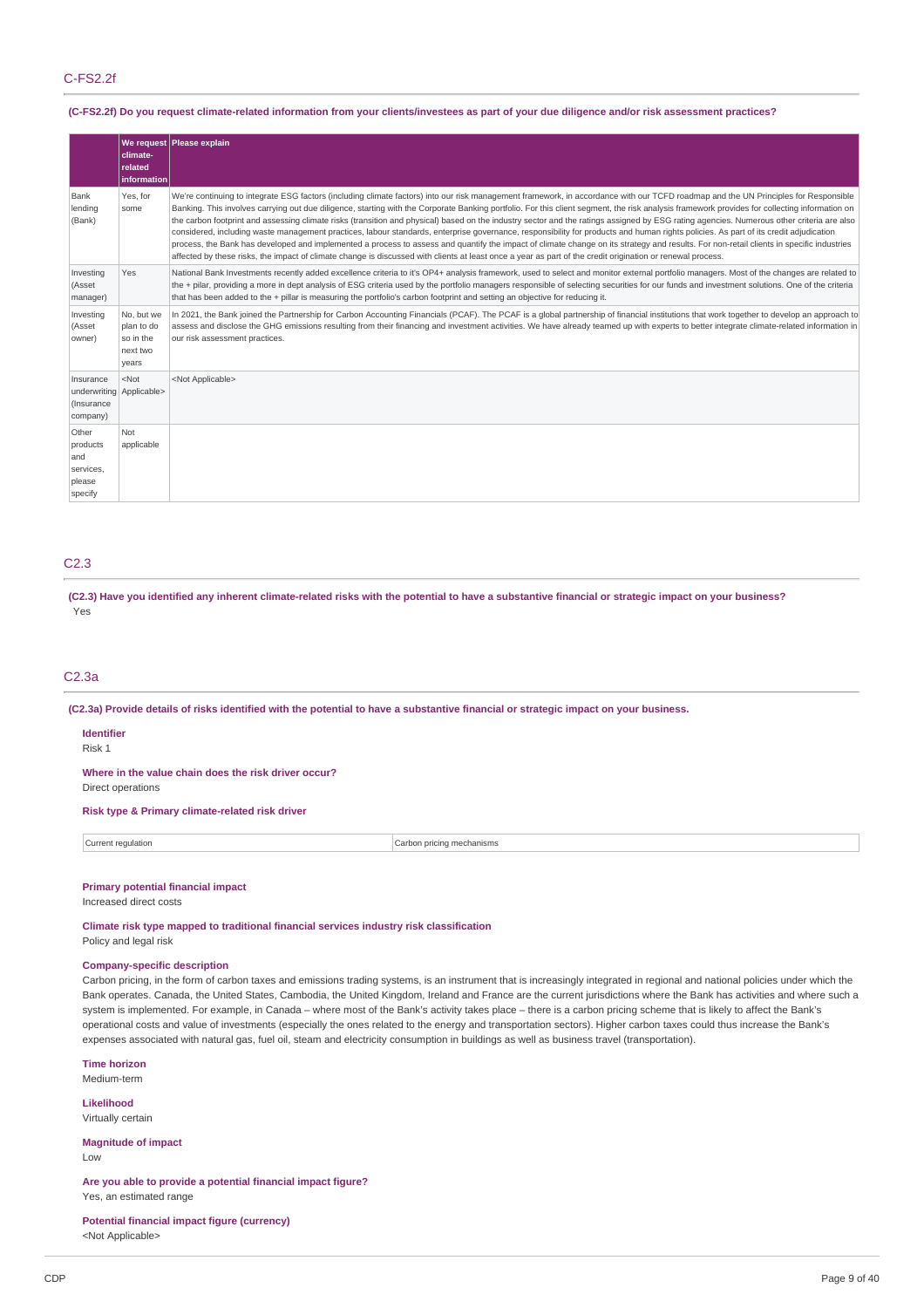### C-FS2.2f

### (C-FS2.2f) Do you request climate-related information from your clients/investees as part of your due diligence and/or risk assessment practices?

|                                                                 | climate-<br>related<br>information                         | We request Please explain                                                                                                                                                                                                                                                                                                                                                                                                                                                                                                                                                                                                                                                                                                                                                                                                                                                                                                                                                                                                                                                                                                           |
|-----------------------------------------------------------------|------------------------------------------------------------|-------------------------------------------------------------------------------------------------------------------------------------------------------------------------------------------------------------------------------------------------------------------------------------------------------------------------------------------------------------------------------------------------------------------------------------------------------------------------------------------------------------------------------------------------------------------------------------------------------------------------------------------------------------------------------------------------------------------------------------------------------------------------------------------------------------------------------------------------------------------------------------------------------------------------------------------------------------------------------------------------------------------------------------------------------------------------------------------------------------------------------------|
| Bank<br>lending<br>(Bank)                                       | Yes, for<br>some                                           | We're continuing to integrate ESG factors (including climate factors) into our risk management framework, in accordance with our TCFD roadmap and the UN Principles for Responsible<br>Banking. This involves carrying out due diligence, starting with the Corporate Banking portfolio. For this client segment, the risk analysis framework provides for collecting information on<br>the carbon footprint and assessing climate risks (transition and physical) based on the industry sector and the ratings assigned by ESG rating agencies. Numerous other criteria are also<br>considered, including waste management practices, labour standards, enterprise governance, responsibility for products and human rights policies. As part of its credit adjudication<br>process, the Bank has developed and implemented a process to assess and quantify the impact of climate change on its strategy and results. For non-retail clients in specific industries<br>affected by these risks, the impact of climate change is discussed with clients at least once a year as part of the credit origination or renewal process. |
| Investing<br>(Asset<br>manager)                                 | Yes                                                        | National Bank Investments recently added excellence criteria to it's OP4+ analysis framework, used to select and monitor external portfolio managers. Most of the changes are related to<br>the + pilar, providing a more in dept analysis of ESG criteria used by the portfolio managers responsible of selecting securities for our funds and investment solutions. One of the criteria<br>that has been added to the + pillar is measuring the portfolio's carbon footprint and setting an objective for reducing it.                                                                                                                                                                                                                                                                                                                                                                                                                                                                                                                                                                                                            |
| Investing<br>(Asset<br>owner)                                   | No, but we<br>plan to do<br>so in the<br>next two<br>years | In 2021, the Bank joined the Partnership for Carbon Accounting Financials (PCAF). The PCAF is a global partnership of financial institutions that work together to develop an approach to<br>assess and disclose the GHG emissions resulting from their financing and investment activities. We have already teamed up with experts to better integrate climate-related information in<br>our risk assessment practices.                                                                                                                                                                                                                                                                                                                                                                                                                                                                                                                                                                                                                                                                                                            |
| Insurance<br>underwriting Applicable><br>(Insurance<br>company) | $<$ Not                                                    | <not applicable=""></not>                                                                                                                                                                                                                                                                                                                                                                                                                                                                                                                                                                                                                                                                                                                                                                                                                                                                                                                                                                                                                                                                                                           |
| Other<br>products<br>and<br>services,<br>please<br>specify      | Not<br>applicable                                          |                                                                                                                                                                                                                                                                                                                                                                                                                                                                                                                                                                                                                                                                                                                                                                                                                                                                                                                                                                                                                                                                                                                                     |

### C2.3

(C2.3) Have you identified any inherent climate-related risks with the potential to have a substantive financial or strategic impact on your business? Yes

### C2.3a

(C2.3a) Provide details of risks identified with the potential to have a substantive financial or strategic impact on your business.

### **Identifier**

Risk 1

**Where in the value chain does the risk driver occur?**

Direct operations

# **Risk type & Primary climate-related risk driver**

**Current regulation** Current regulation Current regulation Current regulation Current regulation Current regulation

# **Primary potential financial impact**

Increased direct costs

**Climate risk type mapped to traditional financial services industry risk classification**

Policy and legal risk

### **Company-specific description**

Carbon pricing, in the form of carbon taxes and emissions trading systems, is an instrument that is increasingly integrated in regional and national policies under which the Bank operates. Canada, the United States, Cambodia, the United Kingdom, Ireland and France are the current jurisdictions where the Bank has activities and where such a system is implemented. For example, in Canada – where most of the Bank's activity takes place – there is a carbon pricing scheme that is likely to affect the Bank's operational costs and value of investments (especially the ones related to the energy and transportation sectors). Higher carbon taxes could thus increase the Bank's expenses associated with natural gas, fuel oil, steam and electricity consumption in buildings as well as business travel (transportation).

**Time horizon** Medium-term

**Likelihood** Virtually certain

**Magnitude of impact**

 $\overline{L}$   $\Omega$ 

**Are you able to provide a potential financial impact figure?** Yes, an estimated range

**Potential financial impact figure (currency)** <Not Applicable>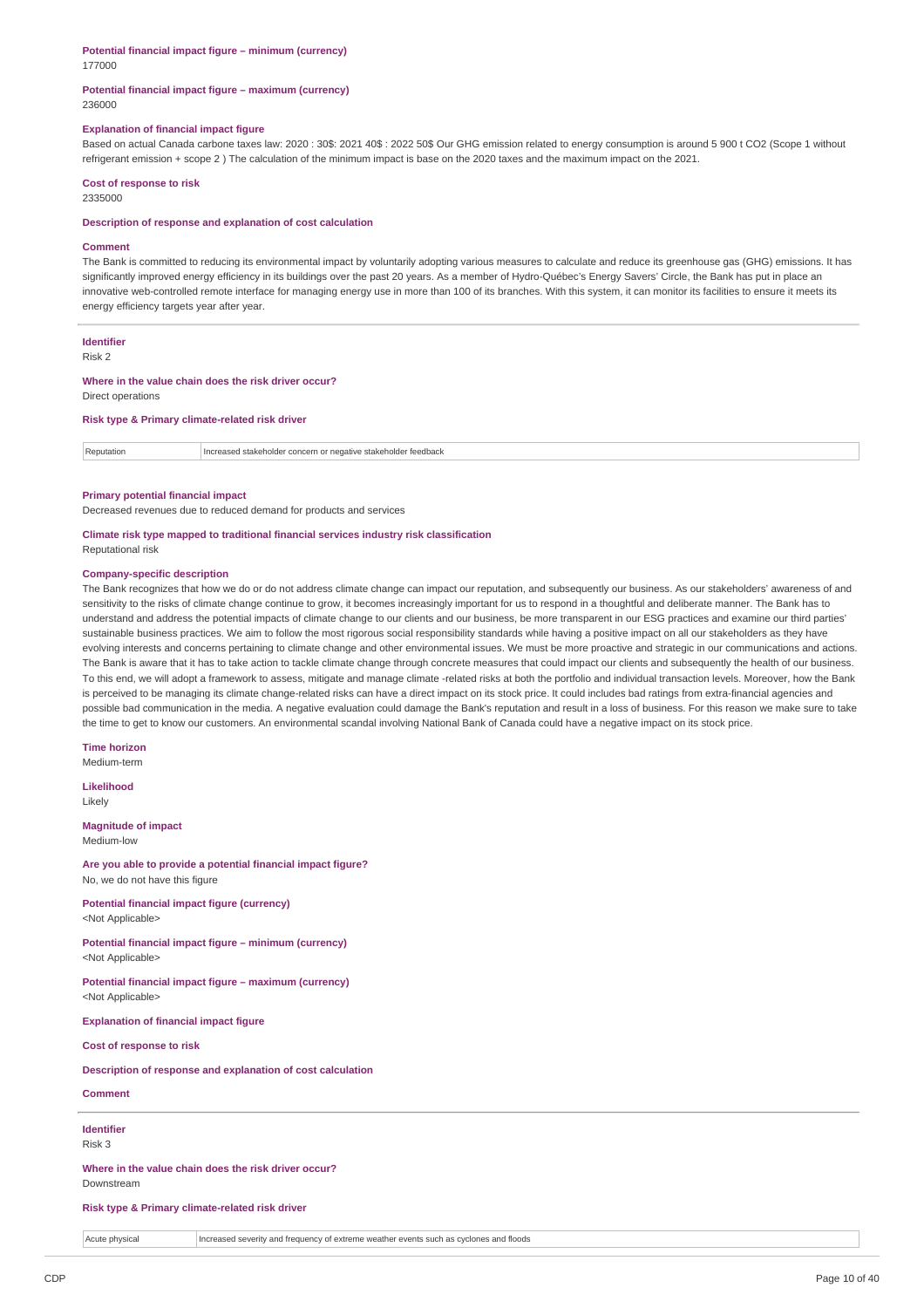# **Potential financial impact figure – minimum (currency)**

177000

#### **Potential financial impact figure – maximum (currency)** 236000

#### **Explanation of financial impact figure**

Based on actual Canada carbone taxes law: 2020 : 30\$: 2021 40\$ : 2022 50\$ Our GHG emission related to energy consumption is around 5 900 t CO2 (Scope 1 without refrigerant emission + scope 2 ) The calculation of the minimum impact is base on the 2020 taxes and the maximum impact on the 2021.

#### **Cost of response to risk**

2335000

#### **Description of response and explanation of cost calculation**

#### **Comment**

The Bank is committed to reducing its environmental impact by voluntarily adopting various measures to calculate and reduce its greenhouse gas (GHG) emissions. It has significantly improved energy efficiency in its buildings over the past 20 years. As a member of Hydro-Québec's Energy Savers' Circle, the Bank has put in place an innovative web-controlled remote interface for managing energy use in more than 100 of its branches. With this system, it can monitor its facilities to ensure it meets its energy efficiency targets year after year.

#### **Identifier**

Risk 2

# **Where in the value chain does the risk driver occur?**

Direct operations

#### **Risk type & Primary climate-related risk driver**

Reputation **Increased stakeholder concern or negative stakeholder feedback** 

#### **Primary potential financial impact**

Decreased revenues due to reduced demand for products and services

# **Climate risk type mapped to traditional financial services industry risk classification**

Reputational risk

#### **Company-specific description**

The Bank recognizes that how we do or do not address climate change can impact our reputation, and subsequently our business. As our stakeholders' awareness of and sensitivity to the risks of climate change continue to grow, it becomes increasingly important for us to respond in a thoughtful and deliberate manner. The Bank has to understand and address the potential impacts of climate change to our clients and our business, be more transparent in our ESG practices and examine our third parties' sustainable business practices. We aim to follow the most rigorous social responsibility standards while having a positive impact on all our stakeholders as they have evolving interests and concerns pertaining to climate change and other environmental issues. We must be more proactive and strategic in our communications and actions. The Bank is aware that it has to take action to tackle climate change through concrete measures that could impact our clients and subsequently the health of our business. To this end, we will adopt a framework to assess, mitigate and manage climate -related risks at both the portfolio and individual transaction levels. Moreover, how the Bank is perceived to be managing its climate change-related risks can have a direct impact on its stock price. It could includes bad ratings from extra-financial agencies and possible bad communication in the media. A negative evaluation could damage the Bank's reputation and result in a loss of business. For this reason we make sure to take the time to get to know our customers. An environmental scandal involving National Bank of Canada could have a negative impact on its stock price.

#### **Time horizon**

Medium-term

**Likelihood** Likely

**Magnitude of impact** Medium-low

#### **Are you able to provide a potential financial impact figure?** No, we do not have this figure

**Potential financial impact figure (currency)** <Not Applicable>

### **Potential financial impact figure – minimum (currency)** <Not Applicable>

**Potential financial impact figure – maximum (currency)** <Not Applicable>

**Explanation of financial impact figure**

**Cost of response to risk**

#### **Description of response and explanation of cost calculation**

### **Comment**

## **Identifier**

Risk 3

**Where in the value chain does the risk driver occur?** Downstream

### **Risk type & Primary climate-related risk driver**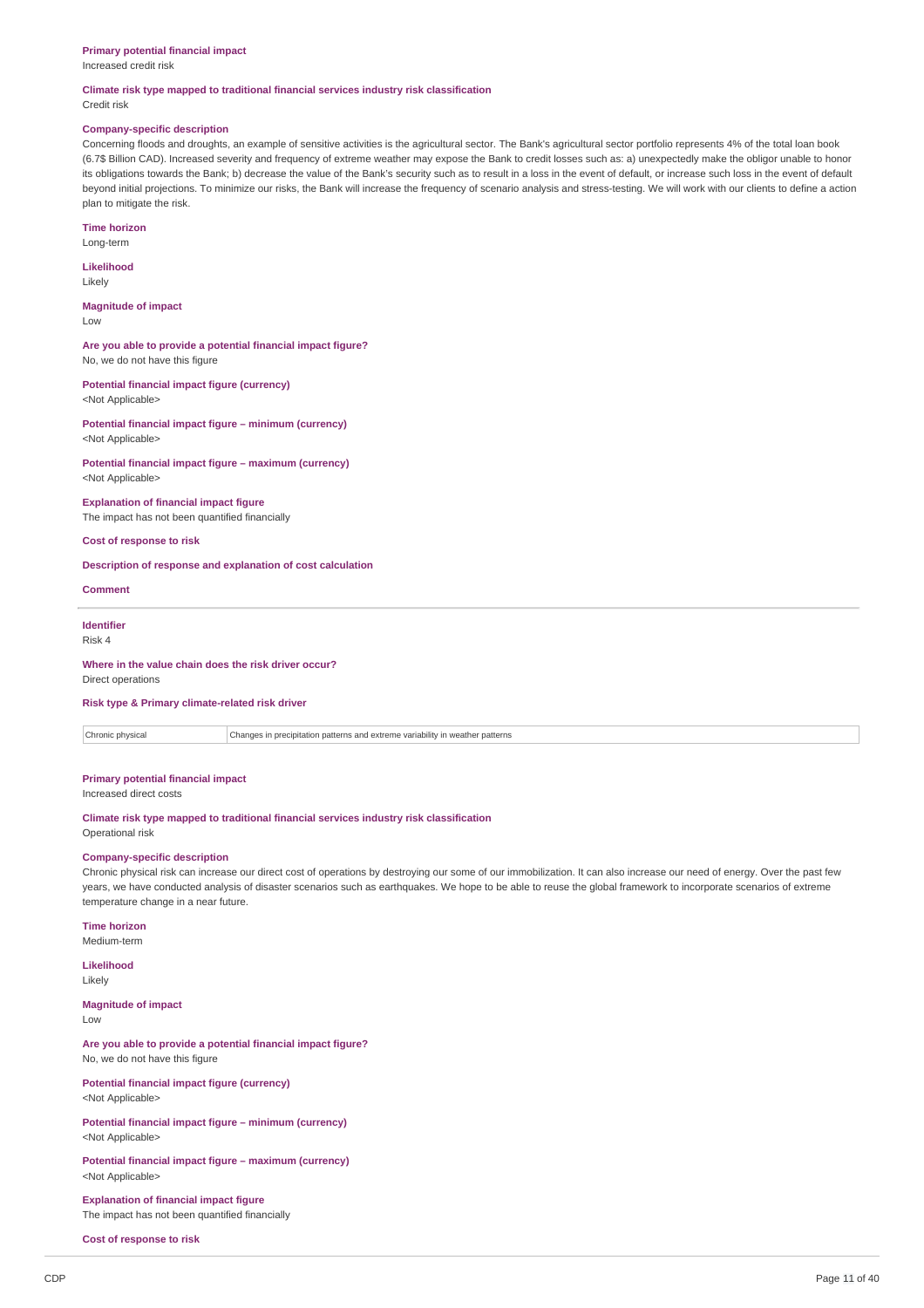#### **Primary potential financial impact**

Increased credit risk

#### **Climate risk type mapped to traditional financial services industry risk classification** Credit risk

#### **Company-specific description**

Concerning floods and droughts, an example of sensitive activities is the agricultural sector. The Bank's agricultural sector portfolio represents 4% of the total loan book (6.7\$ Billion CAD). Increased severity and frequency of extreme weather may expose the Bank to credit losses such as: a) unexpectedly make the obligor unable to honor its obligations towards the Bank; b) decrease the value of the Bank's security such as to result in a loss in the event of default, or increase such loss in the event of default beyond initial projections. To minimize our risks, the Bank will increase the frequency of scenario analysis and stress-testing. We will work with our clients to define a action plan to mitigate the risk.

#### **Time horizon**

Long-term

#### **Likelihood** Likely

**Magnitude of impact**

Low

### **Are you able to provide a potential financial impact figure?** No, we do not have this figure

**Potential financial impact figure (currency)** <Not Applicable>

**Potential financial impact figure – minimum (currency)** <Not Applicable>

**Potential financial impact figure – maximum (currency)** <Not Applicable>

**Explanation of financial impact figure** The impact has not been quantified financially

### **Cost of response to risk**

#### **Description of response and explanation of cost calculation**

**Comment**

# **Identifier**

Risk 4

#### **Where in the value chain does the risk driver occur?** Direct operations

### **Risk type & Primary climate-related risk driver**

Chronic physical Changes in precipitation patterns and extreme variability in weather patterns

#### **Primary potential financial impact**

Increased direct costs

**Climate risk type mapped to traditional financial services industry risk classification** Operational risk

#### **Company-specific description**

Chronic physical risk can increase our direct cost of operations by destroying our some of our immobilization. It can also increase our need of energy. Over the past few years, we have conducted analysis of disaster scenarios such as earthquakes. We hope to be able to reuse the global framework to incorporate scenarios of extreme temperature change in a near future.

**Time horizon** Medium-term

**Likelihood** Likely

#### **Magnitude of impact**

Low

**Are you able to provide a potential financial impact figure?** No, we do not have this figure

**Potential financial impact figure (currency)** <Not Applicable>

**Potential financial impact figure – minimum (currency)** <Not Applicable>

**Potential financial impact figure – maximum (currency)** <Not Applicable>

**Explanation of financial impact figure** The impact has not been quantified financially

**Cost of response to risk**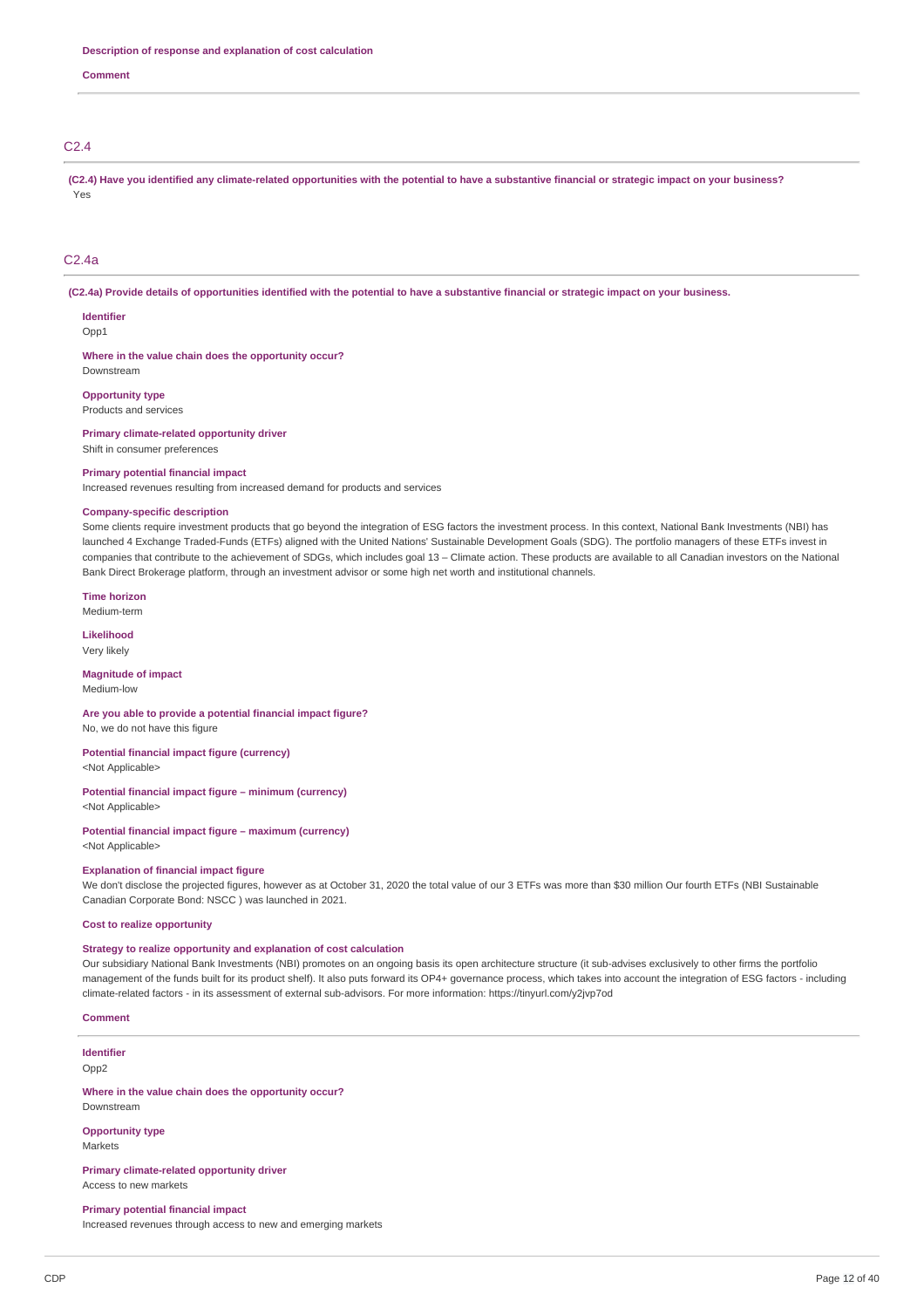**Comment**

### C2.4

(C2.4) Have you identified any climate-related opportunities with the potential to have a substantive financial or strategic impact on your business? Yes

#### C2.4a

(C2.4a) Provide details of opportunities identified with the potential to have a substantive financial or strategic impact on your business.

#### **Identifier**

Opp1

**Where in the value chain does the opportunity occur?** Downstream

**Opportunity type**

Products and services

**Primary climate-related opportunity driver** Shift in consumer preferences

#### **Primary potential financial impact**

Increased revenues resulting from increased demand for products and services

#### **Company-specific description**

Some clients require investment products that go beyond the integration of ESG factors the investment process. In this context, National Bank Investments (NBI) has launched 4 Exchange Traded-Funds (ETFs) aligned with the United Nations' Sustainable Development Goals (SDG). The portfolio managers of these ETFs invest in companies that contribute to the achievement of SDGs, which includes goal 13 – Climate action. These products are available to all Canadian investors on the National Bank Direct Brokerage platform, through an investment advisor or some high net worth and institutional channels.

#### **Time horizon**

Medium-term

**Likelihood** Very likely

**Magnitude of impact** Medium-low

#### **Are you able to provide a potential financial impact figure?** No, we do not have this figure

**Potential financial impact figure (currency)**

<Not Applicable>

### **Potential financial impact figure – minimum (currency)**

<Not Applicable>

#### **Potential financial impact figure – maximum (currency)** <Not Applicable>

### **Explanation of financial impact figure**

We don't disclose the projected figures, however as at October 31, 2020 the total value of our 3 ETFs was more than \$30 million Our fourth ETFs (NBI Sustainable Canadian Corporate Bond: NSCC ) was launched in 2021.

### **Cost to realize opportunity**

#### **Strategy to realize opportunity and explanation of cost calculation**

Our subsidiary National Bank Investments (NBI) promotes on an ongoing basis its open architecture structure (it sub-advises exclusively to other firms the portfolio management of the funds built for its product shelf). It also puts forward its OP4+ governance process, which takes into account the integration of ESG factors - including climate-related factors - in its assessment of external sub-advisors. For more information: https://tinyurl.com/y2jvp7od

#### **Comment**

### **Identifier**

Opp<sub>2</sub>

### **Where in the value chain does the opportunity occur?**

Downstream

#### **Opportunity type** Markets

**Primary climate-related opportunity driver** Access to new markets

# **Primary potential financial impact**

Increased revenues through access to new and emerging markets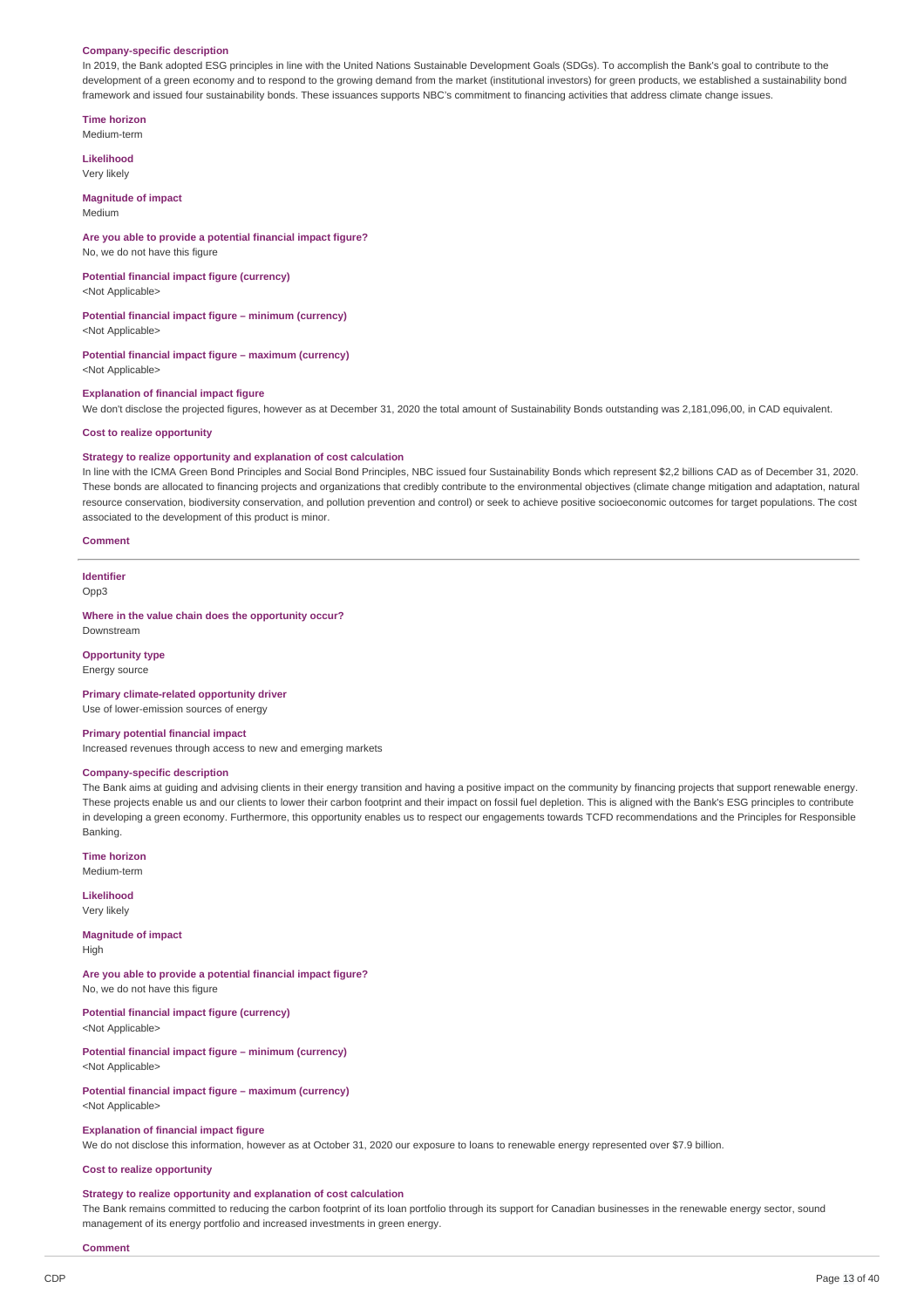#### **Company-specific description**

In 2019, the Bank adopted ESG principles in line with the United Nations Sustainable Development Goals (SDGs). To accomplish the Bank's goal to contribute to the development of a green economy and to respond to the growing demand from the market (institutional investors) for green products, we established a sustainability bond framework and issued four sustainability bonds. These issuances supports NBC's commitment to financing activities that address climate change issues.

**Time horizon**

Medium-term

**Likelihood** Very likely

#### **Magnitude of impact** Medium

### **Are you able to provide a potential financial impact figure?**

No, we do not have this figure

# **Potential financial impact figure (currency)**

<Not Applicable>

### **Potential financial impact figure – minimum (currency)**

<Not Applicable>

# **Potential financial impact figure – maximum (currency)**

<Not Applicable>

#### **Explanation of financial impact figure**

We don't disclose the projected figures, however as at December 31, 2020 the total amount of Sustainability Bonds outstanding was 2,181,096,00, in CAD equivalent.

### **Cost to realize opportunity**

#### **Strategy to realize opportunity and explanation of cost calculation**

In line with the ICMA Green Bond Principles and Social Bond Principles, NBC issued four Sustainability Bonds which represent \$2,2 billions CAD as of December 31, 2020. These bonds are allocated to financing projects and organizations that credibly contribute to the environmental objectives (climate change mitigation and adaptation, natural resource conservation, biodiversity conservation, and pollution prevention and control) or seek to achieve positive socioeconomic outcomes for target populations. The cost associated to the development of this product is minor.

#### **Comment**

# **Identifier**

# Opp3

**Where in the value chain does the opportunity occur?** Downstream

# **Opportunity type**

Energy source

### **Primary climate-related opportunity driver** Use of lower-emission sources of energy

#### **Primary potential financial impact**

Increased revenues through access to new and emerging markets

### **Company-specific description**

The Bank aims at guiding and advising clients in their energy transition and having a positive impact on the community by financing projects that support renewable energy. These projects enable us and our clients to lower their carbon footprint and their impact on fossil fuel depletion. This is aligned with the Bank's ESG principles to contribute in developing a green economy. Furthermore, this opportunity enables us to respect our engagements towards TCFD recommendations and the Principles for Responsible Banking.

**Time horizon** Medium-term

**Likelihood** Very likely

**Magnitude of impact** High

**Are you able to provide a potential financial impact figure?** No, we do not have this figure

**Potential financial impact figure (currency)** <Not Applicable>

**Potential financial impact figure – minimum (currency)** <Not Applicable>

**Potential financial impact figure – maximum (currency)** <Not Applicable>

#### **Explanation of financial impact figure**

We do not disclose this information, however as at October 31, 2020 our exposure to loans to renewable energy represented over \$7.9 billion.

#### **Cost to realize opportunity**

#### **Strategy to realize opportunity and explanation of cost calculation**

The Bank remains committed to reducing the carbon footprint of its loan portfolio through its support for Canadian businesses in the renewable energy sector, sound management of its energy portfolio and increased investments in green energy.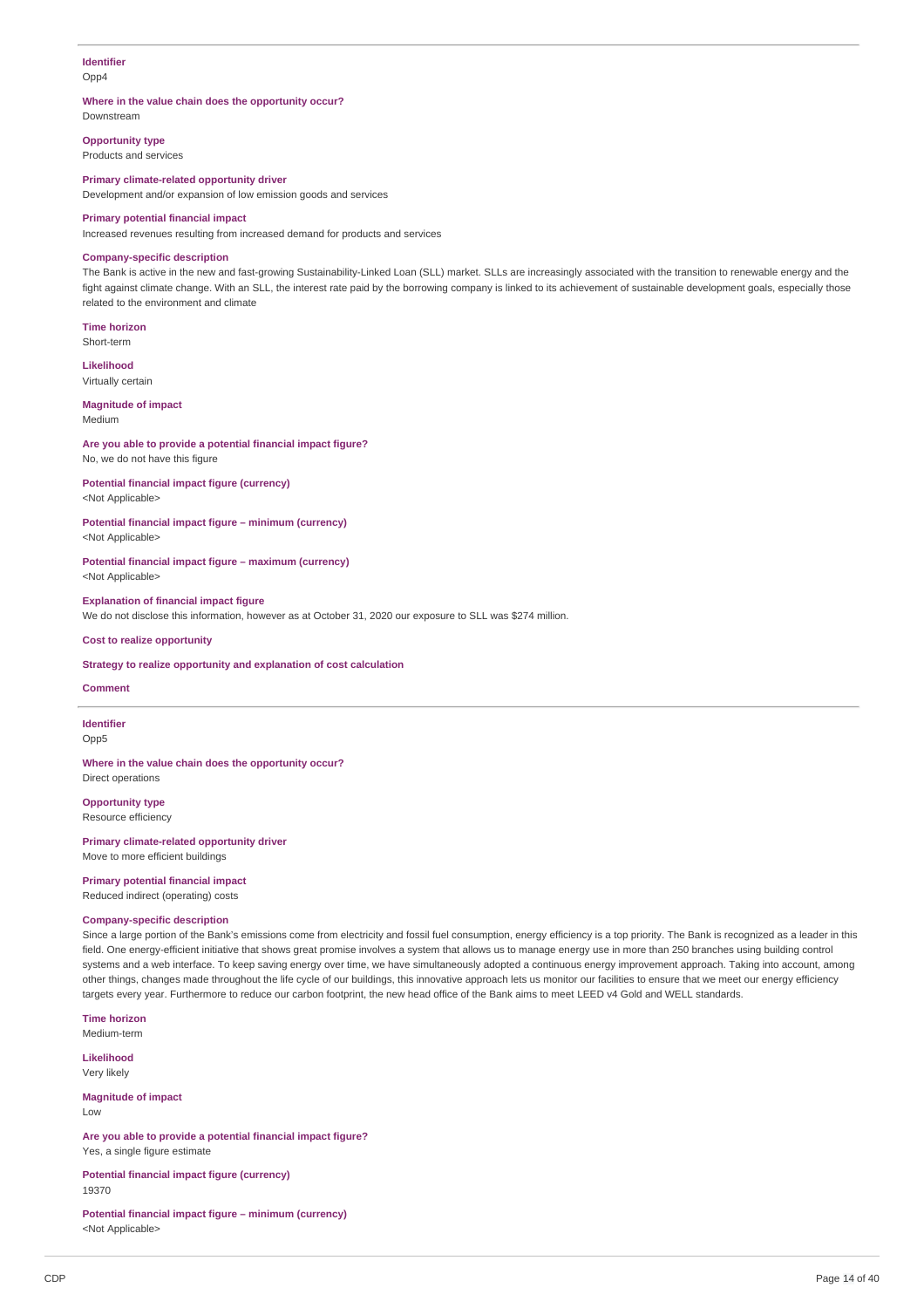### **Identifier** Opp4

### **Where in the value chain does the opportunity occur?**

Downstream

**Opportunity type** Products and services

### **Primary climate-related opportunity driver**

Development and/or expansion of low emission goods and services

### **Primary potential financial impact**

Increased revenues resulting from increased demand for products and services

### **Company-specific description**

The Bank is active in the new and fast-growing Sustainability-Linked Loan (SLL) market. SLLs are increasingly associated with the transition to renewable energy and the fight against climate change. With an SLL, the interest rate paid by the borrowing company is linked to its achievement of sustainable development goals, especially those related to the environment and climate

**Time horizon** Short-term

**Likelihood**

Virtually certain

#### **Magnitude of impact** Medium

**Are you able to provide a potential financial impact figure?** No, we do not have this figure

# **Potential financial impact figure (currency)**

<Not Applicable>

#### **Potential financial impact figure – minimum (currency)** <Not Applicable>

**Potential financial impact figure – maximum (currency)** <Not Applicable>

### **Explanation of financial impact figure**

We do not disclose this information, however as at October 31, 2020 our exposure to SLL was \$274 million.

### **Cost to realize opportunity**

#### **Strategy to realize opportunity and explanation of cost calculation**

### **Comment**

**Identifier**

Opp5

#### **Where in the value chain does the opportunity occur?** Direct operations

**Opportunity type**

Resource efficiency

#### **Primary climate-related opportunity driver** Move to more efficient buildings

**Primary potential financial impact** Reduced indirect (operating) costs

# **Company-specific description**

Since a large portion of the Bank's emissions come from electricity and fossil fuel consumption, energy efficiency is a top priority. The Bank is recognized as a leader in this field. One energy-efficient initiative that shows great promise involves a system that allows us to manage energy use in more than 250 branches using building control systems and a web interface. To keep saving energy over time, we have simultaneously adopted a continuous energy improvement approach. Taking into account, among other things, changes made throughout the life cycle of our buildings, this innovative approach lets us monitor our facilities to ensure that we meet our energy efficiency targets every year. Furthermore to reduce our carbon footprint, the new head office of the Bank aims to meet LEED v4 Gold and WELL standards.

**Time horizon** Medium-term

**Likelihood** Very likely

**Magnitude of impact** Low

**Are you able to provide a potential financial impact figure?** Yes, a single figure estimate

**Potential financial impact figure (currency)** 19370

**Potential financial impact figure – minimum (currency)** <Not Applicable>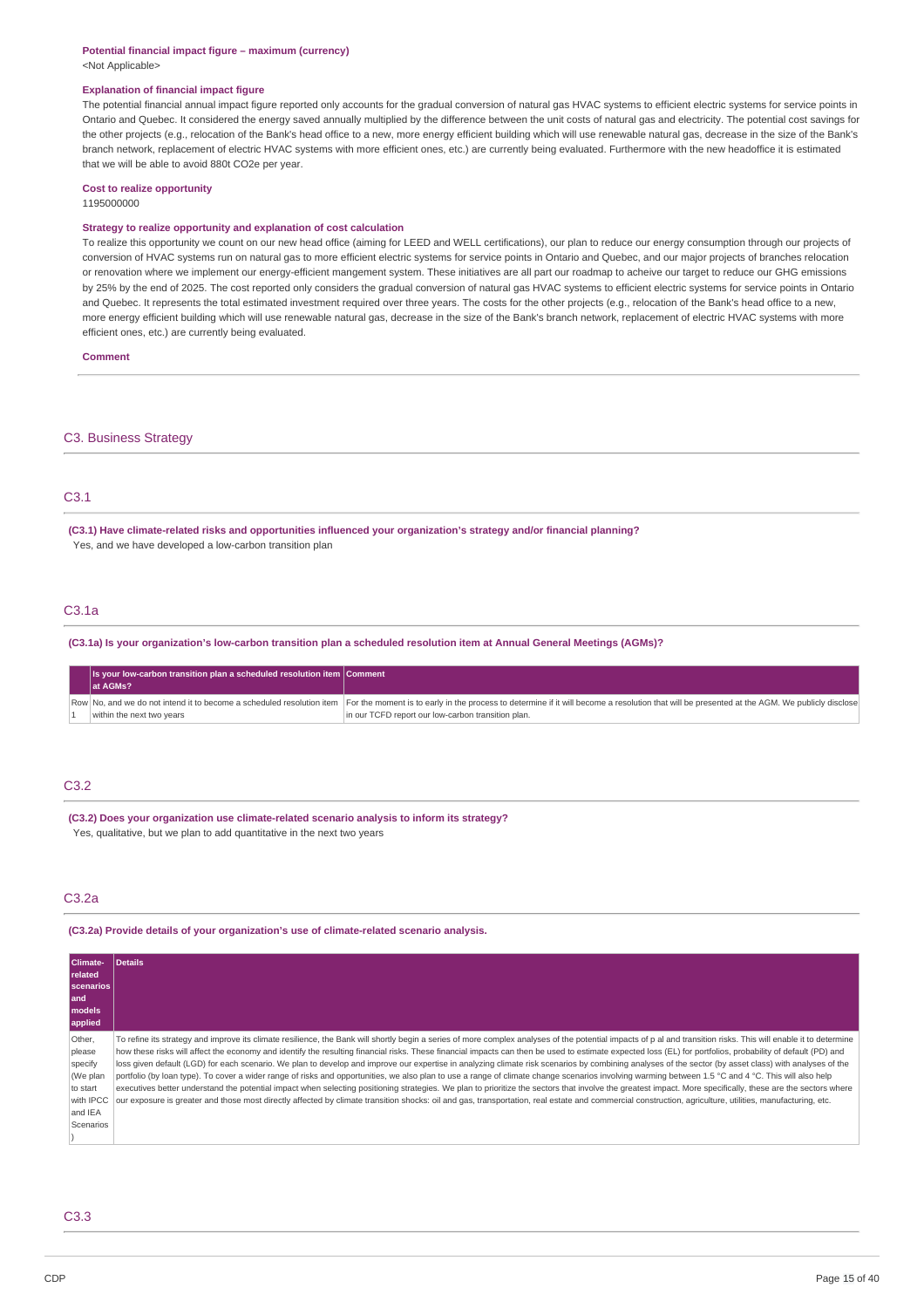#### **Potential financial impact figure – maximum (currency)** <Not Applicable>

#### **Explanation of financial impact figure**

The potential financial annual impact figure reported only accounts for the gradual conversion of natural gas HVAC systems to efficient electric systems for service points in Ontario and Quebec. It considered the energy saved annually multiplied by the difference between the unit costs of natural gas and electricity. The potential cost savings for the other projects (e.g., relocation of the Bank's head office to a new, more energy efficient building which will use renewable natural gas, decrease in the size of the Bank's branch network, replacement of electric HVAC systems with more efficient ones, etc.) are currently being evaluated. Furthermore with the new headoffice it is estimated that we will be able to avoid 880t CO2e per year.

# **Cost to realize opportunity**

1195000000

### **Strategy to realize opportunity and explanation of cost calculation**

To realize this opportunity we count on our new head office (aiming for LEED and WELL certifications), our plan to reduce our energy consumption through our projects of conversion of HVAC systems run on natural gas to more efficient electric systems for service points in Ontario and Quebec, and our major projects of branches relocation or renovation where we implement our energy-efficient mangement system. These initiatives are all part our roadmap to acheive our target to reduce our GHG emissions by 25% by the end of 2025. The cost reported only considers the gradual conversion of natural gas HVAC systems to efficient electric systems for service points in Ontario and Ouebec. It represents the total estimated investment required over three years. The costs for the other projects (e.g., relocation of the Bank's head office to a new, more energy efficient building which will use renewable natural gas, decrease in the size of the Bank's branch network, replacement of electric HVAC systems with more efficient ones, etc.) are currently being evaluated.

**Comment**

### C3. Business Strategy

### C3.1

**(C3.1) Have climate-related risks and opportunities influenced your organization's strategy and/or financial planning?** Yes, and we have developed a low-carbon transition plan

### C3.1a

(C3.1a) Is your organization's low-carbon transition plan a scheduled resolution item at Annual General Meetings (AGMs)?

| $\vert$ is your low-carbon transition plan a scheduled resolution item Comment<br>at AGMs? |                                                                                                                                                                                                                                                                           |
|--------------------------------------------------------------------------------------------|---------------------------------------------------------------------------------------------------------------------------------------------------------------------------------------------------------------------------------------------------------------------------|
| within the next two years                                                                  | Row No, and we do not intend it to become a scheduled resolution item For the moment is to early in the process to determine if it will become a resolution that will be presented at the AGM. We publicly disclose<br>in our TCFD report our low-carbon transition plan. |

### C3.2

**(C3.2) Does your organization use climate-related scenario analysis to inform its strategy?** Yes, qualitative, but we plan to add quantitative in the next two years

### C3.2a

**(C3.2a) Provide details of your organization's use of climate-related scenario analysis.**

| <b>Climate-</b><br><b>related</b><br><b>scenarios</b><br>land<br>models<br>applied       | Details                                                                                                                                                                                                                                                                                                                                                                                                                                                                                                                                                                                                                                                                                                                                                                                                                                                                                                                                                                                                                                                                                                                                                                                                                                                                     |
|------------------------------------------------------------------------------------------|-----------------------------------------------------------------------------------------------------------------------------------------------------------------------------------------------------------------------------------------------------------------------------------------------------------------------------------------------------------------------------------------------------------------------------------------------------------------------------------------------------------------------------------------------------------------------------------------------------------------------------------------------------------------------------------------------------------------------------------------------------------------------------------------------------------------------------------------------------------------------------------------------------------------------------------------------------------------------------------------------------------------------------------------------------------------------------------------------------------------------------------------------------------------------------------------------------------------------------------------------------------------------------|
| Other,<br>please<br>specify<br>(We plan<br>to start<br>with IPCC<br>and IEA<br>Scenarios | To refine its strategy and improve its climate resilience, the Bank will shortly begin a series of more complex analyses of the potential impacts of p al and transition risks. This will enable it to determine<br>how these risks will affect the economy and identify the resulting financial risks. These financial impacts can then be used to estimate expected loss (EL) for portfolios, probability of default (PD) and<br>loss given default (LGD) for each scenario. We plan to develop and improve our expertise in analyzing climate risk scenarios by combining analyses of the sector (by asset class) with analyses of the<br>portfolio (by loan type). To cover a wider range of risks and opportunities, we also plan to use a range of climate change scenarios involving warming between 1.5 °C and 4 °C. This will also help<br>executives better understand the potential impact when selecting positioning strategies. We plan to prioritize the sectors that involve the greatest impact. More specifically, these are the sectors where<br>our exposure is greater and those most directly affected by climate transition shocks: oil and gas, transportation, real estate and commercial construction, agriculture, utilities, manufacturing, etc. |

C3.3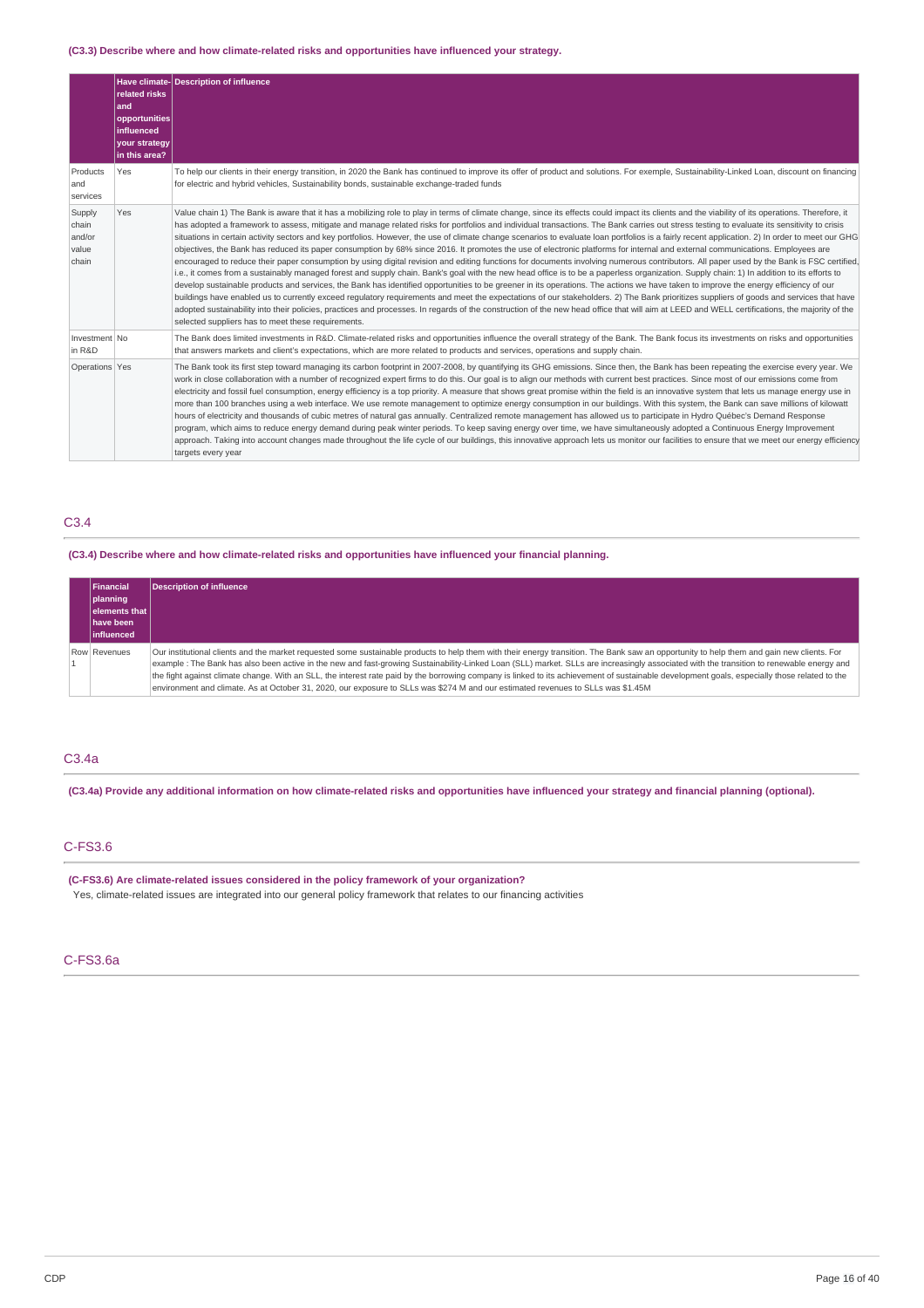### **(C3.3) Describe where and how climate-related risks and opportunities have influenced your strategy.**

|                                             | related risks<br>and<br>opportunities<br>influenced<br>your strategy<br>in this area? | Have climate-Description of influence                                                                                                                                                                                                                                                                                                                                                                                                                                                                                                                                                                                                                                                                                                                                                                                                                                                                                                                                                                                                                                                                                                                                                                                                                                                                                                                                                                                                                                                                                                                                                                                                                                                                                                                                                                               |
|---------------------------------------------|---------------------------------------------------------------------------------------|---------------------------------------------------------------------------------------------------------------------------------------------------------------------------------------------------------------------------------------------------------------------------------------------------------------------------------------------------------------------------------------------------------------------------------------------------------------------------------------------------------------------------------------------------------------------------------------------------------------------------------------------------------------------------------------------------------------------------------------------------------------------------------------------------------------------------------------------------------------------------------------------------------------------------------------------------------------------------------------------------------------------------------------------------------------------------------------------------------------------------------------------------------------------------------------------------------------------------------------------------------------------------------------------------------------------------------------------------------------------------------------------------------------------------------------------------------------------------------------------------------------------------------------------------------------------------------------------------------------------------------------------------------------------------------------------------------------------------------------------------------------------------------------------------------------------|
| Products<br>and<br>services                 | Yes                                                                                   | To help our clients in their energy transition, in 2020 the Bank has continued to improve its offer of product and solutions. For exemple, Sustainability-Linked Loan, discount on financing<br>for electric and hybrid vehicles, Sustainability bonds, sustainable exchange-traded funds                                                                                                                                                                                                                                                                                                                                                                                                                                                                                                                                                                                                                                                                                                                                                                                                                                                                                                                                                                                                                                                                                                                                                                                                                                                                                                                                                                                                                                                                                                                           |
| Supply<br>chain<br>and/or<br>value<br>chain | Yes                                                                                   | Value chain 1) The Bank is aware that it has a mobilizing role to play in terms of climate change, since its effects could impact its clients and the viability of its operations. Therefore, it<br>has adopted a framework to assess, mitigate and manage related risks for portfolios and individual transactions. The Bank carries out stress testing to evaluate its sensitivity to crisis<br>situations in certain activity sectors and key portfolios. However, the use of climate change scenarios to evaluate loan portfolios is a fairly recent application. 2) In order to meet our GHG<br>objectives, the Bank has reduced its paper consumption by 68% since 2016. It promotes the use of electronic platforms for internal and external communications. Employees are<br>encouraged to reduce their paper consumption by using digital revision and editing functions for documents involving numerous contributors. All paper used by the Bank is FSC certified,<br>i.e., it comes from a sustainably managed forest and supply chain. Bank's goal with the new head office is to be a paperless organization. Supply chain: 1) In addition to its efforts to<br>develop sustainable products and services, the Bank has identified opportunities to be greener in its operations. The actions we have taken to improve the energy efficiency of our<br>buildings have enabled us to currently exceed regulatory requirements and meet the expectations of our stakeholders. 2) The Bank prioritizes suppliers of goods and services that have<br>adopted sustainability into their policies, practices and processes. In regards of the construction of the new head office that will aim at LEED and WELL certifications, the majority of the<br>selected suppliers has to meet these requirements. |
| Investment No<br>in R&D                     |                                                                                       | The Bank does limited investments in R&D. Climate-related risks and opportunities influence the overall strategy of the Bank. The Bank focus its investments on risks and opportunities<br>that answers markets and client's expectations, which are more related to products and services, operations and supply chain.                                                                                                                                                                                                                                                                                                                                                                                                                                                                                                                                                                                                                                                                                                                                                                                                                                                                                                                                                                                                                                                                                                                                                                                                                                                                                                                                                                                                                                                                                            |
| Operations Yes                              |                                                                                       | The Bank took its first step toward managing its carbon footprint in 2007-2008, by quantifying its GHG emissions. Since then, the Bank has been repeating the exercise every year. We<br>work in close collaboration with a number of recognized expert firms to do this. Our goal is to align our methods with current best practices. Since most of our emissions come from<br>electricity and fossil fuel consumption, energy efficiency is a top priority. A measure that shows great promise within the field is an innovative system that lets us manage energy use in<br>more than 100 branches using a web interface. We use remote management to optimize energy consumption in our buildings. With this system, the Bank can save millions of kilowatt<br>hours of electricity and thousands of cubic metres of natural gas annually. Centralized remote management has allowed us to participate in Hydro Québec's Demand Response<br>program, which aims to reduce energy demand during peak winter periods. To keep saving energy over time, we have simultaneously adopted a Continuous Energy Improvement<br>approach. Taking into account changes made throughout the life cycle of our buildings, this innovative approach lets us monitor our facilities to ensure that we meet our energy efficiency<br>targets every year                                                                                                                                                                                                                                                                                                                                                                                                                                                                       |

## C3.4

# **(C3.4) Describe where and how climate-related risks and opportunities have influenced your financial planning.**

| Financial<br>planning<br>elements that<br><b>have been</b><br><b>linfluenced</b> | Description of influence                                                                                                                                                                                                                                                                                                                                                                                                                                                                                                                                                                                                                                                                                                     |
|----------------------------------------------------------------------------------|------------------------------------------------------------------------------------------------------------------------------------------------------------------------------------------------------------------------------------------------------------------------------------------------------------------------------------------------------------------------------------------------------------------------------------------------------------------------------------------------------------------------------------------------------------------------------------------------------------------------------------------------------------------------------------------------------------------------------|
| Row Revenues                                                                     | Our institutional clients and the market requested some sustainable products to help them with their energy transition. The Bank saw an opportunity to help them and gain new clients. For<br>example : The Bank has also been active in the new and fast-growing Sustainability-Linked Loan (SLL) market. SLLs are increasingly associated with the transition to renewable energy and<br>the fight against climate change. With an SLL, the interest rate paid by the borrowing company is linked to its achievement of sustainable development goals, especially those related to the<br>environment and climate. As at October 31, 2020, our exposure to SLLs was \$274 M and our estimated revenues to SLLs was \$1.45M |

### C3.4a

(C3.4a) Provide any additional information on how climate-related risks and opportunities have influenced your strategy and financial planning (optional).

# C-FS3.6

**(C-FS3.6) Are climate-related issues considered in the policy framework of your organization?** Yes, climate-related issues are integrated into our general policy framework that relates to our financing activities

### C-FS3.6a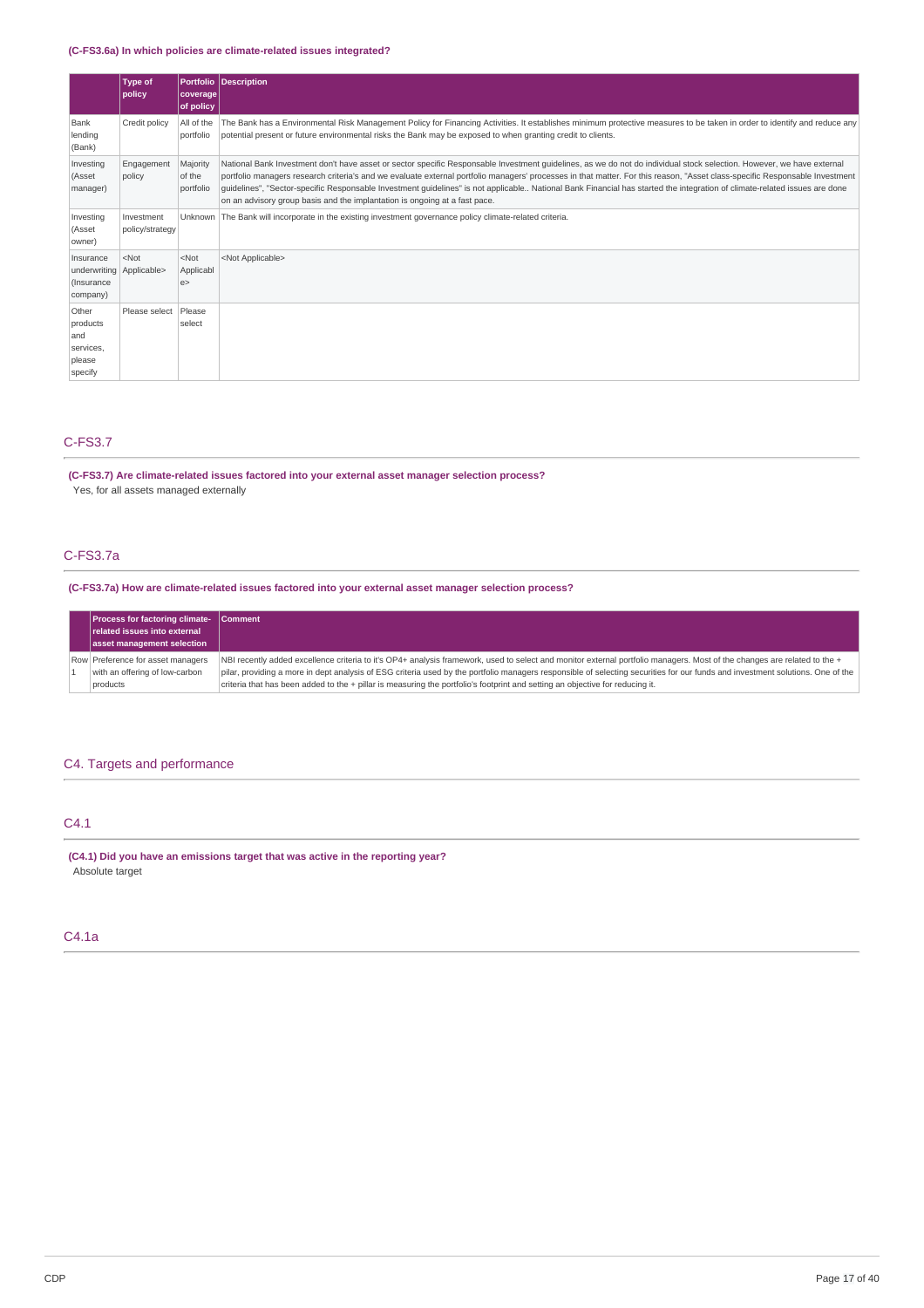### **(C-FS3.6a) In which policies are climate-related issues integrated?**

|                                                                 | Type of<br>policy             | <b>Portfolio</b><br>coverage<br>of policy | Description                                                                                                                                                                                                                                                                                                                                                                                                                                                                                                                                                                                                     |
|-----------------------------------------------------------------|-------------------------------|-------------------------------------------|-----------------------------------------------------------------------------------------------------------------------------------------------------------------------------------------------------------------------------------------------------------------------------------------------------------------------------------------------------------------------------------------------------------------------------------------------------------------------------------------------------------------------------------------------------------------------------------------------------------------|
| Bank<br>lending<br>(Bank)                                       | Credit policy                 | All of the<br>portfolio                   | The Bank has a Environmental Risk Management Policy for Financing Activities. It establishes minimum protective measures to be taken in order to identify and reduce any<br>potential present or future environmental risks the Bank may be exposed to when granting credit to clients.                                                                                                                                                                                                                                                                                                                         |
| Investing<br>(Asset<br>manager)                                 | Engagement<br>policy          | Majority<br>of the<br>portfolio           | National Bank Investment don't have asset or sector specific Responsable Investment quidelines, as we do not do individual stock selection. However, we have external<br>portfolio managers research criteria's and we evaluate external portfolio managers' processes in that matter. For this reason, "Asset class-specific Responsable Investment<br>quidelines", "Sector-specific Responsable Investment quidelines" is not applicable National Bank Financial has started the integration of climate-related issues are done<br>on an advisory group basis and the implantation is ongoing at a fast pace. |
| Investing<br>(Asset<br>owner)                                   | Investment<br>policy/strategy |                                           | Unknown   The Bank will incorporate in the existing investment governance policy climate-related criteria.                                                                                                                                                                                                                                                                                                                                                                                                                                                                                                      |
| Insurance<br>underwriting Applicable><br>(Insurance<br>company) | $<$ Not                       | $<$ Not<br>Applicabl<br>e                 | <not applicable=""></not>                                                                                                                                                                                                                                                                                                                                                                                                                                                                                                                                                                                       |
| Other<br>products<br>and<br>services,<br>please<br>specify      | Please select                 | Please<br>select                          |                                                                                                                                                                                                                                                                                                                                                                                                                                                                                                                                                                                                                 |

# C-FS3.7

**(C-FS3.7) Are climate-related issues factored into your external asset manager selection process?**

Yes, for all assets managed externally

# C-FS3.7a

**(C-FS3.7a) How are climate-related issues factored into your external asset manager selection process?**

| <b>Process for factoring climate- Comment</b><br>related issues into external<br>asset management selection |                                                                                                                                                                                |
|-------------------------------------------------------------------------------------------------------------|--------------------------------------------------------------------------------------------------------------------------------------------------------------------------------|
| Row Preference for asset managers                                                                           | NBI recently added excellence criteria to it's OP4+ analysis framework, used to select and monitor external portfolio managers. Most of the changes are related to the +       |
| with an offering of low-carbon                                                                              | pilar, providing a more in dept analysis of ESG criteria used by the portfolio managers responsible of selecting securities for our funds and investment solutions. One of the |
| products                                                                                                    | criteria that has been added to the + pillar is measuring the portfolio's footprint and setting an objective for reducing it.                                                  |

# C4. Targets and performance

# C4.1

**(C4.1) Did you have an emissions target that was active in the reporting year?** Absolute target

### C4.1a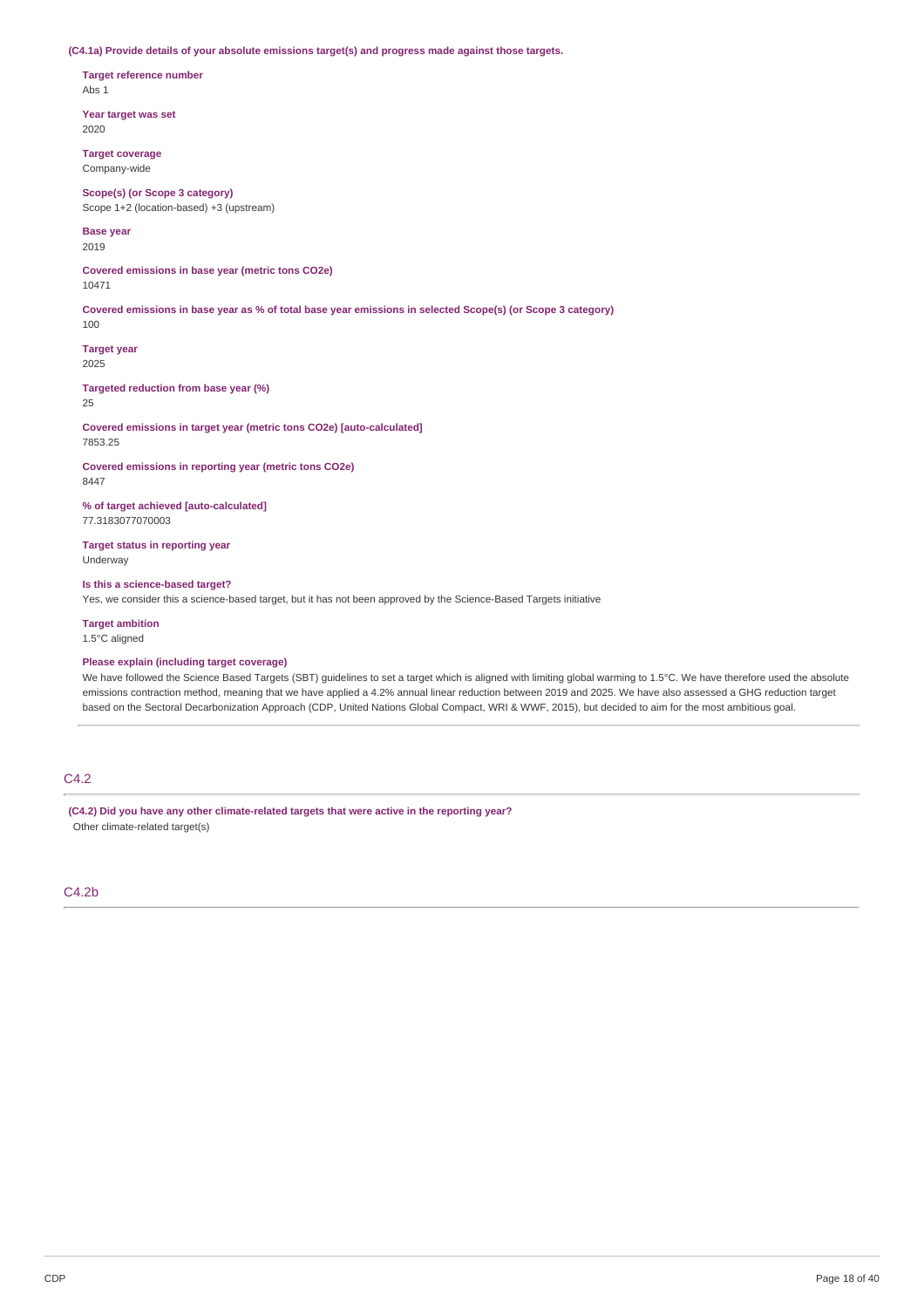**(C4.1a) Provide details of your absolute emissions target(s) and progress made against those targets.**

**Target reference number** Abs 1

**Year target was set** 2020

**Target coverage** Company-wide

**Scope(s) (or Scope 3 category)** Scope 1+2 (location-based) +3 (upstream)

**Base year**

2019

**Covered emissions in base year (metric tons CO2e)** 10471

Covered emissions in base year as % of total base year emissions in selected Scope(s) (or Scope 3 category)

**Target year**

2025

100

**Targeted reduction from base year (%)** 25

**Covered emissions in target year (metric tons CO2e) [auto-calculated]** 7853.25

**Covered emissions in reporting year (metric tons CO2e)** 8447

**% of target achieved [auto-calculated]** 77.3183077070003

**Target status in reporting year** Underway

**Is this a science-based target?** Yes, we consider this a science-based target, but it has not been approved by the Science-Based Targets initiative

**Target ambition** 1.5°C aligned

### **Please explain (including target coverage)**

We have followed the Science Based Targets (SBT) guidelines to set a target which is aligned with limiting global warming to 1.5°C. We have therefore used the absolute emissions contraction method, meaning that we have applied a 4.2% annual linear reduction between 2019 and 2025. We have also assessed a GHG reduction target based on the Sectoral Decarbonization Approach (CDP, United Nations Global Compact, WRI & WWF, 2015), but decided to aim for the most ambitious goal.

# C4.2

**(C4.2) Did you have any other climate-related targets that were active in the reporting year?** Other climate-related target(s)

C4.2b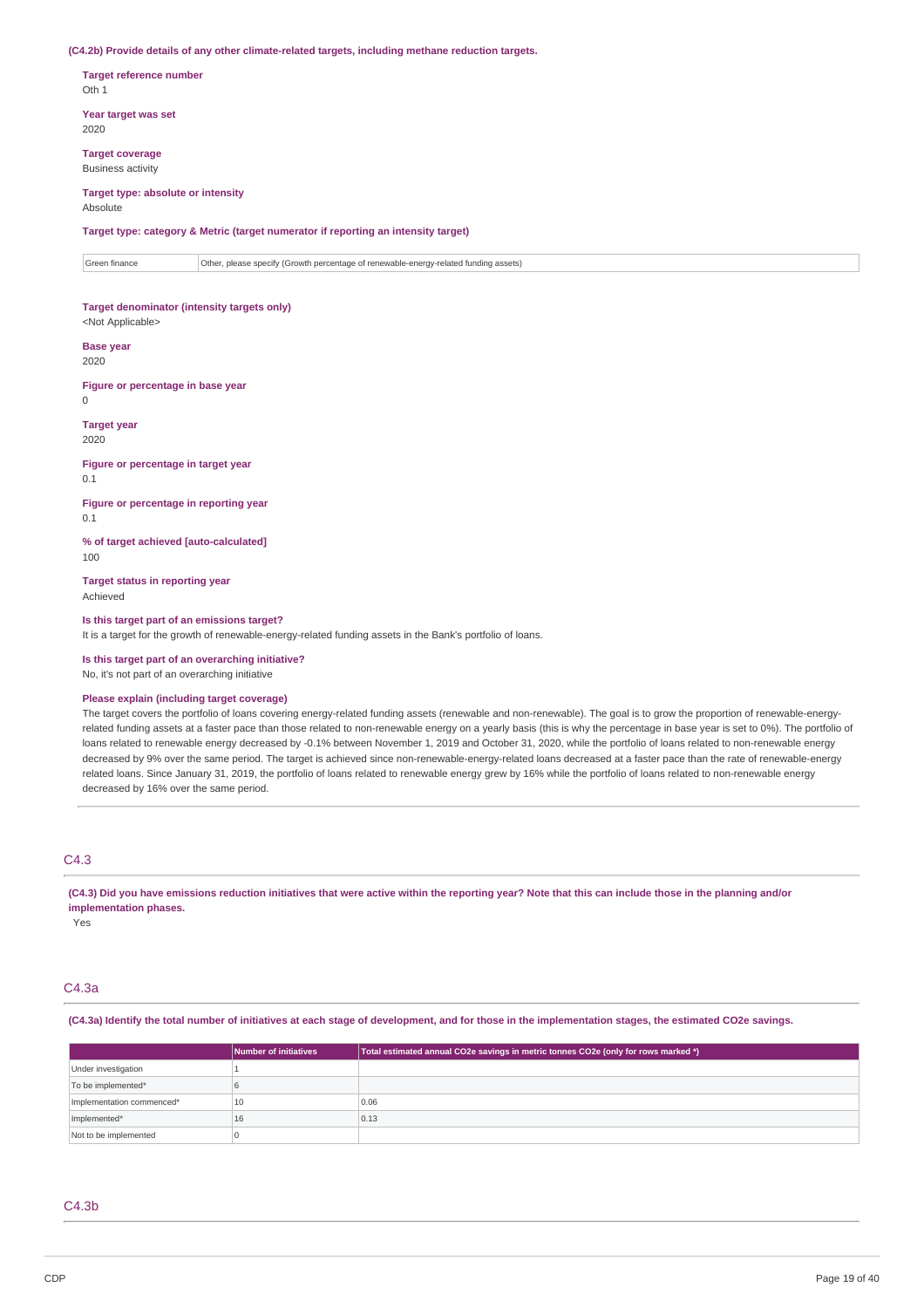#### **(C4.2b) Provide details of any other climate-related targets, including methane reduction targets.**

**Target reference number** Oth 1

**Year target was set** 2020

**Target coverage** Business activity

#### **Target type: absolute or intensity** Absolute

**Target type: category & Metric (target numerator if reporting an intensity target)**

Green finance **Other, please specify (Growth percentage of renewable-energy-related funding assets)** 

# **Target denominator (intensity targets only)**

<Not Applicable>

# **Base year**

2020

**Figure or percentage in base year**

 $\theta$ 

#### **Target year**

2020

### **Figure or percentage in target year**

0.1 **Figure or percentage in reporting year**

0.1

**% of target achieved [auto-calculated]** 100

**Target status in reporting year** Achieved

#### **Is this target part of an emissions target?**

It is a target for the growth of renewable-energy-related funding assets in the Bank's portfolio of loans.

**Is this target part of an overarching initiative?**

### No, it's not part of an overarching initiative

### **Please explain (including target coverage)**

The target covers the portfolio of loans covering energy-related funding assets (renewable and non-renewable). The goal is to grow the proportion of renewable-energyrelated funding assets at a faster pace than those related to non-renewable energy on a yearly basis (this is why the percentage in base year is set to 0%). The portfolio of loans related to renewable energy decreased by -0.1% between November 1, 2019 and October 31, 2020, while the portfolio of loans related to non-renewable energy decreased by 9% over the same period. The target is achieved since non-renewable-energy-related loans decreased at a faster pace than the rate of renewable-energy related loans. Since January 31, 2019, the portfolio of loans related to renewable energy grew by 16% while the portfolio of loans related to non-renewable energy decreased by 16% over the same period.

# C4.3

(C4.3) Did you have emissions reduction initiatives that were active within the reporting year? Note that this can include those in the planning and/or **implementation phases.**

Yes

### C4.3a

#### (C4.3a) Identify the total number of initiatives at each stage of development, and for those in the implementation stages, the estimated CO2e savings.

|                           | Number of initiatives | Total estimated annual CO2e savings in metric tonnes CO2e (only for rows marked *) |
|---------------------------|-----------------------|------------------------------------------------------------------------------------|
| Under investigation       |                       |                                                                                    |
| To be implemented*        |                       |                                                                                    |
| Implementation commenced* | 10                    | 0.06                                                                               |
| Implemented*              | 16                    | 0.13                                                                               |
| Not to be implemented     |                       |                                                                                    |

#### $C4.3<sub>b</sub>$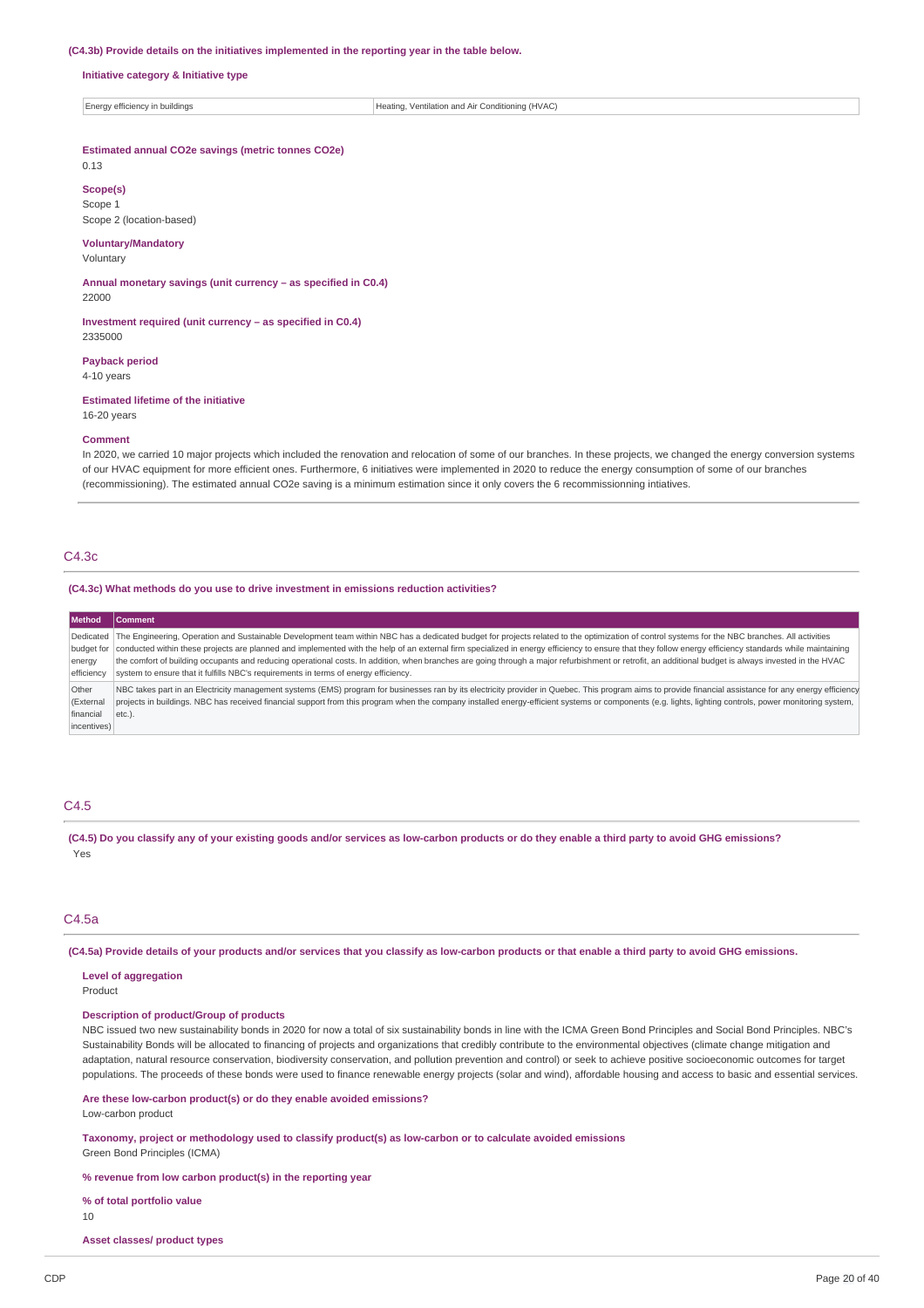#### **(C4.3b) Provide details on the initiatives implemented in the reporting year in the table below.**

**Initiative category & Initiative type**

Energy efficiency in buildings **Heating**, Ventilation and Air Conditioning (HVAC)

### **Estimated annual CO2e savings (metric tonnes CO2e)**

0.13

**Scope(s)** Scope 1 Scope 2 (location-based)

# **Voluntary/Mandatory**

Voluntary

**Annual monetary savings (unit currency – as specified in C0.4)** 22000

**Investment required (unit currency – as specified in C0.4)** 2335000

#### **Payback period**

4-10 years

#### **Estimated lifetime of the initiative**

16-20 years

#### **Comment**

In 2020, we carried 10 major projects which included the renovation and relocation of some of our branches. In these projects, we changed the energy conversion systems of our HVAC equipment for more efficient ones. Furthermore, 6 initiatives were implemented in 2020 to reduce the energy consumption of some of our branches (recommissioning). The estimated annual CO2e saving is a minimum estimation since it only covers the 6 recommissionning intiatives.

### $C4.3c$

**(C4.3c) What methods do you use to drive investment in emissions reduction activities?**

**Method** Dedicated budget for energy efficiency The Engineering, Operation and Sustainable Development team within NBC has a dedicated budget for projects related to the optimization of control systems for the NBC branches. All activities conducted within these projects are planned and implemented with the help of an external firm specialized in energy efficiency to ensure that they follow energy efficiency standards while maintaining the comfort of building occupants and reducing operational costs. In addition, when branches are going through a major refurbishment or retrofit, an additional budget is always invested in the HVAC system to ensure that it fulfills NBC's requirements in terms of energy efficiency. Other (External financial incentives) NBC takes part in an Electricity management systems (EMS) program for businesses ran by its electricity provider in Quebec. This program aims to provide financial assistance for any energy efficiency projects in buildings. NBC has received financial support from this program when the company installed energy-efficient systems or components (e.g. lights, lighting controls, power monitoring system, etc.).

### C4.5

(C4.5) Do you classify any of your existing goods and/or services as low-carbon products or do they enable a third party to avoid GHG emissions? Yes

#### C4.5a

(C4.5a) Provide details of your products and/or services that you classify as low-carbon products or that enable a third party to avoid GHG emissions.

### **Level of aggregation**

Product

#### **Description of product/Group of products**

NBC issued two new sustainability bonds in 2020 for now a total of six sustainability bonds in line with the ICMA Green Bond Principles and Social Bond Principles. NBC's Sustainability Bonds will be allocated to financing of projects and organizations that credibly contribute to the environmental objectives (climate change mitigation and adaptation, natural resource conservation, biodiversity conservation, and pollution prevention and control) or seek to achieve positive socioeconomic outcomes for target populations. The proceeds of these bonds were used to finance renewable energy projects (solar and wind), affordable housing and access to basic and essential services.

**Are these low-carbon product(s) or do they enable avoided emissions?** Low-carbon product

**Taxonomy, project or methodology used to classify product(s) as low-carbon or to calculate avoided emissions** Green Bond Principles (ICMA)

**% revenue from low carbon product(s) in the reporting year**

#### **% of total portfolio value**

10

**Asset classes/ product types**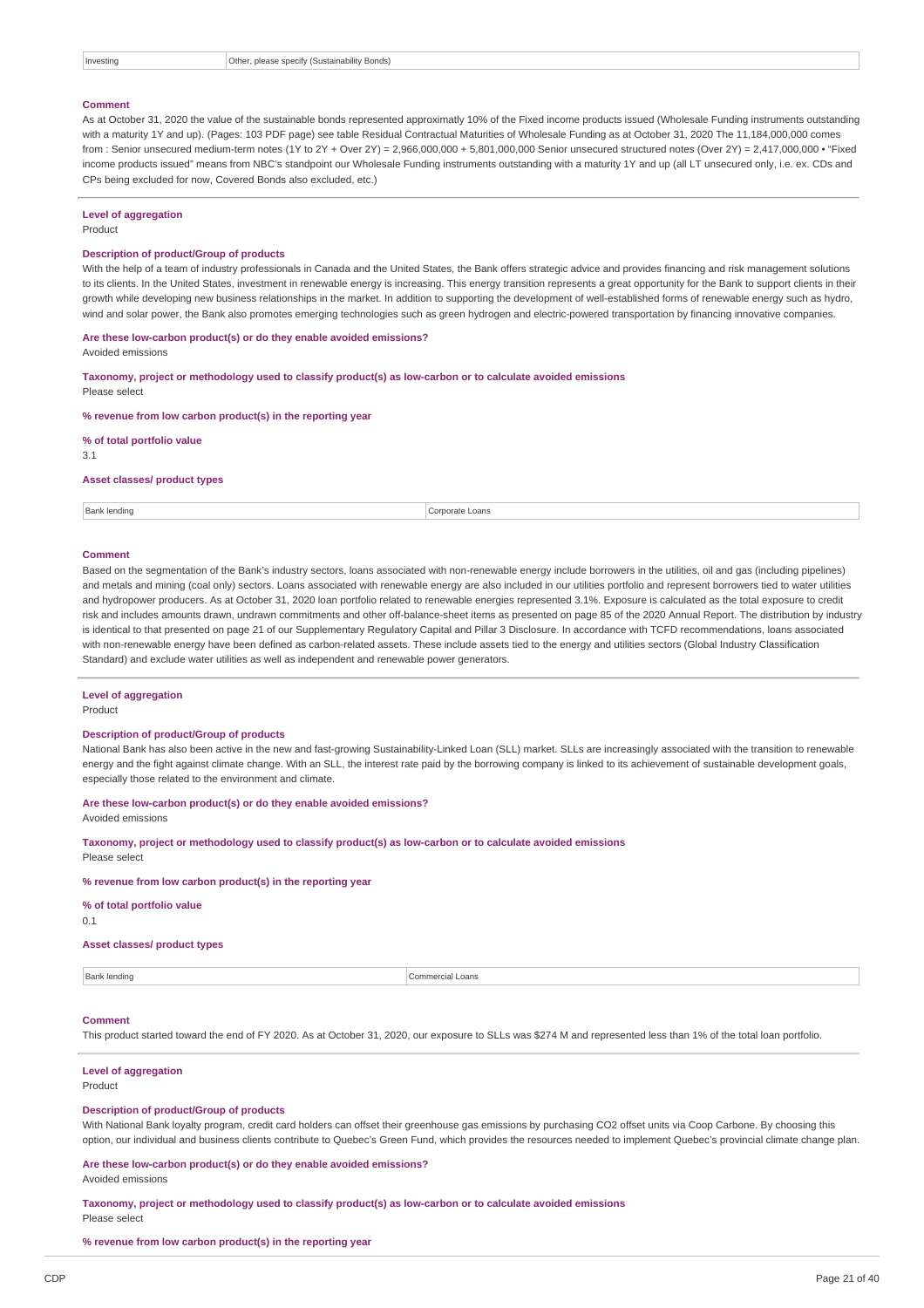#### **Comment**

As at October 31, 2020 the value of the sustainable bonds represented approximatly 10% of the Fixed income products issued (Wholesale Funding instruments outstanding with a maturity 1Y and up). (Pages: 103 PDF page) see table Residual Contractual Maturities of Wholesale Funding as at October 31, 2020 The 11,184,000,000 comes from : Senior unsecured medium-term notes (1Y to 2Y + Over 2Y) = 2,966,000,000 + 5,801,000,000 Senior unsecured structured notes (Over 2Y) = 2,417,000,000 • "Fixed income products issued" means from NBC's standpoint our Wholesale Funding instruments outstanding with a maturity 1Y and up (all LT unsecured only, i.e. ex. CDs and CPs being excluded for now, Covered Bonds also excluded, etc.)

#### **Level of aggregation**

Product

#### **Description of product/Group of products**

With the help of a team of industry professionals in Canada and the United States, the Bank offers strategic advice and provides financing and risk management solutions to its clients. In the United States, investment in renewable energy is increasing. This energy transition represents a great opportunity for the Bank to support clients in their growth while developing new business relationships in the market. In addition to supporting the development of well-established forms of renewable energy such as hydro, wind and solar power, the Bank also promotes emerging technologies such as green hydrogen and electric-powered transportation by financing innovative companies.

**Are these low-carbon product(s) or do they enable avoided emissions?**

Avoided emissions

**Taxonomy, project or methodology used to classify product(s) as low-carbon or to calculate avoided emissions** Please select

**% revenue from low carbon product(s) in the reporting year**

**% of total portfolio value**

3.1

#### **Asset classes/ product types**

Bank lending Corporate Loans

#### **Comment**

Based on the segmentation of the Bank's industry sectors, loans associated with non-renewable energy include borrowers in the utilities, oil and gas (including pipelines) and metals and mining (coal only) sectors. Loans associated with renewable energy are also included in our utilities portfolio and represent borrowers tied to water utilities and hydropower producers. As at October 31, 2020 loan portfolio related to renewable energies represented 3.1%. Exposure is calculated as the total exposure to credit risk and includes amounts drawn, undrawn commitments and other off-balance-sheet items as presented on page 85 of the 2020 Annual Report. The distribution by industry is identical to that presented on page 21 of our Supplementary Regulatory Capital and Pillar 3 Disclosure. In accordance with TCFD recommendations, loans associated with non-renewable energy have been defined as carbon-related assets. These include assets tied to the energy and utilities sectors (Global Industry Classification Standard) and exclude water utilities as well as independent and renewable power generators.

### **Level of aggregation**

Product

#### **Description of product/Group of products**

National Bank has also been active in the new and fast-growing Sustainability-Linked Loan (SLL) market. SLLs are increasingly associated with the transition to renewable energy and the fight against climate change. With an SLL, the interest rate paid by the borrowing company is linked to its achievement of sustainable development goals, especially those related to the environment and climate.

#### **Are these low-carbon product(s) or do they enable avoided emissions?**

Avoided emissions

**Taxonomy, project or methodology used to classify product(s) as low-carbon or to calculate avoided emissions** Please select

#### **% revenue from low carbon product(s) in the reporting year**

**% of total portfolio value**

0.1

#### **Asset classes/ product types**

Bank lending **Commercial Loans** 

#### **Comment**

This product started toward the end of FY 2020. As at October 31, 2020, our exposure to SLLs was \$274 M and represented less than 1% of the total loan portfolio.

#### **Level of aggregation** Product

#### **Description of product/Group of products**

With National Bank loyalty program, credit card holders can offset their greenhouse gas emissions by purchasing CO2 offset units via Coop Carbone. By choosing this option, our individual and business clients contribute to Quebec's Green Fund, which provides the resources needed to implement Quebec's provincial climate change plan.

### **Are these low-carbon product(s) or do they enable avoided emissions?**

Avoided emissions

**Taxonomy, project or methodology used to classify product(s) as low-carbon or to calculate avoided emissions** Please select

**% revenue from low carbon product(s) in the reporting year**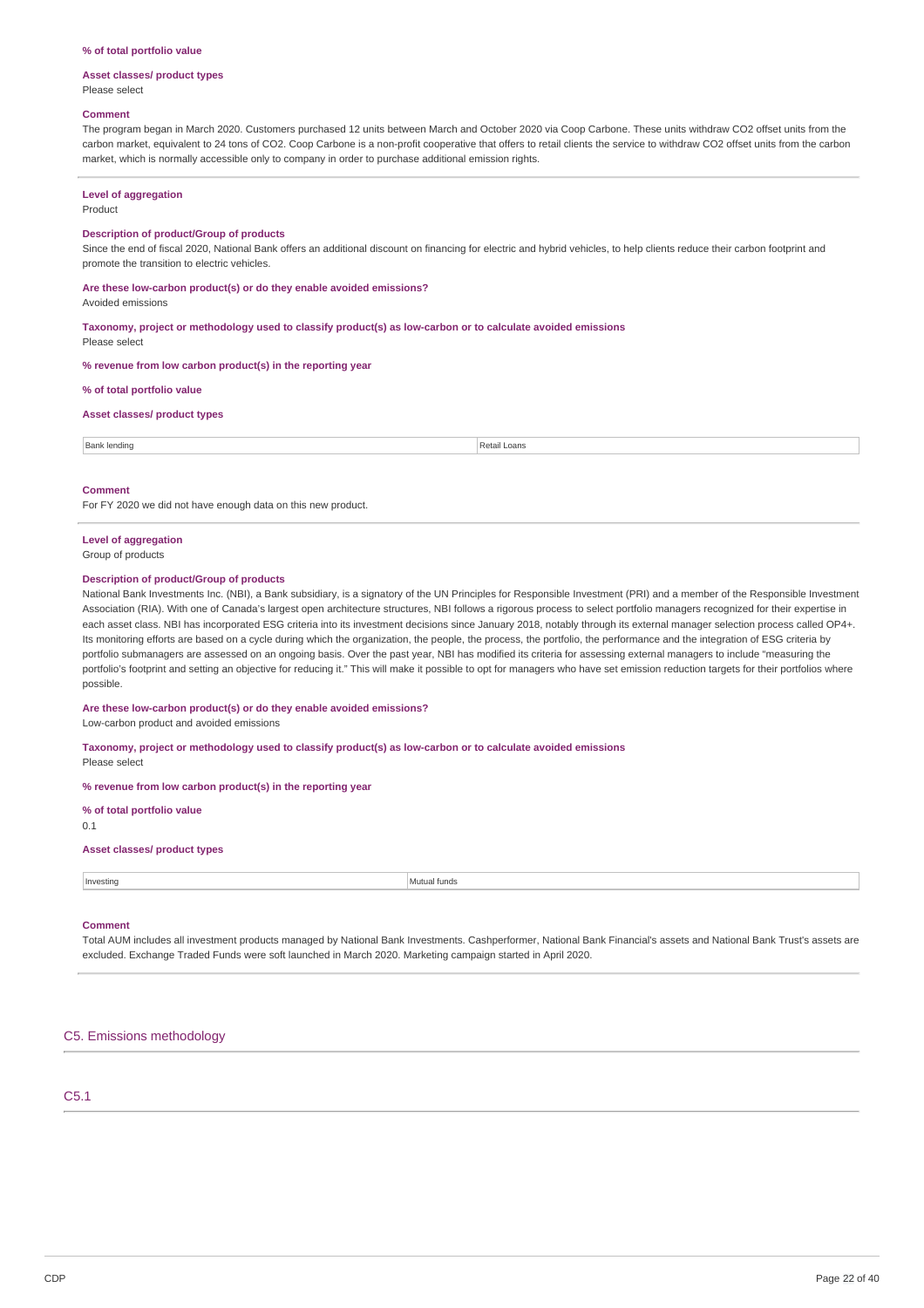#### **% of total portfolio value**

#### **Asset classes/ product types** Please select

### **Comment**

The program began in March 2020. Customers purchased 12 units between March and October 2020 via Coop Carbone. These units withdraw CO2 offset units from the carbon market, equivalent to 24 tons of CO2. Coop Carbone is a non-profit cooperative that offers to retail clients the service to withdraw CO2 offset units from the carbon market, which is normally accessible only to company in order to purchase additional emission rights.

### **Level of aggregation**

Product

#### **Description of product/Group of products**

Since the end of fiscal 2020, National Bank offers an additional discount on financing for electric and hybrid vehicles, to help clients reduce their carbon footprint and promote the transition to electric vehicles.

# **Are these low-carbon product(s) or do they enable avoided emissions?**

Avoided emissions

**Taxonomy, project or methodology used to classify product(s) as low-carbon or to calculate avoided emissions**

Please select

**% revenue from low carbon product(s) in the reporting year**

#### **% of total portfolio value**

### **Asset classes/ product types**

| $\Gamma$ $\Gamma$ $\sim$ $\sim$ $\Gamma$<br>lendino<br>. н. | loans<br>⊦Retail⊹ |
|-------------------------------------------------------------|-------------------|
|                                                             |                   |

#### **Comment**

For FY 2020 we did not have enough data on this new product.

# **Level of aggregation**

Group of products

#### **Description of product/Group of products**

National Bank Investments Inc. (NBI), a Bank subsidiary, is a signatory of the UN Principles for Responsible Investment (PRI) and a member of the Responsible Investment Association (RIA). With one of Canada's largest open architecture structures, NBI follows a rigorous process to select portfolio managers recognized for their expertise in each asset class. NBI has incorporated ESG criteria into its investment decisions since January 2018, notably through its external manager selection process called OP4+. Its monitoring efforts are based on a cycle during which the organization, the people, the process, the portfolio, the performance and the integration of ESG criteria by portfolio submanagers are assessed on an ongoing basis. Over the past year, NBI has modified its criteria for assessing external managers to include "measuring the portfolio's footprint and setting an objective for reducing it." This will make it possible to opt for managers who have set emission reduction targets for their portfolios where possible.

#### **Are these low-carbon product(s) or do they enable avoided emissions?**

Low-carbon product and avoided emissions

**Taxonomy, project or methodology used to classify product(s) as low-carbon or to calculate avoided emissions**

#### Please select

**% revenue from low carbon product(s) in the reporting year**

#### **% of total portfolio value**

0.1

#### **Asset classes/ product types**

**Investing** Mutual funds

### **Comment**

Total AUM includes all investment products managed by National Bank Investments. Cashperformer, National Bank Financial's assets and National Bank Trust's assets are excluded. Exchange Traded Funds were soft launched in March 2020. Marketing campaign started in April 2020.

### C5. Emissions methodology

### C5.1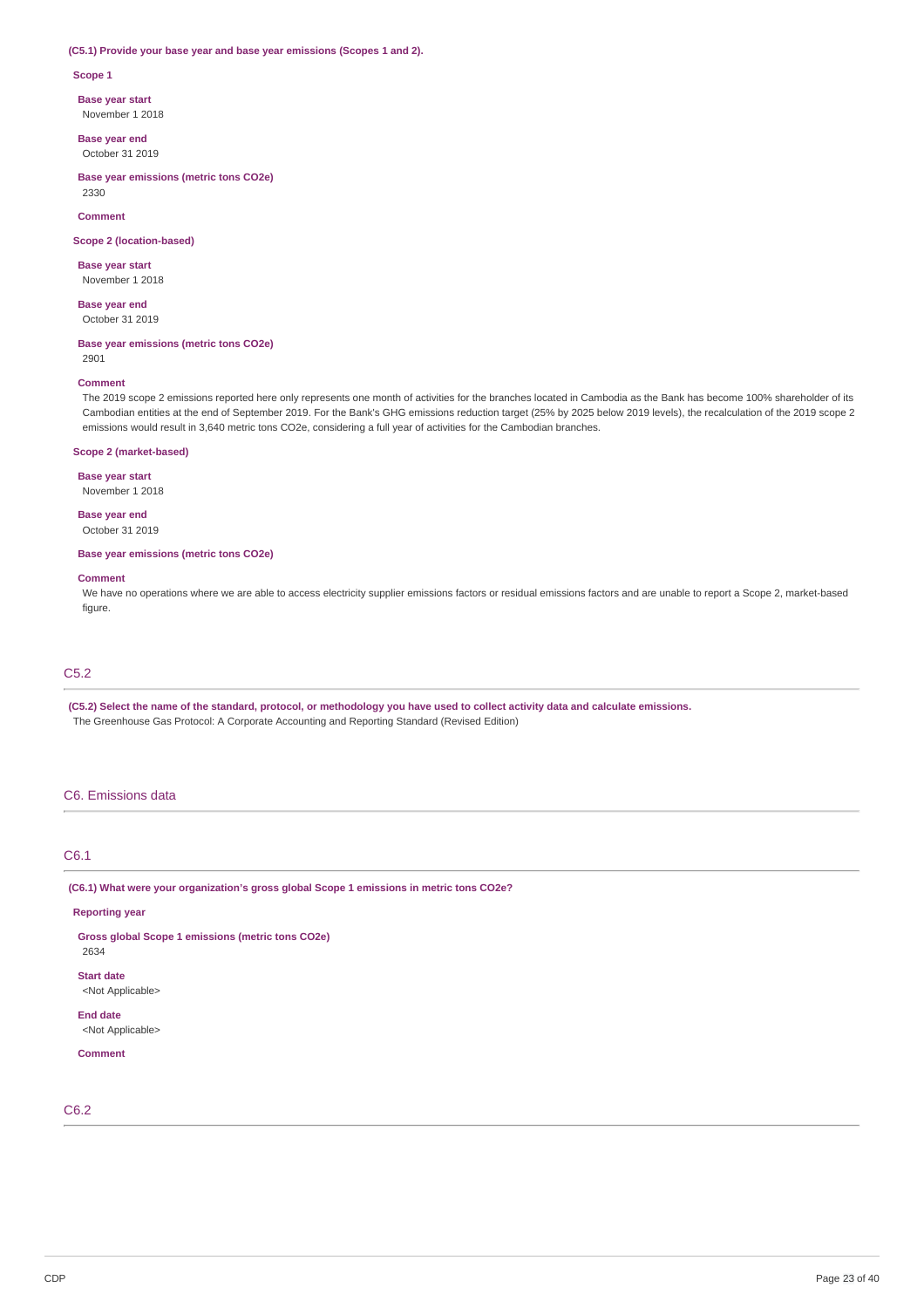#### **(C5.1) Provide your base year and base year emissions (Scopes 1 and 2).**

#### **Scope 1**

**Base year start**

November 1 2018

**Base year end** October 31 2019

**Base year emissions (metric tons CO2e)** 2330

**Comment**

**Scope 2 (location-based)**

### **Base year start**

November 1 2018

**Base year end** October 31 2019

**Base year emissions (metric tons CO2e)**

2901

#### **Comment**

The 2019 scope 2 emissions reported here only represents one month of activities for the branches located in Cambodia as the Bank has become 100% shareholder of its Cambodian entities at the end of September 2019. For the Bank's GHG emissions reduction target (25% by 2025 below 2019 levels), the recalculation of the 2019 scope 2 emissions would result in 3,640 metric tons CO2e, considering a full year of activities for the Cambodian branches.

### **Scope 2 (market-based)**

**Base year start**

November 1 2018

**Base year end** October 31 2019

**Base year emissions (metric tons CO2e)**

#### **Comment**

We have no operations where we are able to access electricity supplier emissions factors or residual emissions factors and are unable to report a Scope 2, market-based figure

# C5.2

(C5.2) Select the name of the standard, protocol, or methodology you have used to collect activity data and calculate emissions. The Greenhouse Gas Protocol: A Corporate Accounting and Reporting Standard (Revised Edition)

# C6. Emissions data

### C6.1

**(C6.1) What were your organization's gross global Scope 1 emissions in metric tons CO2e?**

### **Reporting year**

**Gross global Scope 1 emissions (metric tons CO2e)**

**Start date**

2634

<Not Applicable>

**End date** <Not Applicable>

#### **Comment**

C6.2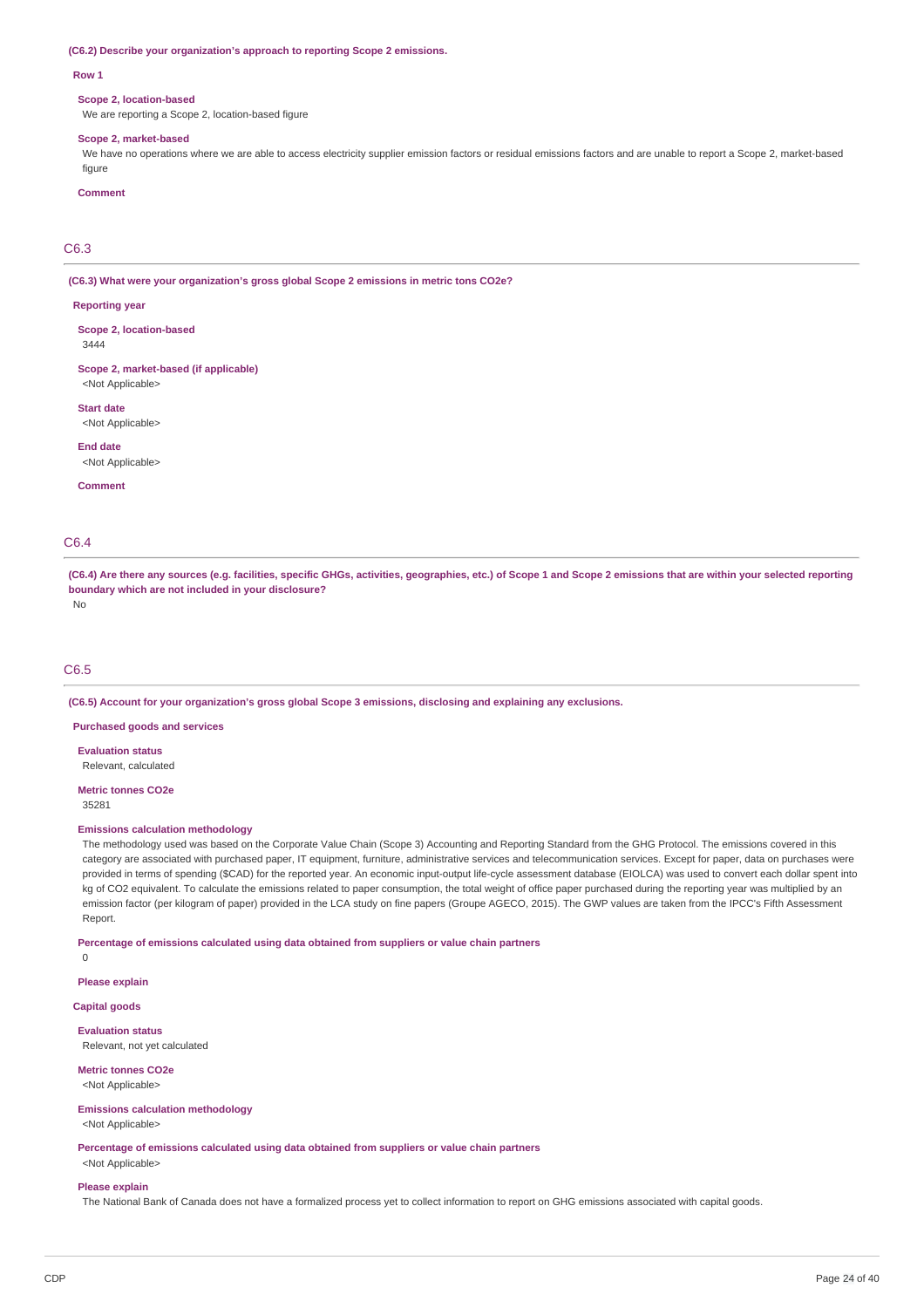#### **(C6.2) Describe your organization's approach to reporting Scope 2 emissions.**

#### **Row 1**

#### **Scope 2, location-based**

We are reporting a Scope 2, location-based figure

#### **Scope 2, market-based**

We have no operations where we are able to access electricity supplier emission factors or residual emissions factors and are unable to report a Scope 2, market-based figure

#### **Comment**

### C6.3

**(C6.3) What were your organization's gross global Scope 2 emissions in metric tons CO2e?**

#### **Reporting year**

**Scope 2, location-based** 3444

**Scope 2, market-based (if applicable)** <Not Applicable>

**Start date**

<Not Applicable>

**End date**

<Not Applicable>

**Comment**

### C6.4

(C6.4) Are there any sources (e.g. facilities, specific GHGs, activities, geographies, etc.) of Scope 1 and Scope 2 emissions that are within your selected reporting **boundary which are not included in your disclosure?** No

### C6.5

**(C6.5) Account for your organization's gross global Scope 3 emissions, disclosing and explaining any exclusions.**

**Purchased goods and services**

**Evaluation status** Relevant, calculated

# **Metric tonnes CO2e**

35281

### **Emissions calculation methodology**

The methodology used was based on the Corporate Value Chain (Scope 3) Accounting and Reporting Standard from the GHG Protocol. The emissions covered in this category are associated with purchased paper, IT equipment, furniture, administrative services and telecommunication services. Except for paper, data on purchases were provided in terms of spending (\$CAD) for the reported year. An economic input-output life-cycle assessment database (EIOLCA) was used to convert each dollar spent into kg of CO2 equivalent. To calculate the emissions related to paper consumption, the total weight of office paper purchased during the reporting year was multiplied by an emission factor (per kilogram of paper) provided in the LCA study on fine papers (Groupe AGECO, 2015). The GWP values are taken from the IPCC's Fifth Assessment Report.

**Percentage of emissions calculated using data obtained from suppliers or value chain partners**

 $\Omega$ 

**Please explain**

### **Capital goods**

**Evaluation status** Relevant, not yet calculated

**Metric tonnes CO2e** <Not Applicable>

#### **Emissions calculation methodology**

<Not Applicable>

**Percentage of emissions calculated using data obtained from suppliers or value chain partners**

# <Not Applicable> **Please explain**

The National Bank of Canada does not have a formalized process yet to collect information to report on GHG emissions associated with capital goods.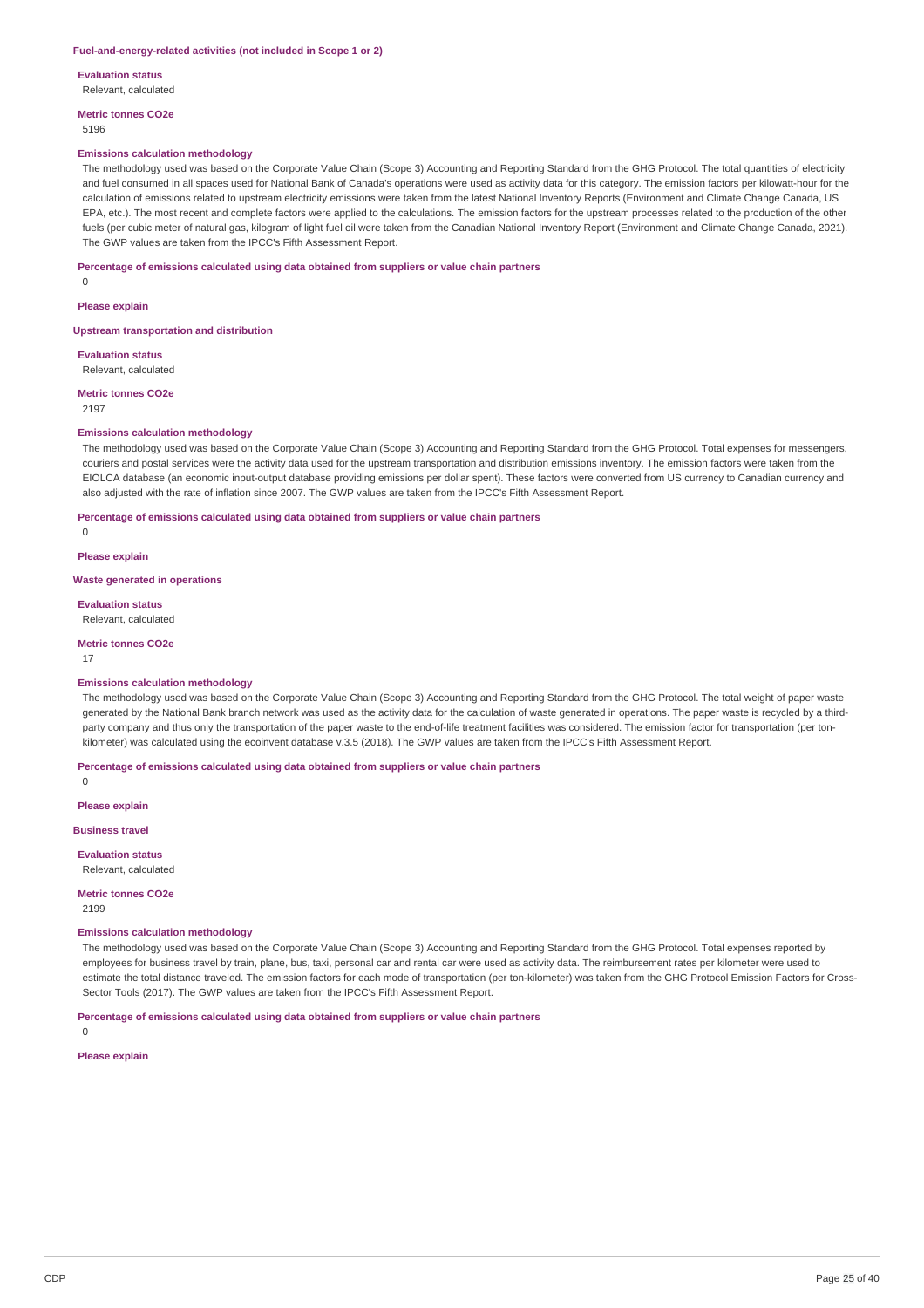#### **Fuel-and-energy-related activities (not included in Scope 1 or 2)**

**Evaluation status**

Relevant, calculated

**Metric tonnes CO2e** 5196

#### **Emissions calculation methodology**

The methodology used was based on the Corporate Value Chain (Scope 3) Accounting and Reporting Standard from the GHG Protocol. The total quantities of electricity and fuel consumed in all spaces used for National Bank of Canada's operations were used as activity data for this category. The emission factors per kilowatt-hour for the calculation of emissions related to upstream electricity emissions were taken from the latest National Inventory Reports (Environment and Climate Change Canada, US EPA, etc.). The most recent and complete factors were applied to the calculations. The emission factors for the upstream processes related to the production of the other fuels (per cubic meter of natural gas, kilogram of light fuel oil were taken from the Canadian National Inventory Report (Environment and Climate Change Canada, 2021). The GWP values are taken from the IPCC's Fifth Assessment Report.

#### **Percentage of emissions calculated using data obtained from suppliers or value chain partners**

 $\Omega$ 

**Please explain**

**Upstream transportation and distribution**

**Evaluation status** Relevant, calculated

**Metric tonnes CO2e**

2197

#### **Emissions calculation methodology**

The methodology used was based on the Corporate Value Chain (Scope 3) Accounting and Reporting Standard from the GHG Protocol. Total expenses for messengers, couriers and postal services were the activity data used for the upstream transportation and distribution emissions inventory. The emission factors were taken from the EIOLCA database (an economic input-output database providing emissions per dollar spent). These factors were converted from US currency to Canadian currency and also adjusted with the rate of inflation since 2007. The GWP values are taken from the IPCC's Fifth Assessment Report.

**Percentage of emissions calculated using data obtained from suppliers or value chain partners**

 $\theta$ 

**Please explain**

**Waste generated in operations**

**Evaluation status**

Relevant, calculated

**Metric tonnes CO2e**

17

#### **Emissions calculation methodology**

The methodology used was based on the Corporate Value Chain (Scope 3) Accounting and Reporting Standard from the GHG Protocol. The total weight of paper waste generated by the National Bank branch network was used as the activity data for the calculation of waste generated in operations. The paper waste is recycled by a thirdparty company and thus only the transportation of the paper waste to the end-of-life treatment facilities was considered. The emission factor for transportation (per tonkilometer) was calculated using the ecoinvent database v.3.5 (2018). The GWP values are taken from the IPCC's Fifth Assessment Report.

**Percentage of emissions calculated using data obtained from suppliers or value chain partners**

**Please explain**

 $\Omega$ 

**Business travel**

**Evaluation status**

Relevant, calculated

**Metric tonnes CO2e**

2199

#### **Emissions calculation methodology**

The methodology used was based on the Corporate Value Chain (Scope 3) Accounting and Reporting Standard from the GHG Protocol. Total expenses reported by employees for business travel by train, plane, bus, taxi, personal car and rental car were used as activity data. The reimbursement rates per kilometer were used to estimate the total distance traveled. The emission factors for each mode of transportation (per ton-kilometer) was taken from the GHG Protocol Emission Factors for Cross-Sector Tools (2017). The GWP values are taken from the IPCC's Fifth Assessment Report.

**Percentage of emissions calculated using data obtained from suppliers or value chain partners**

 $\Omega$ 

#### **Please explain**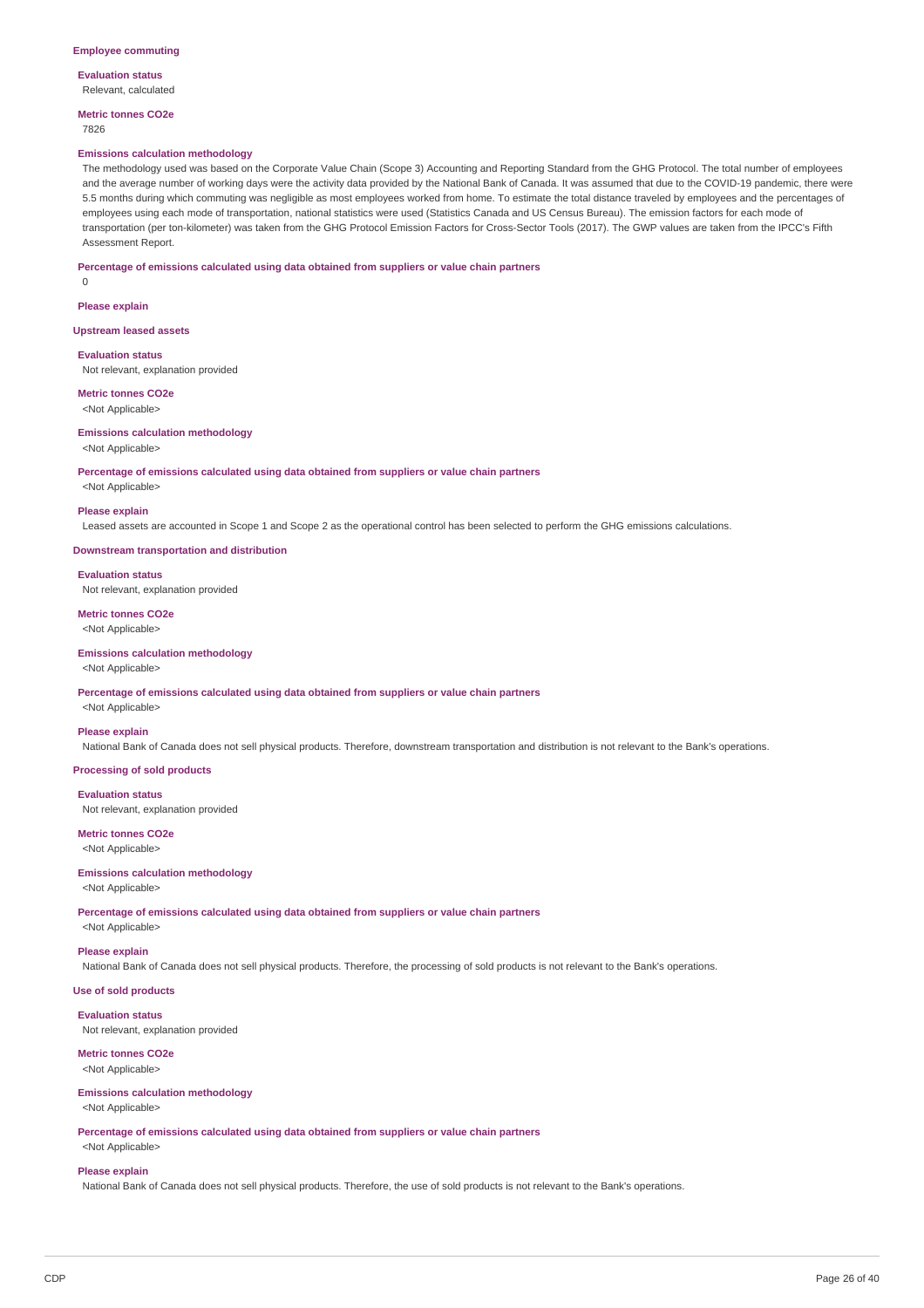**Evaluation status** Relevant, calculated

**Metric tonnes CO2e** 7826

#### **Emissions calculation methodology**

The methodology used was based on the Corporate Value Chain (Scope 3) Accounting and Reporting Standard from the GHG Protocol. The total number of employees and the average number of working days were the activity data provided by the National Bank of Canada. It was assumed that due to the COVID-19 pandemic, there were 5.5 months during which commuting was negligible as most employees worked from home. To estimate the total distance traveled by employees and the percentages of employees using each mode of transportation, national statistics were used (Statistics Canada and US Census Bureau). The emission factors for each mode of transportation (per ton-kilometer) was taken from the GHG Protocol Emission Factors for Cross-Sector Tools (2017). The GWP values are taken from the IPCC's Fifth Assessment Report.

#### **Percentage of emissions calculated using data obtained from suppliers or value chain partners**

 $\Omega$ 

**Please explain**

**Upstream leased assets**

**Evaluation status**

Not relevant, explanation provided

**Metric tonnes CO2e**

<Not Applicable>

### **Emissions calculation methodology**

<Not Applicable>

**Percentage of emissions calculated using data obtained from suppliers or value chain partners**

# <Not Applicable> **Please explain**

Leased assets are accounted in Scope 1 and Scope 2 as the operational control has been selected to perform the GHG emissions calculations.

**Downstream transportation and distribution**

### **Evaluation status**

Not relevant, explanation provided

**Metric tonnes CO2e** <Not Applicable>

### **Emissions calculation methodology**

<Not Applicable>

**Percentage of emissions calculated using data obtained from suppliers or value chain partners**

# <Not Applicable> **Please explain**

National Bank of Canada does not sell physical products. Therefore, downstream transportation and distribution is not relevant to the Bank's operations.

**Processing of sold products**

#### **Evaluation status**

Not relevant, explanation provided

### **Metric tonnes CO2e** <Not Applicable>

# **Emissions calculation methodology**

<Not Applicable>

**Percentage of emissions calculated using data obtained from suppliers or value chain partners**

<Not Applicable>

### **Please explain**

National Bank of Canada does not sell physical products. Therefore, the processing of sold products is not relevant to the Bank's operations.

# **Use of sold products**

**Evaluation status** Not relevant, explanation provided

#### **Metric tonnes CO2e**

<Not Applicable>

#### **Emissions calculation methodology** <Not Applicable>

**Percentage of emissions calculated using data obtained from suppliers or value chain partners** <Not Applicable>

#### **Please explain**

National Bank of Canada does not sell physical products. Therefore, the use of sold products is not relevant to the Bank's operations.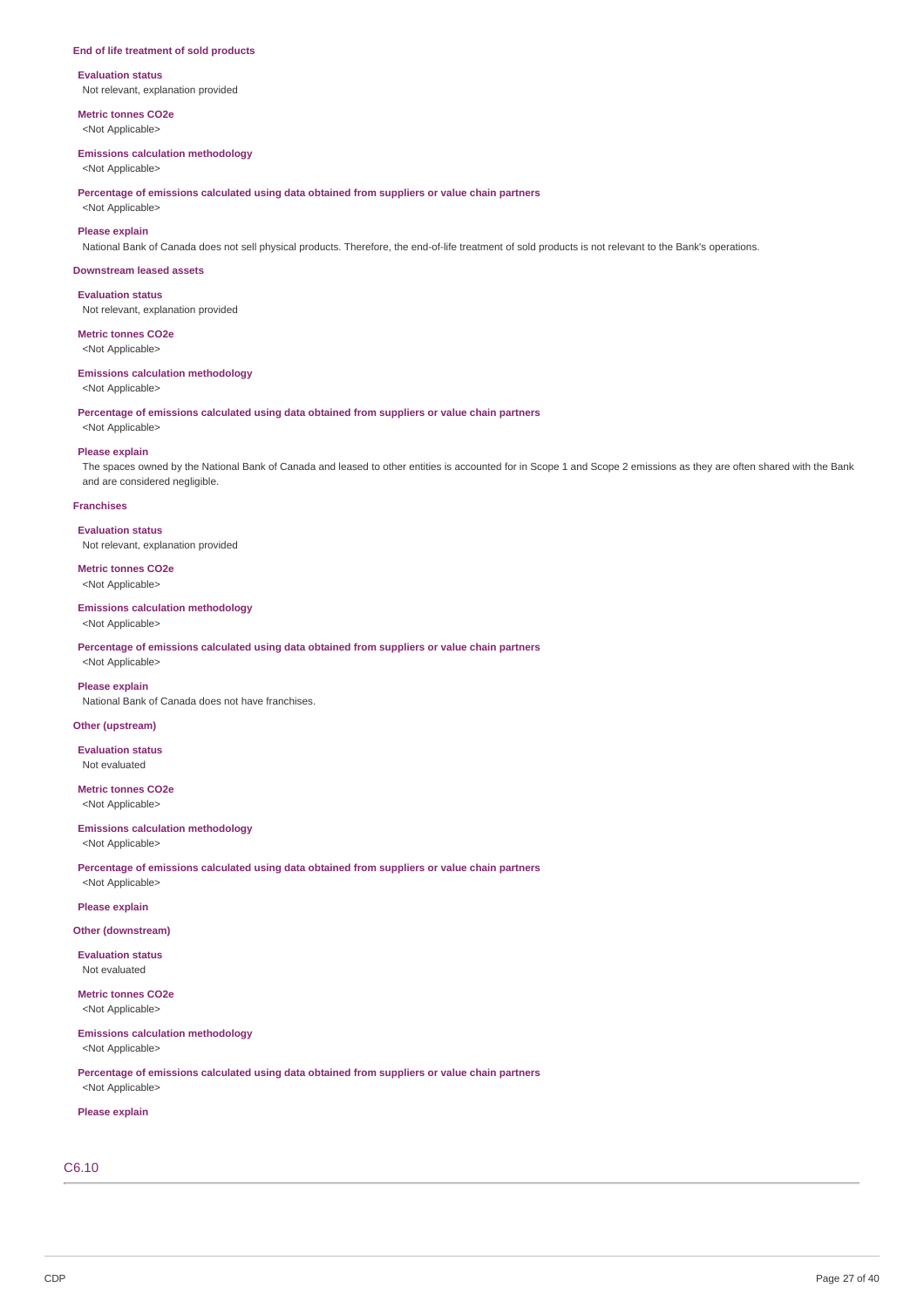#### **End of life treatment of sold products**

**Evaluation status** Not relevant, explanation provided

**Metric tonnes CO2e**

# <Not Applicable>

**Emissions calculation methodology** <Not Applicable>

**Percentage of emissions calculated using data obtained from suppliers or value chain partners**

<Not Applicable>

### **Please explain**

National Bank of Canada does not sell physical products. Therefore, the end-of-life treatment of sold products is not relevant to the Bank's operations.

#### **Downstream leased assets**

**Evaluation status** Not relevant, explanation provided

# **Metric tonnes CO2e**

<Not Applicable>

#### **Emissions calculation methodology**

<Not Applicable>

**Percentage of emissions calculated using data obtained from suppliers or value chain partners**

# <Not Applicable> **Please explain**

The spaces owned by the National Bank of Canada and leased to other entities is accounted for in Scope 1 and Scope 2 emissions as they are often shared with the Bank and are considered negligible.

#### **Franchises**

**Evaluation status** Not relevant, explanation provided

# **Metric tonnes CO2e**

<Not Applicable>

### **Emissions calculation methodology** <Not Applicable>

**Percentage of emissions calculated using data obtained from suppliers or value chain partners** <Not Applicable>

### **Please explain**

National Bank of Canada does not have franchises.

### **Other (upstream)**

**Evaluation status** Not evaluated

### **Metric tonnes CO2e** <Not Applicable>

# **Emissions calculation methodology**

<Not Applicable>

**Percentage of emissions calculated using data obtained from suppliers or value chain partners** <Not Applicable>

### **Please explain**

**Other (downstream)**

### **Evaluation status** Not evaluated

**Metric tonnes CO2e**

<Not Applicable>

### **Emissions calculation methodology**

<Not Applicable>

**Percentage of emissions calculated using data obtained from suppliers or value chain partners**

# <Not Applicable> **Please explain**

# C6.10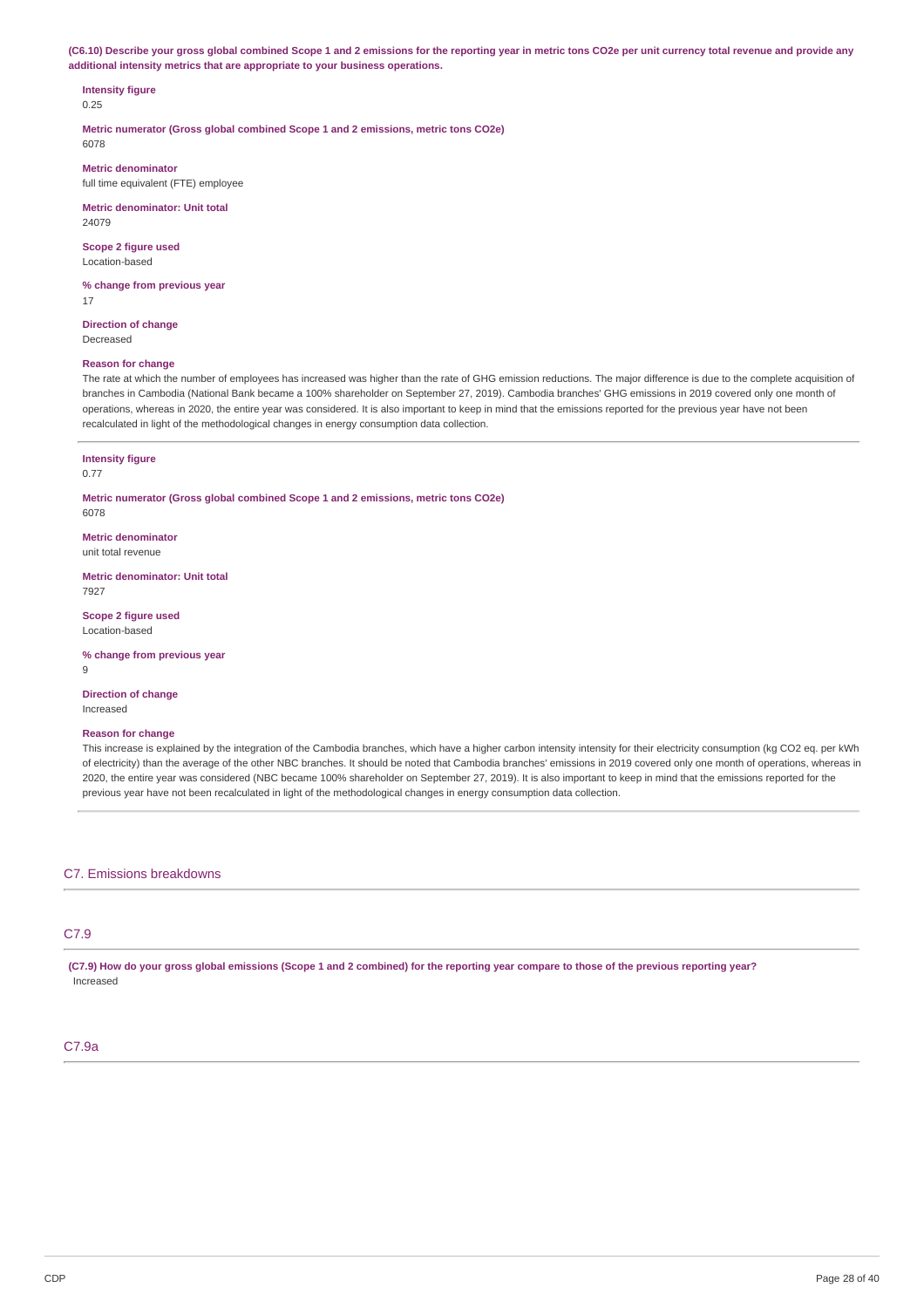(C6.10) Describe your gross global combined Scope 1 and 2 emissions for the reporting year in metric tons CO2e per unit currency total revenue and provide any **additional intensity metrics that are appropriate to your business operations.**

# **Intensity figure**

0.25

**Metric numerator (Gross global combined Scope 1 and 2 emissions, metric tons CO2e)** 6078

**Metric denominator** full time equivalent (FTE) employee

**Metric denominator: Unit total** 24079

**Scope 2 figure used** Location-based

**% change from previous year** 17

**Direction of change** Decreased

### **Reason for change**

The rate at which the number of employees has increased was higher than the rate of GHG emission reductions. The major difference is due to the complete acquisition of branches in Cambodia (National Bank became a 100% shareholder on September 27, 2019). Cambodia branches' GHG emissions in 2019 covered only one month of operations, whereas in 2020, the entire year was considered. It is also important to keep in mind that the emissions reported for the previous year have not been recalculated in light of the methodological changes in energy consumption data collection.

#### **Intensity figure**

0.77

**Metric numerator (Gross global combined Scope 1 and 2 emissions, metric tons CO2e)** 6078

**Metric denominator** unit total revenue

**Metric denominator: Unit total** 7927

**Scope 2 figure used** Location-based

**% change from previous year**

 $\alpha$ 

**Direction of change** Increased

#### **Reason for change**

This increase is explained by the integration of the Cambodia branches, which have a higher carbon intensity intensity for their electricity consumption (kg CO2 eq. per kWh of electricity) than the average of the other NBC branches. It should be noted that Cambodia branches' emissions in 2019 covered only one month of operations, whereas in 2020, the entire year was considered (NBC became 100% shareholder on September 27, 2019). It is also important to keep in mind that the emissions reported for the previous year have not been recalculated in light of the methodological changes in energy consumption data collection.

C7. Emissions breakdowns

### C7.9

(C7.9) How do your gross global emissions (Scope 1 and 2 combined) for the reporting year compare to those of the previous reporting year? Increased

### C7.9a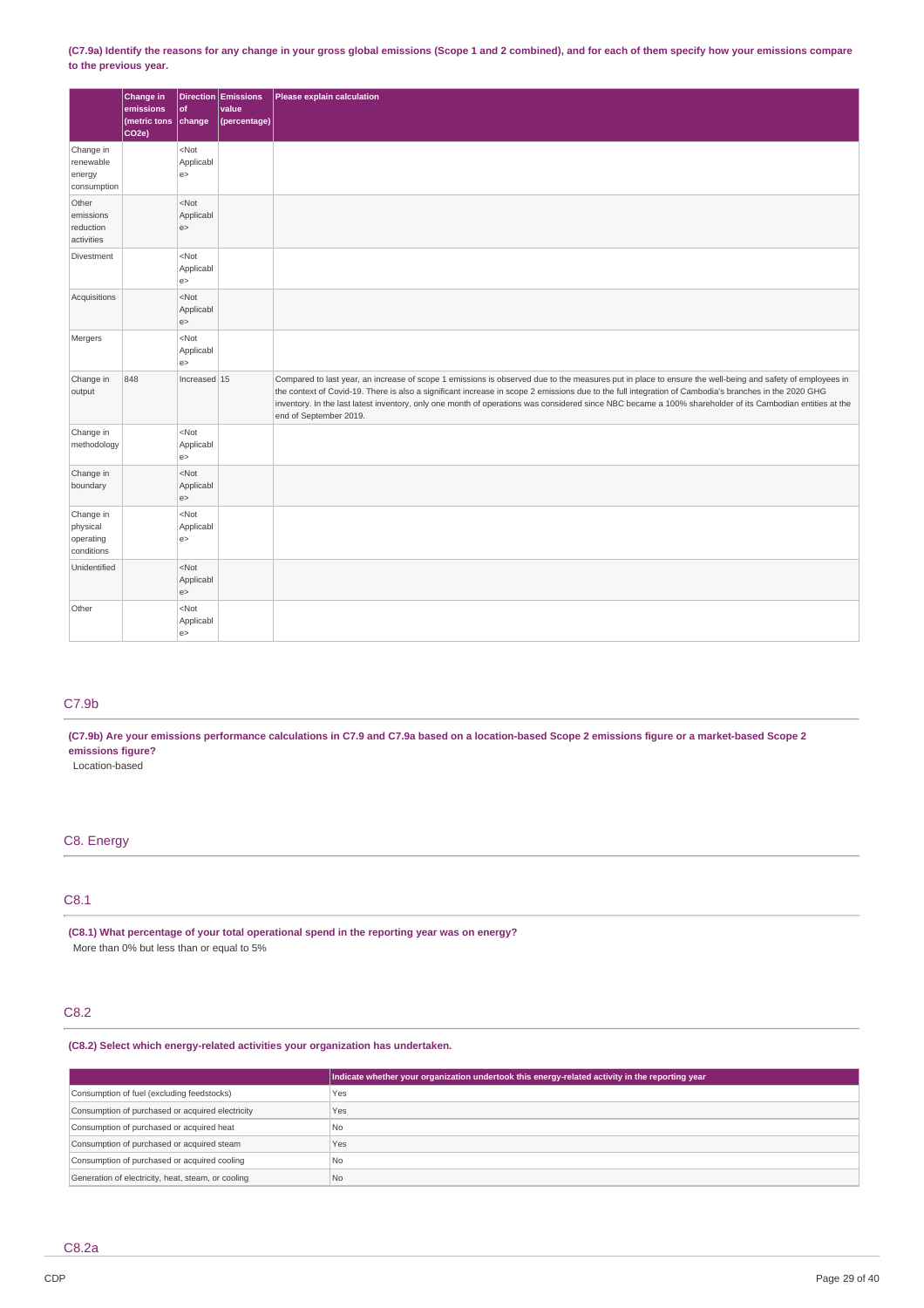(C7.9a) Identify the reasons for any change in your gross global emissions (Scope 1 and 2 combined), and for each of them specify how your emissions compare **to the previous year.**

|                                                  | Change in<br>emissions<br>(metric tons<br>CO <sub>2e</sub> | $ $ of<br>change                     | Direction Emissions<br>value<br>(percentage) | Please explain calculation                                                                                                                                                                                                                                                                                                                                                                                                                                                                               |
|--------------------------------------------------|------------------------------------------------------------|--------------------------------------|----------------------------------------------|----------------------------------------------------------------------------------------------------------------------------------------------------------------------------------------------------------------------------------------------------------------------------------------------------------------------------------------------------------------------------------------------------------------------------------------------------------------------------------------------------------|
| Change in<br>renewable<br>energy<br>consumption  |                                                            | $<$ Not<br>Applicabl<br>e            |                                              |                                                                                                                                                                                                                                                                                                                                                                                                                                                                                                          |
| Other<br>emissions<br>reduction<br>activities    |                                                            | $<$ Not<br>Applicabl<br>e            |                                              |                                                                                                                                                                                                                                                                                                                                                                                                                                                                                                          |
| Divestment                                       |                                                            | $<$ Not<br>Applicabl<br>e            |                                              |                                                                                                                                                                                                                                                                                                                                                                                                                                                                                                          |
| Acquisitions                                     |                                                            | $<$ Not<br>Applicabl<br>e            |                                              |                                                                                                                                                                                                                                                                                                                                                                                                                                                                                                          |
| Mergers                                          |                                                            | $<$ Not<br>Applicabl<br>e            |                                              |                                                                                                                                                                                                                                                                                                                                                                                                                                                                                                          |
| Change in<br>output                              | 848                                                        | Increased $15$                       |                                              | Compared to last year, an increase of scope 1 emissions is observed due to the measures put in place to ensure the well-being and safety of employees in<br>the context of Covid-19. There is also a significant increase in scope 2 emissions due to the full integration of Cambodia's branches in the 2020 GHG<br>inventory. In the last latest inventory, only one month of operations was considered since NBC became a 100% shareholder of its Cambodian entities at the<br>end of September 2019. |
| Change in<br>methodology                         |                                                            | $<$ Not<br>Applicabl<br>e            |                                              |                                                                                                                                                                                                                                                                                                                                                                                                                                                                                                          |
| Change in<br>boundary                            |                                                            | $<$ Not<br>Applicabl<br>e            |                                              |                                                                                                                                                                                                                                                                                                                                                                                                                                                                                                          |
| Change in<br>physical<br>operating<br>conditions |                                                            | $<$ Not<br>Applicabl<br>e            |                                              |                                                                                                                                                                                                                                                                                                                                                                                                                                                                                                          |
| Unidentified                                     |                                                            | $<$ Not<br>Applicabl<br>e            |                                              |                                                                                                                                                                                                                                                                                                                                                                                                                                                                                                          |
| Other                                            |                                                            | <not<br>Applicabl<br/>e&gt;</not<br> |                                              |                                                                                                                                                                                                                                                                                                                                                                                                                                                                                                          |

# C7.9b

(C7.9b) Are your emissions performance calculations in C7.9 and C7.9a based on a location-based Scope 2 emissions figure or a market-based Scope 2 **emissions figure?**

Location-based

### C8. Energy

### C8.1

**(C8.1) What percentage of your total operational spend in the reporting year was on energy?** More than 0% but less than or equal to 5%

# C8.2

### **(C8.2) Select which energy-related activities your organization has undertaken.**

|                                                    | Indicate whether your organization undertook this energy-related activity in the reporting year |
|----------------------------------------------------|-------------------------------------------------------------------------------------------------|
| Consumption of fuel (excluding feedstocks)         | Yes                                                                                             |
| Consumption of purchased or acquired electricity   | Yes                                                                                             |
| Consumption of purchased or acquired heat          | No.                                                                                             |
| Consumption of purchased or acquired steam         | Yes                                                                                             |
| Consumption of purchased or acquired cooling       | No.                                                                                             |
| Generation of electricity, heat, steam, or cooling | No.                                                                                             |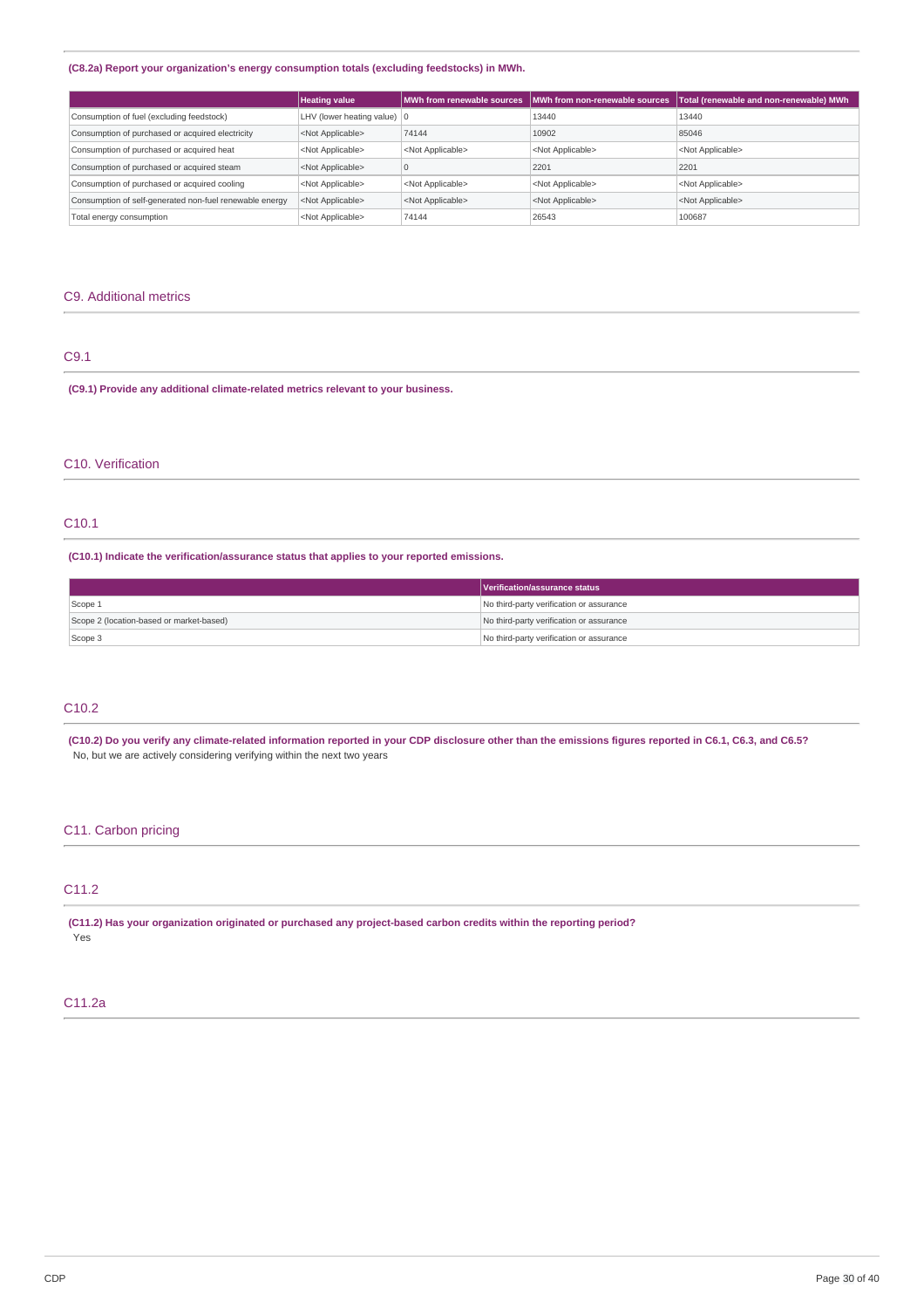### **(C8.2a) Report your organization's energy consumption totals (excluding feedstocks) in MWh.**

|                                                         | <b>Heating value</b>          |                           | MWh from renewable sources   MWh from non-renewable sources | Total (renewable and non-renewable) MWh |
|---------------------------------------------------------|-------------------------------|---------------------------|-------------------------------------------------------------|-----------------------------------------|
| Consumption of fuel (excluding feedstock)               | LHV (lower heating value)   0 |                           | 13440                                                       | 13440                                   |
| Consumption of purchased or acquired electricity        | <not applicable=""></not>     | 74144                     | 10902                                                       | 85046                                   |
| Consumption of purchased or acquired heat               | <not applicable=""></not>     | <not applicable=""></not> | <not applicable=""></not>                                   | <not applicable=""></not>               |
| Consumption of purchased or acquired steam              | <not applicable=""></not>     |                           | 2201                                                        | 2201                                    |
| Consumption of purchased or acquired cooling            | <not applicable=""></not>     | <not applicable=""></not> | <not applicable=""></not>                                   | <not applicable=""></not>               |
| Consumption of self-generated non-fuel renewable energy | <not applicable=""></not>     | <not applicable=""></not> | <not applicable=""></not>                                   | <not applicable=""></not>               |
| Total energy consumption                                | <not applicable=""></not>     | 74144                     | 26543                                                       | 100687                                  |

### C9. Additional metrics

### C9.1

**(C9.1) Provide any additional climate-related metrics relevant to your business.**

### C10. Verification

# C10.1

**(C10.1) Indicate the verification/assurance status that applies to your reported emissions.**

|                                          | Verification/assurance status            |
|------------------------------------------|------------------------------------------|
| Scope 1                                  | No third-party verification or assurance |
| Scope 2 (location-based or market-based) | No third-party verification or assurance |
| Scope 3                                  | No third-party verification or assurance |

# C10.2

(C10.2) Do you verify any climate-related information reported in your CDP disclosure other than the emissions figures reported in C6.1, C6.3, and C6.5? No, but we are actively considering verifying within the next two years

### C11. Carbon pricing

### C11.2

**(C11.2) Has your organization originated or purchased any project-based carbon credits within the reporting period?** Yes

### C11.2a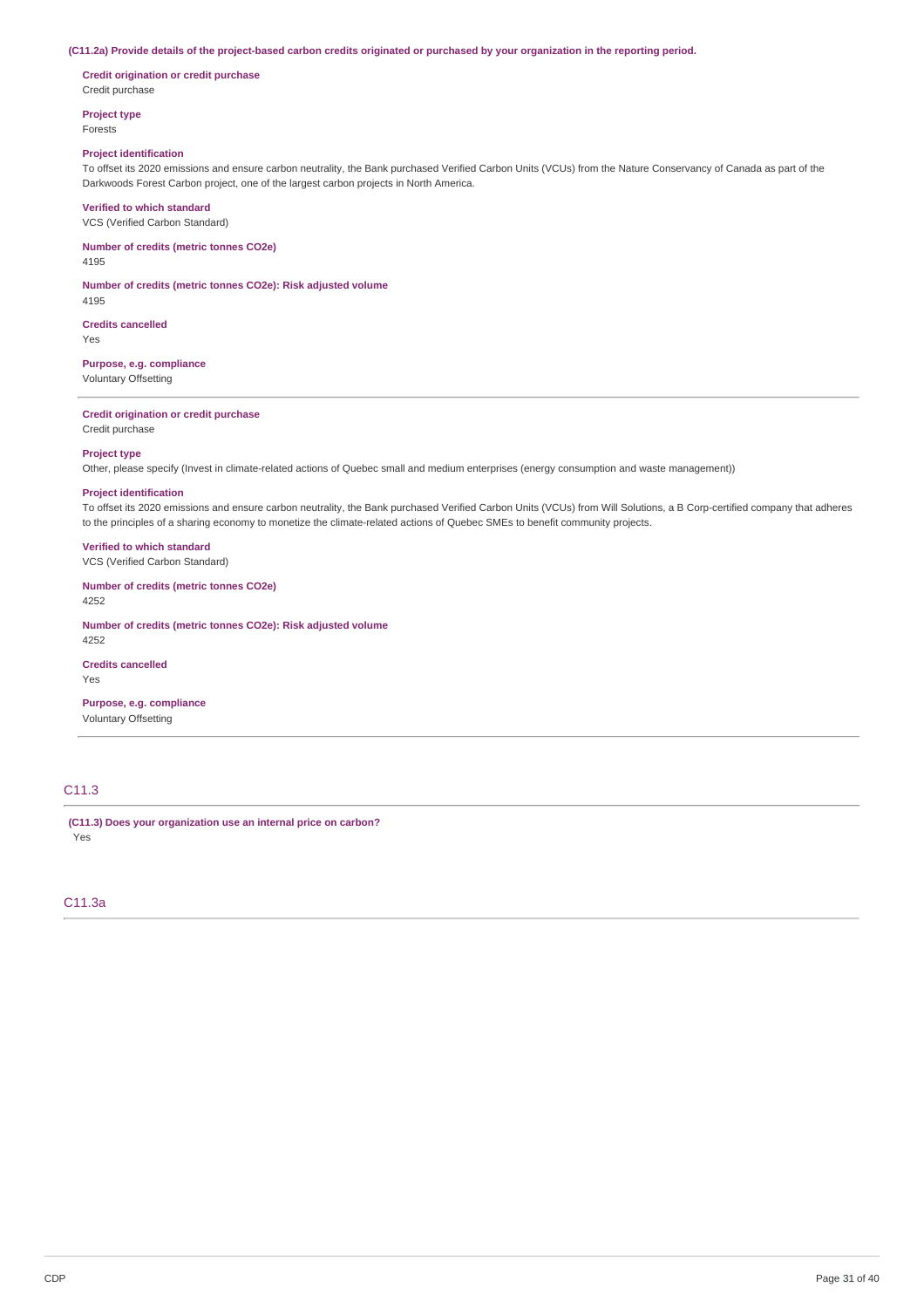#### (C11.2a) Provide details of the project-based carbon credits originated or purchased by your organization in the reporting period.

**Credit origination or credit purchase** Credit purchase

**Project type** Forests

### **Project identification**

To offset its 2020 emissions and ensure carbon neutrality, the Bank purchased Verified Carbon Units (VCUs) from the Nature Conservancy of Canada as part of the Darkwoods Forest Carbon project, one of the largest carbon projects in North America.

#### **Verified to which standard**

VCS (Verified Carbon Standard)

### **Number of credits (metric tonnes CO2e)**

4195

**Number of credits (metric tonnes CO2e): Risk adjusted volume** 4195

**Credits cancelled**

Yes

### **Purpose, e.g. compliance**

Voluntary Offsetting

### **Credit origination or credit purchase**

Credit purchase

### **Project type**

Other, please specify (Invest in climate-related actions of Quebec small and medium enterprises (energy consumption and waste management))

#### **Project identification**

To offset its 2020 emissions and ensure carbon neutrality, the Bank purchased Verified Carbon Units (VCUs) from Will Solutions, a B Corp-certified company that adheres to the principles of a sharing economy to monetize the climate-related actions of Quebec SMEs to benefit community projects.

### **Verified to which standard**

VCS (Verified Carbon Standard)

**Number of credits (metric tonnes CO2e)** 4252

**Number of credits (metric tonnes CO2e): Risk adjusted volume**

4252

# **Credits cancelled**

Yes

**Purpose, e.g. compliance** Voluntary Offsetting

# C11.3

**(C11.3) Does your organization use an internal price on carbon?** Yes

### C11.3a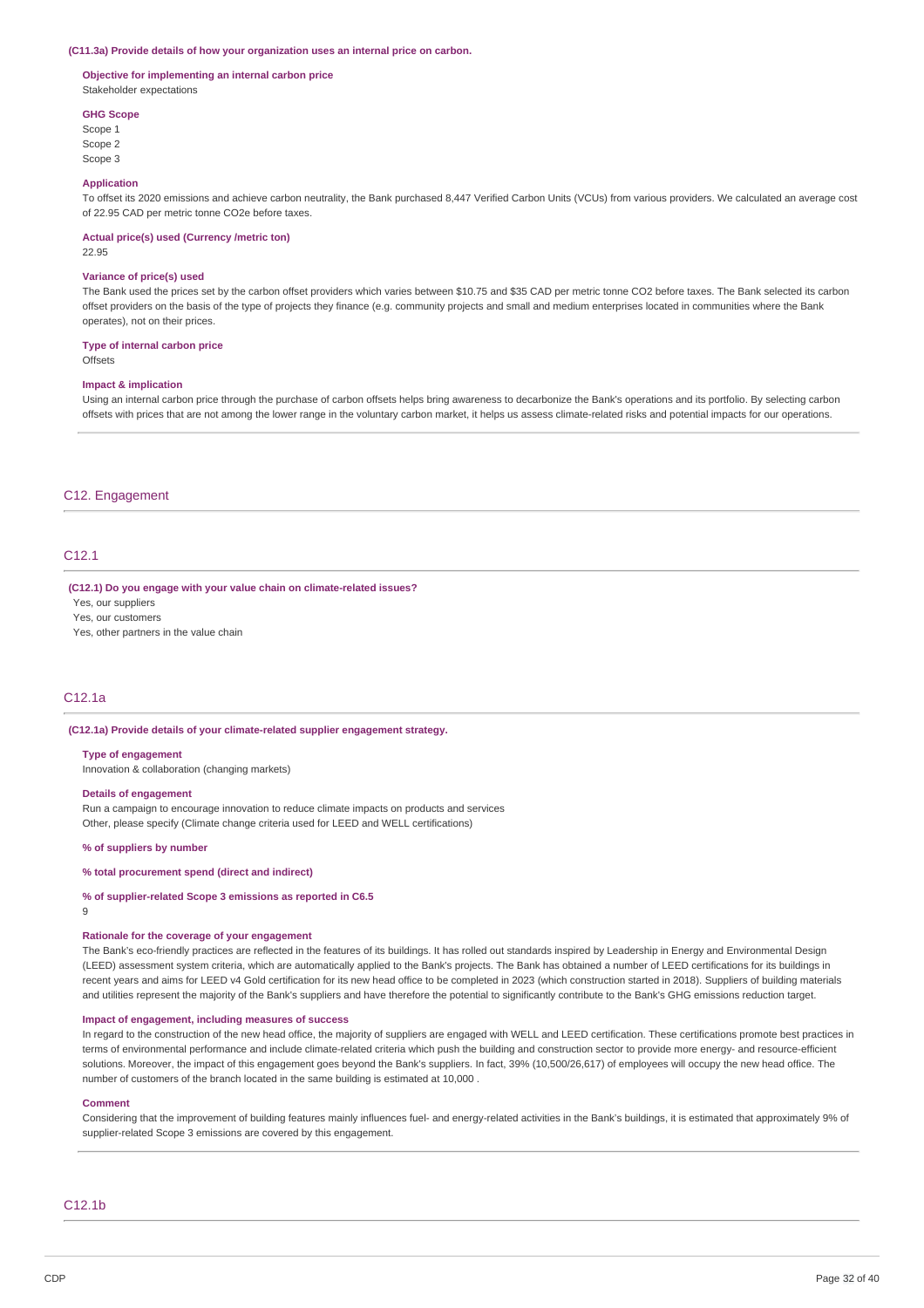#### **(C11.3a) Provide details of how your organization uses an internal price on carbon.**

#### **Objective for implementing an internal carbon price** Stakeholder expectations

#### **GHG Scope**

Scope 1 Scope 2 Scope 3

#### **Application**

To offset its 2020 emissions and achieve carbon neutrality, the Bank purchased 8,447 Verified Carbon Units (VCUs) from various providers. We calculated an average cost of 22.95 CAD per metric tonne CO2e before taxes.

#### **Actual price(s) used (Currency /metric ton)**

22.95

#### **Variance of price(s) used**

The Bank used the prices set by the carbon offset providers which varies between \$10.75 and \$35 CAD per metric tonne CO2 before taxes. The Bank selected its carbon offset providers on the basis of the type of projects they finance (e.g. community projects and small and medium enterprises located in communities where the Bank operates), not on their prices.

#### **Type of internal carbon price**

**Offsets** 

#### **Impact & implication**

Using an internal carbon price through the purchase of carbon offsets helps bring awareness to decarbonize the Bank's operations and its portfolio. By selecting carbon offsets with prices that are not among the lower range in the voluntary carbon market, it helps us assess climate-related risks and potential impacts for our operations.

#### C12. Engagement

### C12.1

#### **(C12.1) Do you engage with your value chain on climate-related issues?**

Yes, our suppliers

Yes, our customers

Yes, other partners in the value chain

### C12.1a

#### **(C12.1a) Provide details of your climate-related supplier engagement strategy.**

#### **Type of engagement**

Innovation & collaboration (changing markets)

#### **Details of engagement**

Run a campaign to encourage innovation to reduce climate impacts on products and services Other, please specify (Climate change criteria used for LEED and WELL certifications)

#### **% of suppliers by number**

### **% total procurement spend (direct and indirect)**

#### **% of supplier-related Scope 3 emissions as reported in C6.5**

9

#### **Rationale for the coverage of your engagement**

The Bank's eco-friendly practices are reflected in the features of its buildings. It has rolled out standards inspired by Leadership in Energy and Environmental Design (LEED) assessment system criteria, which are automatically applied to the Bank's projects. The Bank has obtained a number of LEED certifications for its buildings in recent years and aims for LEED v4 Gold certification for its new head office to be completed in 2023 (which construction started in 2018). Suppliers of building materials and utilities represent the majority of the Bank's suppliers and have therefore the potential to significantly contribute to the Bank's GHG emissions reduction target.

#### **Impact of engagement, including measures of success**

In regard to the construction of the new head office, the majority of suppliers are engaged with WELL and LEED certification. These certifications promote best practices in terms of environmental performance and include climate-related criteria which push the building and construction sector to provide more energy- and resource-efficient solutions. Moreover, the impact of this engagement goes beyond the Bank's suppliers. In fact, 39% (10,500/26,617) of employees will occupy the new head office. The number of customers of the branch located in the same building is estimated at 10,000 .

#### **Comment**

Considering that the improvement of building features mainly influences fuel- and energy-related activities in the Bank's buildings, it is estimated that approximately 9% of supplier-related Scope 3 emissions are covered by this engagement.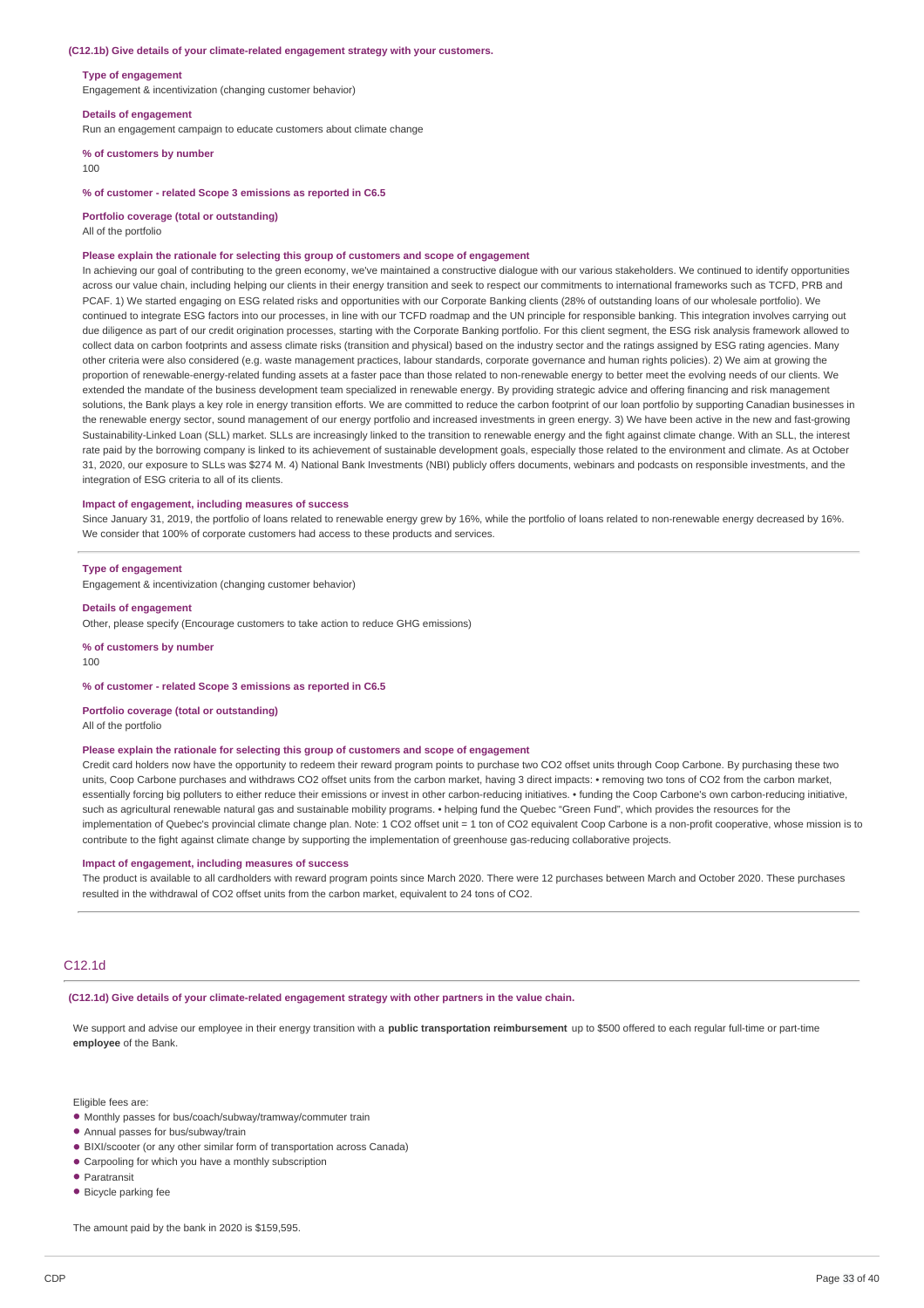#### **(C12.1b) Give details of your climate-related engagement strategy with your customers.**

#### **Type of engagement**

Engagement & incentivization (changing customer behavior)

#### **Details of engagement**

Run an engagement campaign to educate customers about climate change

#### **% of customers by number**

100

#### **% of customer - related Scope 3 emissions as reported in C6.5**

#### **Portfolio coverage (total or outstanding)**

All of the portfolio

#### **Please explain the rationale for selecting this group of customers and scope of engagement**

In achieving our goal of contributing to the green economy, we've maintained a constructive dialogue with our various stakeholders. We continued to identify opportunities across our value chain, including helping our clients in their energy transition and seek to respect our commitments to international frameworks such as TCFD, PRB and PCAF. 1) We started engaging on ESG related risks and opportunities with our Corporate Banking clients (28% of outstanding loans of our wholesale portfolio). We continued to integrate ESG factors into our processes, in line with our TCFD roadmap and the UN principle for responsible banking. This integration involves carrying out due diligence as part of our credit origination processes, starting with the Corporate Banking portfolio. For this client segment, the ESG risk analysis framework allowed to collect data on carbon footprints and assess climate risks (transition and physical) based on the industry sector and the ratings assigned by ESG rating agencies. Many other criteria were also considered (e.g. waste management practices, labour standards, corporate governance and human rights policies). 2) We aim at growing the proportion of renewable-energy-related funding assets at a faster pace than those related to non-renewable energy to better meet the evolving needs of our clients. We extended the mandate of the business development team specialized in renewable energy. By providing strategic advice and offering financing and risk management solutions, the Bank plays a key role in energy transition efforts. We are committed to reduce the carbon footprint of our loan portfolio by supporting Canadian businesses in the renewable energy sector, sound management of our energy portfolio and increased investments in green energy. 3) We have been active in the new and fast-growing Sustainability-Linked Loan (SLL) market. SLLs are increasingly linked to the transition to renewable energy and the fight against climate change. With an SLL, the interest rate paid by the borrowing company is linked to its achievement of sustainable development goals, especially those related to the environment and climate. As at October 31, 2020, our exposure to SLLs was \$274 M. 4) National Bank Investments (NBI) publicly offers documents, webinars and podcasts on responsible investments, and the integration of ESG criteria to all of its clients.

#### **Impact of engagement, including measures of success**

Since January 31, 2019, the portfolio of loans related to renewable energy grew by 16%, while the portfolio of loans related to non-renewable energy decreased by 16%. We consider that 100% of corporate customers had access to these products and services.

#### **Type of engagement**

Engagement & incentivization (changing customer behavior)

#### **Details of engagement**

Other, please specify (Encourage customers to take action to reduce GHG emissions)

**% of customers by number**

100

#### **% of customer - related Scope 3 emissions as reported in C6.5**

**Portfolio coverage (total or outstanding)** All of the portfolio

#### **Please explain the rationale for selecting this group of customers and scope of engagement**

Credit card holders now have the opportunity to redeem their reward program points to purchase two CO2 offset units through Coop Carbone. By purchasing these two units, Coop Carbone purchases and withdraws CO2 offset units from the carbon market, having 3 direct impacts: • removing two tons of CO2 from the carbon market, essentially forcing big polluters to either reduce their emissions or invest in other carbon-reducing initiatives. • funding the Coop Carbone's own carbon-reducing initiative, such as agricultural renewable natural gas and sustainable mobility programs. • helping fund the Quebec "Green Fund", which provides the resources for the implementation of Quebec's provincial climate change plan. Note: 1 CO2 offset unit = 1 ton of CO2 equivalent Coop Carbone is a non-profit cooperative, whose mission is to contribute to the fight against climate change by supporting the implementation of greenhouse gas-reducing collaborative projects.

### **Impact of engagement, including measures of success**

The product is available to all cardholders with reward program points since March 2020. There were 12 purchases between March and October 2020. These purchases resulted in the withdrawal of CO2 offset units from the carbon market, equivalent to 24 tons of CO2.

### C12.1d

**(C12.1d) Give details of your climate-related engagement strategy with other partners in the value chain.**

We support and advise our employee in their energy transition with a **public transportation reimbursement** up to \$500 offered to each regular full-time or part-time **employee** of the Bank.

Eligible fees are:

- Monthly passes for bus/coach/subway/tramway/commuter train
- Annual passes for bus/subway/train •
- BIXI/scooter (or any other similar form of transportation across Canada)
- Carpooling for which you have a monthly subscription
- Paratransit
- Bicycle parking fee •

The amount paid by the bank in 2020 is \$159,595.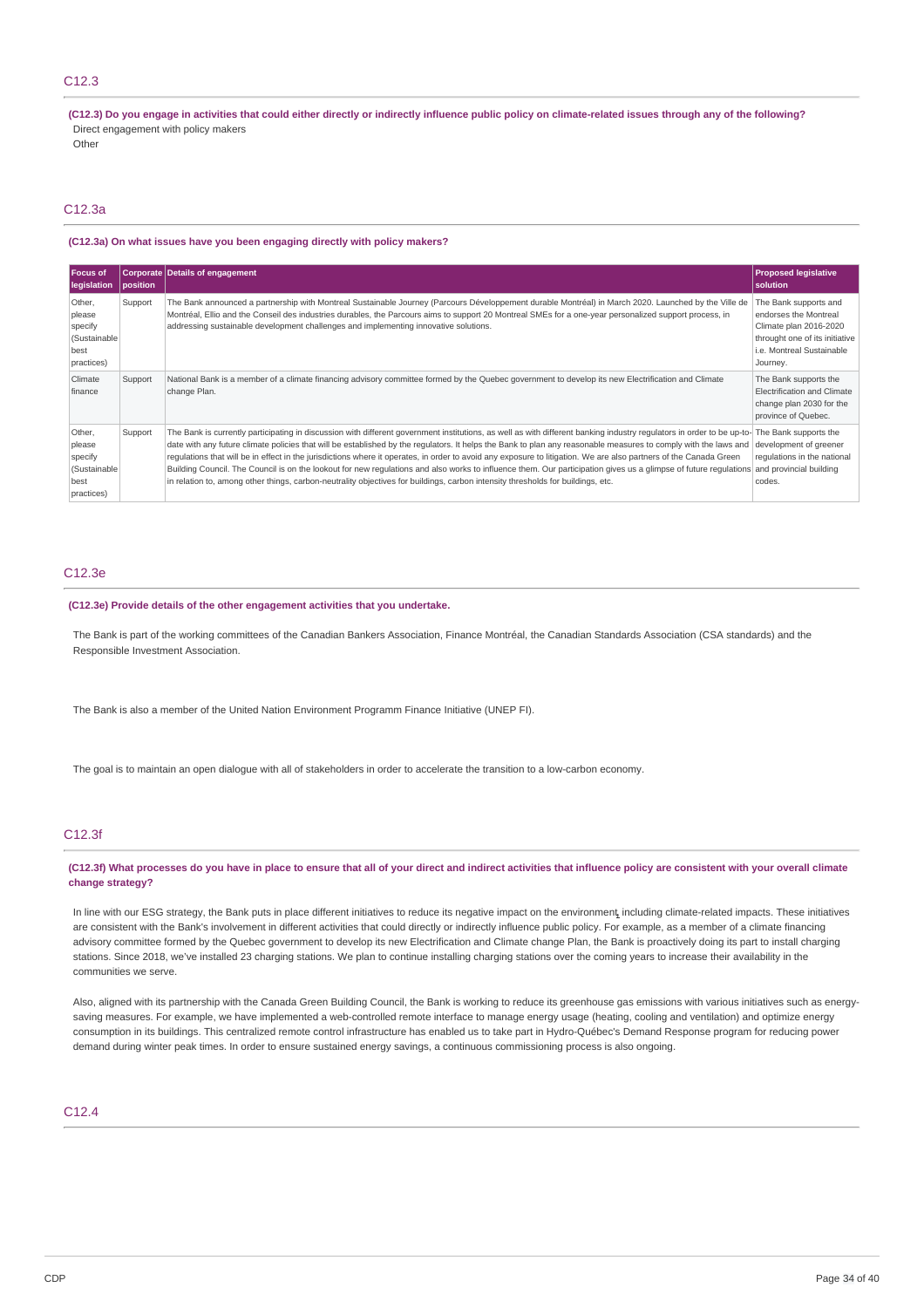### C12.3

(C12.3) Do you engage in activities that could either directly or indirectly influence public policy on climate-related issues through any of the following? Direct engagement with policy makers

**Other** 

### C12.3a

#### **(C12.3a) On what issues have you been engaging directly with policy makers?**

| Focus of<br>legislation                                           | position | <b>Corporate Details of engagement</b>                                                                                                                                                                                                                                                                                                                                                                                                                                                                                                                                                                                                                                                                                                                                                                                                                                                    | <b>Proposed legislative</b><br>solution                                                                                                             |
|-------------------------------------------------------------------|----------|-------------------------------------------------------------------------------------------------------------------------------------------------------------------------------------------------------------------------------------------------------------------------------------------------------------------------------------------------------------------------------------------------------------------------------------------------------------------------------------------------------------------------------------------------------------------------------------------------------------------------------------------------------------------------------------------------------------------------------------------------------------------------------------------------------------------------------------------------------------------------------------------|-----------------------------------------------------------------------------------------------------------------------------------------------------|
| Other,<br>please<br>specify<br>(Sustainable<br>best<br>practices) | Support  | The Bank announced a partnership with Montreal Sustainable Journey (Parcours Développement durable Montréal) in March 2020. Launched by the Ville de<br>Montréal, Ellio and the Conseil des industries durables, the Parcours aims to support 20 Montreal SMEs for a one-year personalized support process, in<br>addressing sustainable development challenges and implementing innovative solutions.                                                                                                                                                                                                                                                                                                                                                                                                                                                                                    | The Bank supports and<br>endorses the Montreal<br>Climate plan 2016-2020<br>throught one of its initiative<br>i.e. Montreal Sustainable<br>Journey. |
| Climate<br>finance                                                | Support  | National Bank is a member of a climate financing advisory committee formed by the Quebec government to develop its new Electrification and Climate<br>change Plan.                                                                                                                                                                                                                                                                                                                                                                                                                                                                                                                                                                                                                                                                                                                        | The Bank supports the<br>Electrification and Climate<br>change plan 2030 for the<br>province of Quebec.                                             |
| Other,<br>please<br>specify<br>(Sustainable<br>best<br>practices) | Support  | The Bank is currently participating in discussion with different government institutions, as well as with different banking industry regulators in order to be up-to- The Bank supports the<br>date with any future climate policies that will be established by the regulators. It helps the Bank to plan any reasonable measures to comply with the laws and development of greener<br>requlations that will be in effect in the jurisdictions where it operates, in order to avoid any exposure to litigation. We are also partners of the Canada Green<br>Building Council. The Council is on the lookout for new regulations and also works to influence them. Our participation gives us a glimpse of future regulations and provincial building<br>in relation to, among other things, carbon-neutrality objectives for buildings, carbon intensity thresholds for buildings, etc. | regulations in the national<br>codes.                                                                                                               |

### C12.3e

#### **(C12.3e) Provide details of the other engagement activities that you undertake.**

The Bank is part of the working committees of the Canadian Bankers Association, Finance Montréal, the Canadian Standards Association (CSA standards) and the Responsible Investment Association.

The Bank is also a member of the United Nation Environment Programm Finance Initiative (UNEP FI).

The goal is to maintain an open dialogue with all of stakeholders in order to accelerate the transition to a low-carbon economy.

### C12.3f

#### (C12.3f) What processes do you have in place to ensure that all of your direct and indirect activities that influence policy are consistent with your overall climate **change strategy?**

In line with our ESG strategy, the Bank puts in place different initiatives to reduce its negative impact on the environment**,** including climate-related impacts. These initiatives are consistent with the Bank's involvement in different activities that could directly or indirectly influence public policy. For example, as a member of a climate financing advisory committee formed by the Quebec government to develop its new Electrification and Climate change Plan, the Bank is proactively doing its part to install charging stations. Since 2018, we've installed 23 charging stations. We plan to continue installing charging stations over the coming years to increase their availability in the communities we serve.

Also, aligned with its partnership with the Canada Green Building Council, the Bank is working to reduce its greenhouse gas emissions with various initiatives such as energysaving measures. For example, we have implemented a web-controlled remote interface to manage energy usage (heating, cooling and ventilation) and optimize energy consumption in its buildings. This centralized remote control infrastructure has enabled us to take part in Hydro-Québec's Demand Response program for reducing power demand during winter peak times. In order to ensure sustained energy savings, a continuous commissioning process is also ongoing.

### C12.4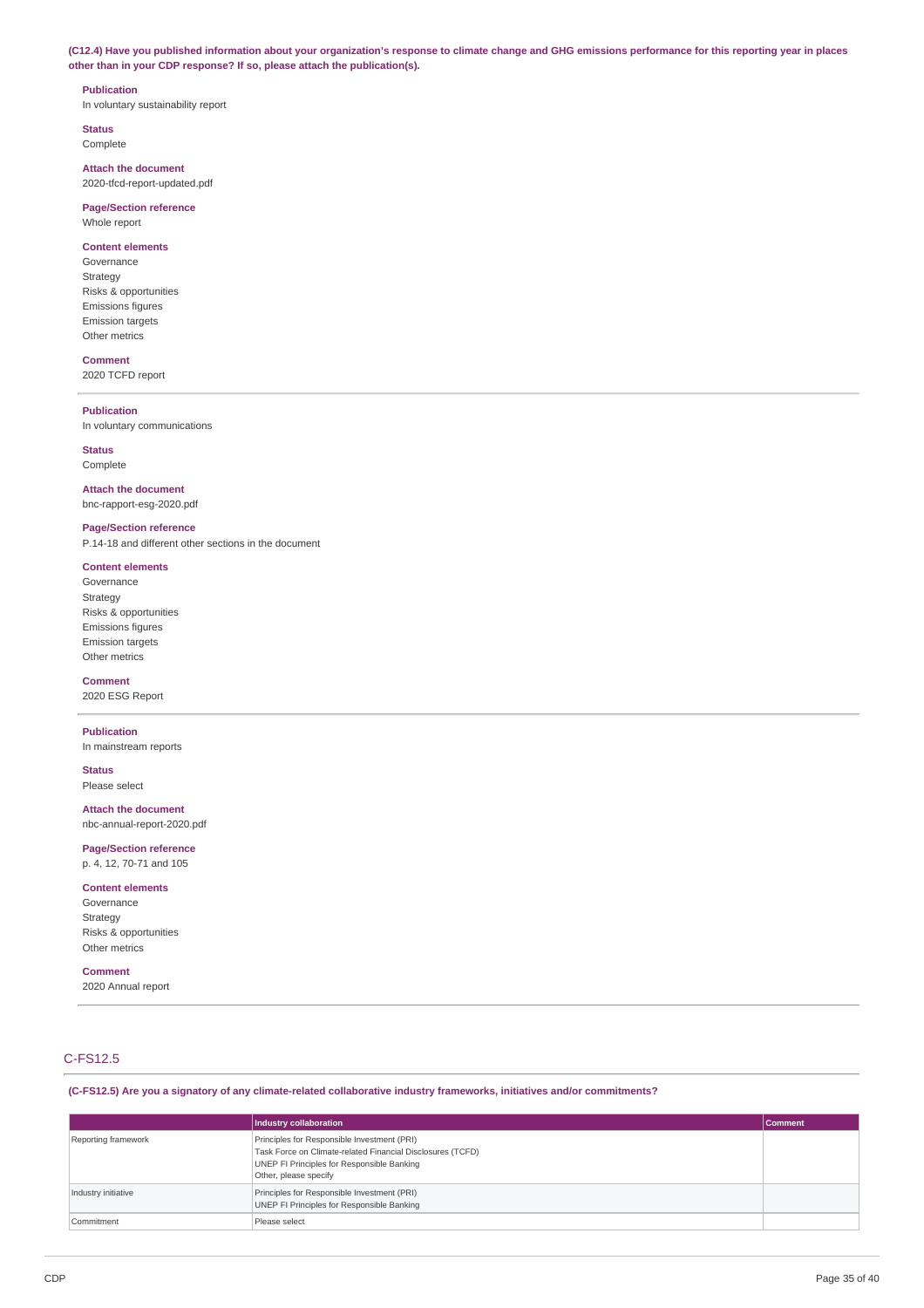(C12.4) Have you published information about your organization's response to climate change and GHG emissions performance for this reporting year in places **other than in your CDP response? If so, please attach the publication(s).**

#### **Publication**

In voluntary sustainability report

**Status** Complete

**Attach the document** 2020-tfcd-report-updated.pdf

### **Page/Section reference** Whole report

**Content elements**

### Governance

Strategy Risks & opportunities Emissions figures Emission targets Other metrics

### **Comment**

2020 TCFD report

### **Publication**

In voluntary communications

### **Status**

Complete

### **Attach the document** bnc-rapport-esg-2020.pdf

## **Page/Section reference**

P.14-18 and different other sections in the document

### **Content elements**

Governance Strategy Risks & opportunities Emissions figures Emission targets Other metrics

#### **Comment**

2020 ESG Report

### **Publication**

In mainstream reports

**Status** Please select

### **Attach the document**

nbc-annual-report-2020.pdf

# **Page/Section reference**

p. 4, 12, 70-71 and 105

### **Content elements**

Governance Strategy Risks & opportunities Other metrics

### **Comment**

2020 Annual report

### C-FS12.5

**(C-FS12.5) Are you a signatory of any climate-related collaborative industry frameworks, initiatives and/or commitments?**

|                     | Industry collaboration                                                                                                                                                           | Comment |
|---------------------|----------------------------------------------------------------------------------------------------------------------------------------------------------------------------------|---------|
| Reporting framework | Principles for Responsible Investment (PRI)<br>Task Force on Climate-related Financial Disclosures (TCFD)<br>UNEP FI Principles for Responsible Banking<br>Other, please specify |         |
| Industry initiative | Principles for Responsible Investment (PRI)<br>UNEP FI Principles for Responsible Banking                                                                                        |         |
| Commitment          | Please select                                                                                                                                                                    |         |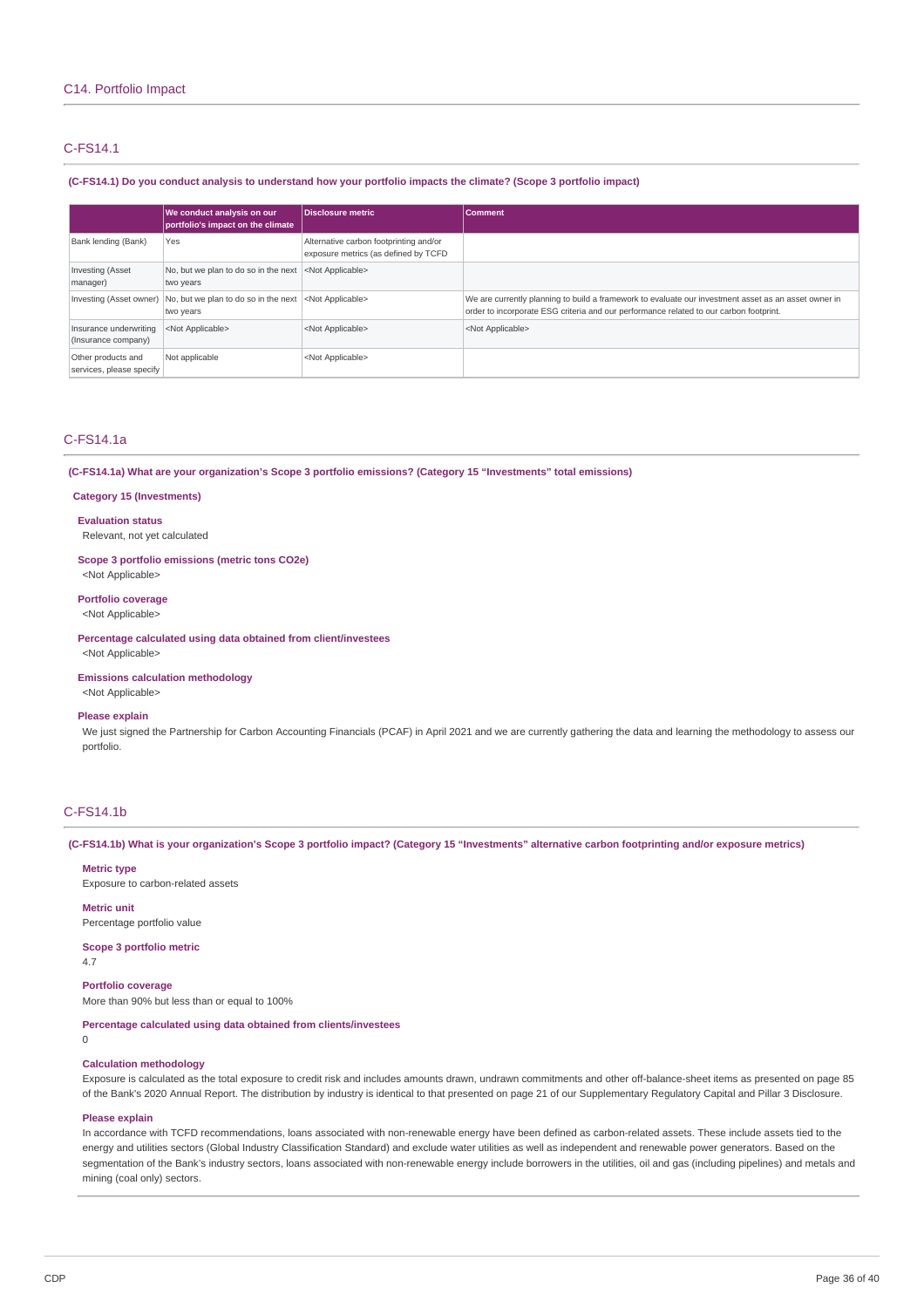# C-FS14.1

### (C-FS14.1) Do you conduct analysis to understand how your portfolio impacts the climate? (Scope 3 portfolio impact)

|                                                | We conduct analysis on our<br>portfolio's impact on the climate              | Disclosure metric                                                              | <b>Comment</b>                                                                                                                                                                                 |
|------------------------------------------------|------------------------------------------------------------------------------|--------------------------------------------------------------------------------|------------------------------------------------------------------------------------------------------------------------------------------------------------------------------------------------|
| Bank lending (Bank)                            | Yes                                                                          | Alternative carbon footprinting and/or<br>exposure metrics (as defined by TCFD |                                                                                                                                                                                                |
| Investing (Asset<br>manager)                   | No, but we plan to do so in the next <not applicable=""><br/>two years</not> |                                                                                |                                                                                                                                                                                                |
|                                                | Investing (Asset owner)   No, but we plan to do so in the next<br>two years  | <not applicable=""></not>                                                      | We are currently planning to build a framework to evaluate our investment asset as an asset owner in<br>order to incorporate ESG criteria and our performance related to our carbon footprint. |
| Insurance underwriting<br>(Insurance company)  | <not applicable=""></not>                                                    | <not applicable=""></not>                                                      | <not applicable=""></not>                                                                                                                                                                      |
| Other products and<br>services, please specify | Not applicable                                                               | <not applicable=""></not>                                                      |                                                                                                                                                                                                |

### C-FS14.1a

**(C-FS14.1a) What are your organization's Scope 3 portfolio emissions? (Category 15 "Investments" total emissions)**

#### **Category 15 (Investments)**

**Evaluation status**

Relevant, not yet calculated

**Scope 3 portfolio emissions (metric tons CO2e)**

<Not Applicable>

### **Portfolio coverage** <Not Applicable>

**Percentage calculated using data obtained from client/investees** <Not Applicable>

#### **Emissions calculation methodology**

<Not Applicable>

#### **Please explain**

We just signed the Partnership for Carbon Accounting Financials (PCAF) in April 2021 and we are currently gathering the data and learning the methodology to assess our portfolio.

### C-FS14.1b

(C-FS14.1b) What is your organization's Scope 3 portfolio impact? (Category 15 "Investments" alternative carbon footprinting and/or exposure metrics)

**Metric type** Exposure to carbon-related assets

**Metric unit** Percentage portfolio value

**Scope 3 portfolio metric** 4.7

**Portfolio coverage** More than 90% but less than or equal to 100%

**Percentage calculated using data obtained from clients/investees**

#### $\Omega$

### **Calculation methodology**

Exposure is calculated as the total exposure to credit risk and includes amounts drawn, undrawn commitments and other off-balance-sheet items as presented on page 85 of the Bank's 2020 Annual Report. The distribution by industry is identical to that presented on page 21 of our Supplementary Regulatory Capital and Pillar 3 Disclosure.

#### **Please explain**

In accordance with TCFD recommendations, loans associated with non-renewable energy have been defined as carbon-related assets. These include assets tied to the energy and utilities sectors (Global Industry Classification Standard) and exclude water utilities as well as independent and renewable power generators. Based on the segmentation of the Bank's industry sectors, loans associated with non-renewable energy include borrowers in the utilities, oil and gas (including pipelines) and metals and mining (coal only) sectors.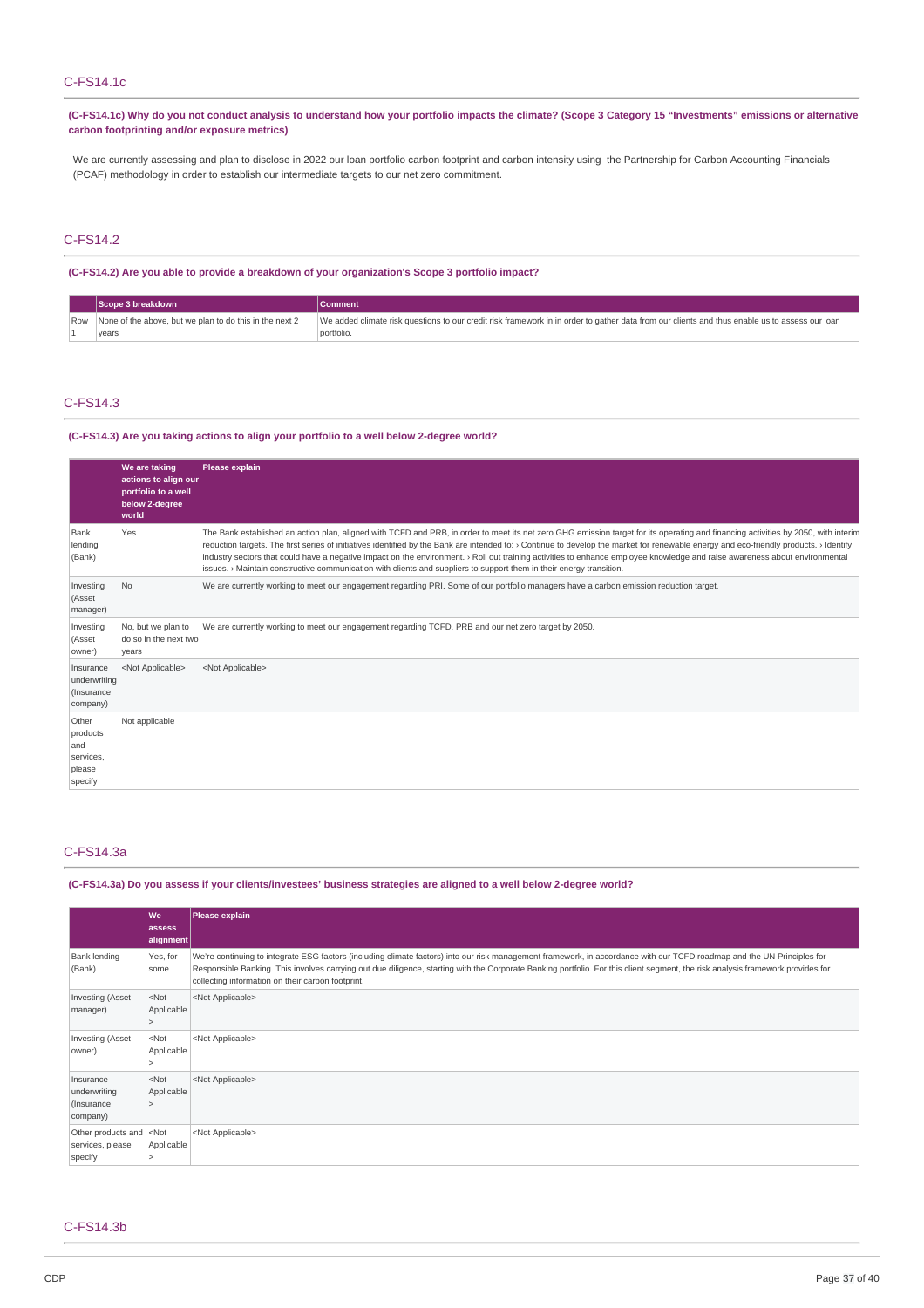# C-FS14.1c

(C-FS14.1c) Why do you not conduct analysis to understand how your portfolio impacts the climate? (Scope 3 Category 15 "Investments" emissions or alternative **carbon footprinting and/or exposure metrics)**

We are currently assessing and plan to disclose in 2022 our loan portfolio carbon footprint and carbon intensity using the Partnership for Carbon Accounting Financials (PCAF) methodology in order to establish our intermediate targets to our net zero commitment.

### C-FS14.2

**(C-FS14.2) Are you able to provide a breakdown of your organization's Scope 3 portfolio impact?**

|  | Scope 3 breakdown                                           | <b>Comment</b>                                                                                                                                 |
|--|-------------------------------------------------------------|------------------------------------------------------------------------------------------------------------------------------------------------|
|  | Row None of the above, but we plan to do this in the next 2 | We added climate risk questions to our credit risk framework in in order to gather data from our clients and thus enable us to assess our loan |
|  | vears                                                       | portfolio.                                                                                                                                     |

# C-FS14.3

#### **(C-FS14.3) Are you taking actions to align your portfolio to a well below 2-degree world?**

|                                                            | We are taking<br>actions to align our<br>portfolio to a well<br>below 2-degree<br>world | Please explain                                                                                                                                                                                                                                                                                                                                                                                                                                                                                                                                                                                                                                                                                  |
|------------------------------------------------------------|-----------------------------------------------------------------------------------------|-------------------------------------------------------------------------------------------------------------------------------------------------------------------------------------------------------------------------------------------------------------------------------------------------------------------------------------------------------------------------------------------------------------------------------------------------------------------------------------------------------------------------------------------------------------------------------------------------------------------------------------------------------------------------------------------------|
| Bank<br>lending<br>(Bank)                                  | Yes                                                                                     | The Bank established an action plan, aligned with TCFD and PRB, in order to meet its net zero GHG emission target for its operating and financing activities by 2050, with interim<br>reduction targets. The first series of initiatives identified by the Bank are intended to: > Continue to develop the market for renewable energy and eco-friendly products. > Identify<br>industry sectors that could have a negative impact on the environment. > Roll out training activities to enhance employee knowledge and raise awareness about environmental<br>issues. $\rightarrow$ Maintain constructive communication with clients and suppliers to support them in their energy transition. |
| Investing<br>(Asset<br>manager)                            | No.                                                                                     | We are currently working to meet our engagement regarding PRI. Some of our portfolio managers have a carbon emission reduction target.                                                                                                                                                                                                                                                                                                                                                                                                                                                                                                                                                          |
| Investing<br>(Asset<br>owner)                              | No, but we plan to<br>do so in the next two<br>years                                    | We are currently working to meet our engagement regarding TCFD, PRB and our net zero target by 2050.                                                                                                                                                                                                                                                                                                                                                                                                                                                                                                                                                                                            |
| Insurance<br>underwriting<br>(Insurance<br>company)        | <not applicable=""></not>                                                               | <not applicable=""></not>                                                                                                                                                                                                                                                                                                                                                                                                                                                                                                                                                                                                                                                                       |
| Other<br>products<br>and<br>services,<br>please<br>specify | Not applicable                                                                          |                                                                                                                                                                                                                                                                                                                                                                                                                                                                                                                                                                                                                                                                                                 |

### C-FS14.3a

### (C-FS14.3a) Do you assess if your clients/investees' business strategies are aligned to a well below 2-degree world?

|                                                      | l Wel<br>lassess<br> alignment | Please explain                                                                                                                                                                                                                                                                                                                                                                                                  |
|------------------------------------------------------|--------------------------------|-----------------------------------------------------------------------------------------------------------------------------------------------------------------------------------------------------------------------------------------------------------------------------------------------------------------------------------------------------------------------------------------------------------------|
| Bank lending<br>(Bank)                               | Yes, for<br>some               | We're continuing to integrate ESG factors (including climate factors) into our risk management framework, in accordance with our TCFD roadmap and the UN Principles for<br>Responsible Banking. This involves carrying out due diligence, starting with the Corporate Banking portfolio. For this client segment, the risk analysis framework provides for<br>collecting information on their carbon footprint. |
| Investing (Asset<br>manager)                         | $<$ Not<br>Applicable          | <not applicable=""></not>                                                                                                                                                                                                                                                                                                                                                                                       |
| Investing (Asset<br>owner)                           | $<$ Not<br>Applicable          | <not applicable=""></not>                                                                                                                                                                                                                                                                                                                                                                                       |
| Insurance<br>underwriting<br>(Insurance)<br>company) | $<$ Not<br>Applicable          | <not applicable=""></not>                                                                                                                                                                                                                                                                                                                                                                                       |
| Other products and<br>services, please<br>specify    | $<$ Not<br>Applicable          | <not applicable=""></not>                                                                                                                                                                                                                                                                                                                                                                                       |

### C-FS14.3b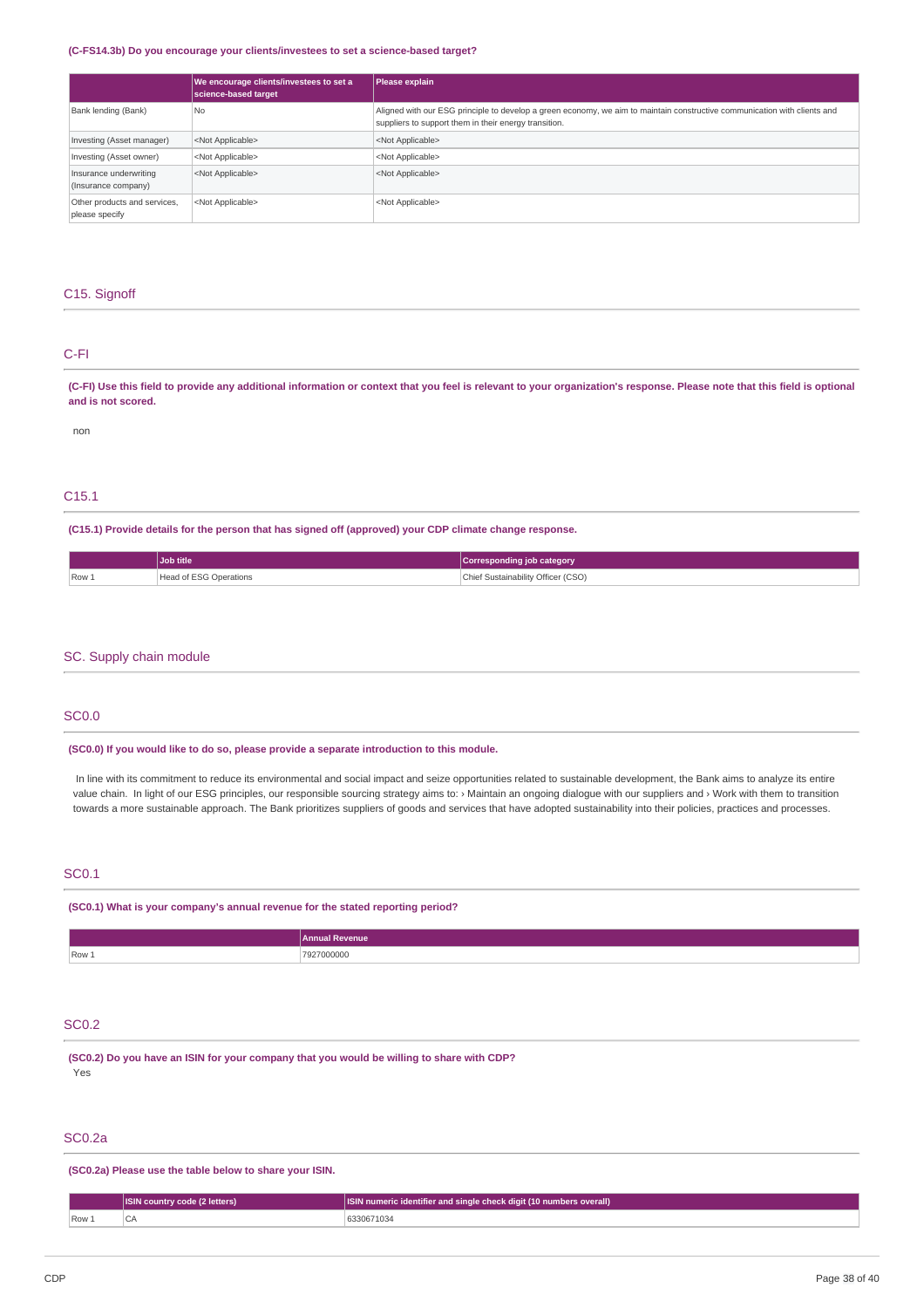#### **(C-FS14.3b) Do you encourage your clients/investees to set a science-based target?**

|                                                | We encourage clients/investees to set a<br>science-based target | Please explain                                                                                                                                                                     |
|------------------------------------------------|-----------------------------------------------------------------|------------------------------------------------------------------------------------------------------------------------------------------------------------------------------------|
| Bank lending (Bank)                            | l No                                                            | Aligned with our ESG principle to develop a green economy, we aim to maintain constructive communication with clients and<br>suppliers to support them in their energy transition. |
| Investing (Asset manager)                      | <not applicable=""></not>                                       | <not applicable=""></not>                                                                                                                                                          |
| Investing (Asset owner)                        | <not applicable=""></not>                                       | <not applicable=""></not>                                                                                                                                                          |
| Insurance underwriting<br>(Insurance company)  | <not applicable=""></not>                                       | <not applicable=""></not>                                                                                                                                                          |
| Other products and services,<br>please specify | <not applicable=""></not>                                       | <not applicable=""></not>                                                                                                                                                          |

### C15. Signoff

## C-FI

(C-FI) Use this field to provide any additional information or context that you feel is relevant to your organization's response. Please note that this field is optional **and is not scored.**

non

### C15.1

**(C15.1) Provide details for the person that has signed off (approved) your CDP climate change response.**

|                 | Job title              | Corresponding job category         |
|-----------------|------------------------|------------------------------------|
| $  Row \rangle$ | Head of ESG Operations | Chief Sustainability Officer (CSO) |

### SC. Supply chain module

### SC0.0

**(SC0.0) If you would like to do so, please provide a separate introduction to this module.**

In line with its commitment to reduce its environmental and social impact and seize opportunities related to sustainable development, the Bank aims to analyze its entire value chain. In light of our ESG principles, our responsible sourcing strategy aims to: › Maintain an ongoing dialogue with our suppliers and › Work with them to transition towards a more sustainable approach. The Bank prioritizes suppliers of goods and services that have adopted sustainability into their policies, practices and processes.

### SC0.1

**(SC0.1) What is your company's annual revenue for the stated reporting period?**

|                | <b>Annual Revenue</b>           |
|----------------|---------------------------------|
| $\sqrt{$ Row 1 | 02700000C<br><b>OOOOOO</b><br>. |

# SC0.2

**(SC0.2) Do you have an ISIN for your company that you would be willing to share with CDP?** Yes

### SC0.2a

**(SC0.2a) Please use the table below to share your ISIN.**

|      | <b>ISIN country code (2 letters)</b> | <b>ISIN numeric identifier and single check digit (10 numbers overall)</b> |  |
|------|--------------------------------------|----------------------------------------------------------------------------|--|
| Row: |                                      | 6330671034                                                                 |  |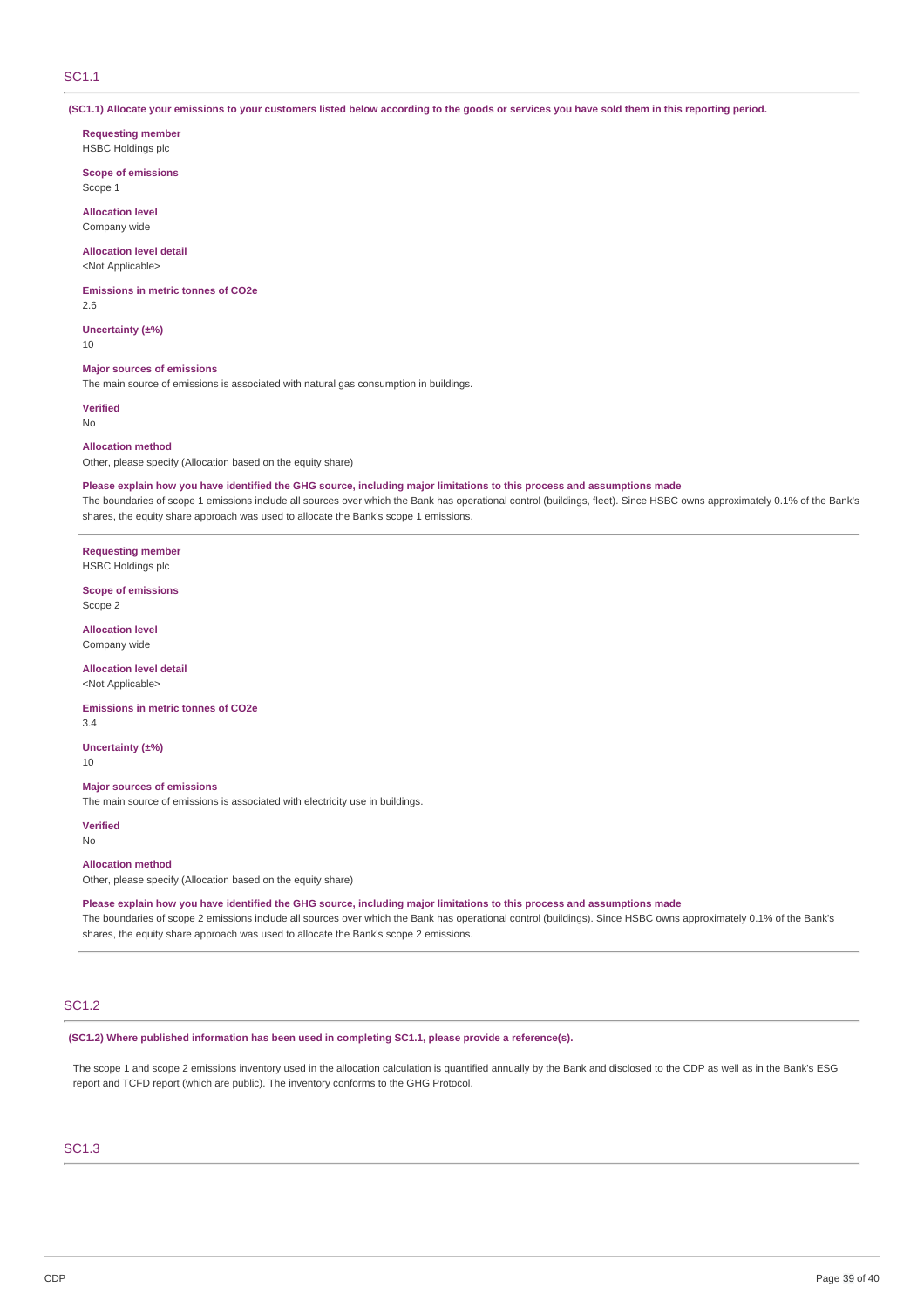### SC1.1

(SC1.1) Allocate your emissions to your customers listed below according to the goods or services you have sold them in this reporting period.

**Requesting member** HSBC Holdings plc

**Scope of emissions** Scope 1

**Allocation level** Company wide

# **Allocation level detail**

<Not Applicable>

**Emissions in metric tonnes of CO2e**

2.6

**Uncertainty (±%)** 10

#### **Major sources of emissions**

The main source of emissions is associated with natural gas consumption in buildings.

**Verified** No

#### **Allocation method**

Other, please specify (Allocation based on the equity share)

Please explain how you have identified the GHG source, including major limitations to this process and assumptions made

The boundaries of scope 1 emissions include all sources over which the Bank has operational control (buildings, fleet). Since HSBC owns approximately 0.1% of the Bank's shares, the equity share approach was used to allocate the Bank's scope 1 emissions.

**Requesting member** HSBC Holdings plc

**Scope of emissions** Scope 2

**Allocation level** Company wide

**Allocation level detail** <Not Applicable>

**Emissions in metric tonnes of CO2e**

3.4

**Uncertainty (±%)**

10

#### **Major sources of emissions**

The main source of emissions is associated with electricity use in buildings.

**Verified** No

#### **Allocation method**

Other, please specify (Allocation based on the equity share)

Please explain how you have identified the GHG source, including major limitations to this process and assumptions made

The boundaries of scope 2 emissions include all sources over which the Bank has operational control (buildings). Since HSBC owns approximately 0.1% of the Bank's shares, the equity share approach was used to allocate the Bank's scope 2 emissions.

### SC1.2

**(SC1.2) Where published information has been used in completing SC1.1, please provide a reference(s).**

The scope 1 and scope 2 emissions inventory used in the allocation calculation is quantified annually by the Bank and disclosed to the CDP as well as in the Bank's ESG report and TCFD report (which are public). The inventory conforms to the GHG Protocol.

### SC1.3